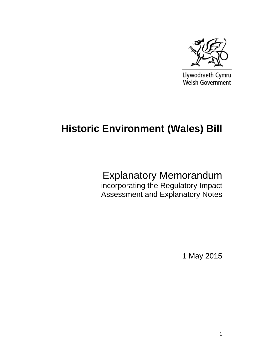

Llywodraeth Cymru Welsh Government

# **Historic Environment (Wales) Bill**

Explanatory Memorandum incorporating the Regulatory Impact Assessment and Explanatory Notes

1 May 2015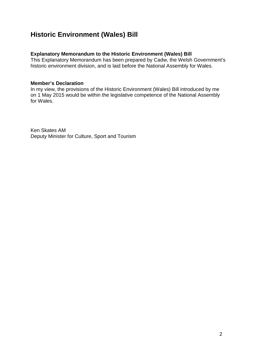# **Historic Environment (Wales) Bill**

#### **Explanatory Memorandum to the Historic Environment (Wales) Bill**

This Explanatory Memorandum has been prepared by Cadw, the Welsh Government's historic environment division, and is laid before the National Assembly for Wales.

#### **Member's Declaration**

In my view, the provisions of the Historic Environment (Wales) Bill introduced by me on 1 May 2015 would be within the legislative competence of the National Assembly for Wales.

Ken Skates AM Deputy Minister for Culture, Sport and Tourism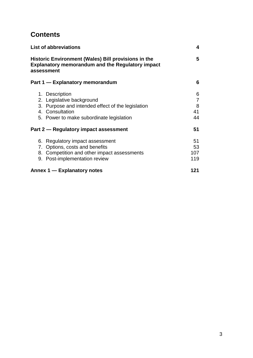# **Contents**

| <b>List of abbreviations</b>                                                                                                                                    | 4                       |
|-----------------------------------------------------------------------------------------------------------------------------------------------------------------|-------------------------|
| Historic Environment (Wales) Bill provisions in the<br><b>Explanatory memorandum and the Regulatory impact</b><br>assessment                                    | 5                       |
| Part 1 - Explanatory memorandum                                                                                                                                 | 6                       |
| 1. Description<br>2. Legislative background<br>3. Purpose and intended effect of the legislation<br>4. Consultation<br>5. Power to make subordinate legislation | 6<br>7<br>8<br>41<br>44 |
| Part 2 - Regulatory impact assessment                                                                                                                           | 51                      |
| 6. Regulatory impact assessment<br>7. Options, costs and benefits<br>8. Competition and other impact assessments<br>9. Post-implementation review               | 51<br>53<br>107<br>119  |
| Annex 1 - Explanatory notes                                                                                                                                     | 121                     |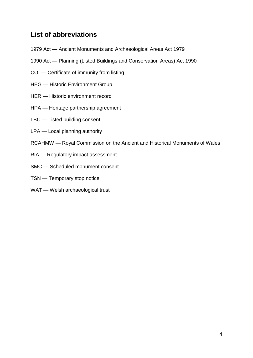# **List of abbreviations**

- 1979 Act Ancient Monuments and Archaeological Areas Act 1979
- 1990 Act Planning (Listed Buildings and Conservation Areas) Act 1990
- COI Certificate of immunity from listing
- HEG Historic Environment Group
- HER Historic environment record
- HPA Heritage partnership agreement
- LBC Listed building consent
- LPA Local planning authority
- RCAHMW Royal Commission on the Ancient and Historical Monuments of Wales
- RIA Regulatory impact assessment
- SMC Scheduled monument consent
- TSN Temporary stop notice
- WAT Welsh archaeological trust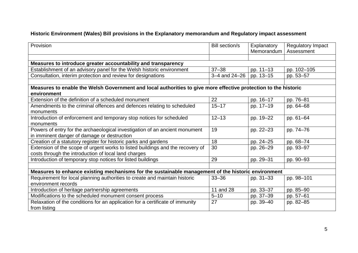# **Historic Environment (Wales) Bill provisions in the Explanatory memorandum and Regulatory impact assessment**

| Provision                                                                                                                              | Bill section/s | Explanatory<br>Memorandum | <b>Regulatory Impact</b><br>Assessment |
|----------------------------------------------------------------------------------------------------------------------------------------|----------------|---------------------------|----------------------------------------|
|                                                                                                                                        |                |                           |                                        |
| Measures to introduce greater accountability and transparency                                                                          |                |                           |                                        |
| Establishment of an advisory panel for the Welsh historic environment                                                                  | $37 - 38$      | pp. 11-13                 | pp. 102-105                            |
| Consultation, interim protection and review for designations                                                                           | 3-4 and 24-26  | pp. 13-15                 | pp. 53-57                              |
| Measures to enable the Welsh Government and local authorities to give more effective protection to the historic                        |                |                           |                                        |
| environment                                                                                                                            |                |                           |                                        |
| Extension of the definition of a scheduled monument                                                                                    | 22             | pp. 16-17                 | pp. 76-81                              |
| Amendments to the criminal offences and defences relating to scheduled                                                                 | $15 - 17$      | pp. 17-19                 | pp. 64-68                              |
| monuments                                                                                                                              |                |                           |                                        |
| Introduction of enforcement and temporary stop notices for scheduled                                                                   | $12 - 13$      | pp. 19-22                 | pp. 61-64                              |
| monuments                                                                                                                              |                |                           |                                        |
| Powers of entry for the archaeological investigation of an ancient monument<br>in imminent danger of damage or destruction             | 19             | pp. 22-23                 | pp. 74-76                              |
|                                                                                                                                        | 18             |                           |                                        |
| Creation of a statutory register for historic parks and gardens                                                                        |                | pp. 24-25                 | pp. 68-74                              |
| Extension of the scope of urgent works to listed buildings and the recovery of<br>costs through the introduction of local land charges | 30             | pp. 26-29                 | pp. 93-97                              |
| Introduction of temporary stop notices for listed buildings                                                                            | 29             | pp. 29-31                 | pp. 90-93                              |
|                                                                                                                                        |                |                           |                                        |
| Measures to enhance existing mechanisms for the sustainable management of the historic environment                                     |                |                           |                                        |
| Requirement for local planning authorities to create and maintain historic                                                             | $33 - 36$      | pp. 31-33                 | pp. 98-101                             |
| environment records                                                                                                                    |                |                           |                                        |
| Introduction of heritage partnership agreements                                                                                        | 11 and 28      | pp. 33-37                 | pp. 85-90                              |
| Modifications to the scheduled monument consent process                                                                                | $5 - 10$       | pp. 37-39                 | pp. 57-61                              |
| Relaxation of the conditions for an application for a certificate of immunity                                                          | 27             | pp. 39-40                 | pp. 82-85                              |
| from listing                                                                                                                           |                |                           |                                        |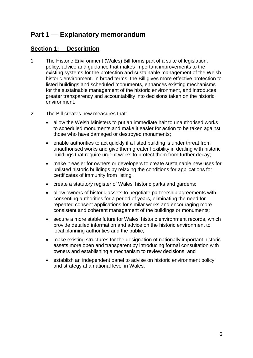# **Part 1 — Explanatory memorandum**

# **Section 1: Description**

- 1. The Historic Environment (Wales) Bill forms part of a suite of legislation, policy, advice and guidance that makes important improvements to the existing systems for the protection and sustainable management of the Welsh historic environment. In broad terms, the Bill gives more effective protection to listed buildings and scheduled monuments, enhances existing mechanisms for the sustainable management of the historic environment, and introduces greater transparency and accountability into decisions taken on the historic environment.
- 2. The Bill creates new measures that:
	- allow the Welsh Ministers to put an immediate halt to unauthorised works to scheduled monuments and make it easier for action to be taken against those who have damaged or destroyed monuments;
	- enable authorities to act quickly if a listed building is under threat from unauthorised works and give them greater flexibility in dealing with historic buildings that require urgent works to protect them from further decay;
	- make it easier for owners or developers to create sustainable new uses for unlisted historic buildings by relaxing the conditions for applications for certificates of immunity from listing;
	- create a statutory register of Wales' historic parks and gardens;
	- allow owners of historic assets to negotiate partnership agreements with consenting authorities for a period of years, eliminating the need for repeated consent applications for similar works and encouraging more consistent and coherent management of the buildings or monuments;
	- secure a more stable future for Wales' historic environment records, which provide detailed information and advice on the historic environment to local planning authorities and the public;
	- make existing structures for the designation of nationally important historic assets more open and transparent by introducing formal consultation with owners and establishing a mechanism to review decisions; and
	- establish an independent panel to advise on historic environment policy and strategy at a national level in Wales.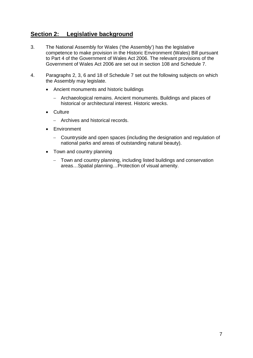# **Section 2: Legislative background**

- 3. The National Assembly for Wales ('the Assembly') has the legislative competence to make provision in the Historic Environment (Wales) Bill pursuant to Part 4 of the Government of Wales Act 2006. The relevant provisions of the Government of Wales Act 2006 are set out in section 108 and Schedule 7.
- 4. Paragraphs 2, 3, 6 and 18 of Schedule 7 set out the following subjects on which the Assembly may legislate.
	- Ancient monuments and historic buildings
		- − Archaeological remains. Ancient monuments. Buildings and places of historical or architectural interest. Historic wrecks.
	- Culture
		- − Archives and historical records.
	- **Fnvironment** 
		- − Countryside and open spaces (including the designation and regulation of national parks and areas of outstanding natural beauty).
	- Town and country planning
		- − Town and country planning, including listed buildings and conservation areas…Spatial planning…Protection of visual amenity.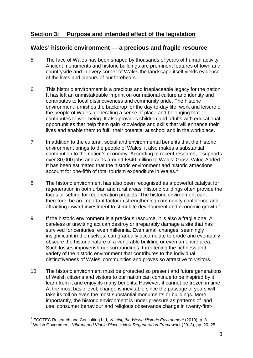# **Section 3: Purpose and intended effect of the legislation**

# **Wales' historic environment — a precious and fragile resource**

- 5. The face of Wales has been shaped by thousands of years of human activity. Ancient monuments and historic buildings are prominent features of town and countryside and in every corner of Wales the landscape itself yields evidence of the lives and labours of our forebears.
- 6. This historic environment is a precious and irreplaceable legacy for the nation. It has left an unmistakeable imprint on our national culture and identity and contributes to local distinctiveness and community pride. The historic environment furnishes the backdrop for the day-to-day life, work and leisure of the people of Wales, generating a sense of place and belonging that contributes to well-being. It also provides children and adults with educational opportunities that help them gain knowledge and skills that will enhance their lives and enable them to fulfil their potential at school and in the workplace.
- 7. In addition to the cultural, social and environmental benefits that the historic environment brings to the people of Wales, it also makes a substantial contribution to the nation's economy. According to recent research, it supports over 30,000 jobs and adds around £840 million to Wales' Gross Value Added. It has been estimated that the historic environment and historic attractions account for one-fifth of total tourism expenditure in Wales.<sup>[1](#page-7-0)</sup>
- 8. The historic environment has also been recognised as a powerful catalyst for regeneration in both urban and rural areas. Historic buildings often provide the focus or setting for regeneration projects. The historic environment can, therefore, be an important factor in strengthening community confidence and attracting inward investment to stimulate development and economic growth.<sup>[2](#page-7-1)</sup>
- 9. If the historic environment is a precious resource, it is also a fragile one. A careless or unwitting act can destroy or irreparably damage a site that has survived for centuries, even millennia. Even small changes, seemingly insignificant in themselves, can gradually accumulate to erode and eventually obscure the historic nature of a venerable building or even an entire area. Such losses impoverish our surroundings, threatening the richness and variety of the historic environment that contributes to the individual distinctiveness of Wales' communities and proves so attractive to visitors.
- 10. The historic environment must be protected so present and future generations of Welsh citizens and visitors to our nation can continue to be inspired by it, learn from it and enjoy its many benefits. However, it cannot be frozen in time. At the most basic level, change is inevitable since the passage of years will take its toll on even the most substantial monuments or buildings. More importantly, the historic environment is under pressure as patterns of land use, consumer behaviour and religious observance change in twenty-first-

<span id="page-7-1"></span><span id="page-7-0"></span><sup>&</sup>lt;sup>1</sup> ECOTEC Research and Consulting Ltd, *Valuing the Welsh Historic Environment* (2010), p. 8.

<sup>2</sup> Welsh Government, *Vibrant and Viable Places: New Regeneration Framework* (2013), pp. 20, 25.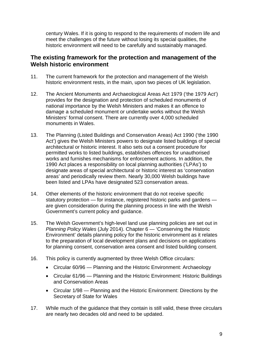century Wales. If it is going to respond to the requirements of modern life and meet the challenges of the future without losing its special qualities, the historic environment will need to be carefully and sustainably managed.

# **The existing framework for the protection and management of the Welsh historic environment**

- 11. The current framework for the protection and management of the Welsh historic environment rests, in the main, upon two pieces of UK legislation.
- 12. The Ancient Monuments and Archaeological Areas Act 1979 ('the 1979 Act') provides for the designation and protection of scheduled monuments of national importance by the Welsh Ministers and makes it an offence to damage a scheduled monument or undertake works without the Welsh Ministers' formal consent. There are currently over 4,000 scheduled monuments in Wales.
- 13. The Planning (Listed Buildings and Conservation Areas) Act 1990 ('the 1990 Act') gives the Welsh Ministers powers to designate listed buildings of special architectural or historic interest. It also sets out a consent procedure for permitted works to listed buildings, establishes offences for unauthorised works and furnishes mechanisms for enforcement actions. In addition, the 1990 Act places a responsibility on local planning authorities ('LPAs') to designate areas of special architectural or historic interest as 'conservation areas' and periodically review them. Nearly 30,000 Welsh buildings have been listed and LPAs have designated 523 conservation areas.
- 14. Other elements of the historic environment that do not receive specific statutory protection — for instance, registered historic parks and gardens are given consideration during the planning process in line with the Welsh Government's current policy and guidance.
- 15. The Welsh Government's high-level land use planning policies are set out in *Planning Policy Wales* (July 2014). Chapter 6 — 'Conserving the Historic Environment' details planning policy for the historic environment as it relates to the preparation of local development plans and decisions on applications for planning consent, conservation area consent and listed building consent.
- 16. This policy is currently augmented by three Welsh Office circulars:
	- Circular 60/96 Planning and the Historic Environment: Archaeology
	- Circular 61/96 Planning and the Historic Environment: Historic Buildings and Conservation Areas
	- Circular 1/98 Planning and the Historic Environment: Directions by the Secretary of State for Wales
- 17. While much of the guidance that they contain is still valid, these three circulars are nearly two decades old and need to be updated.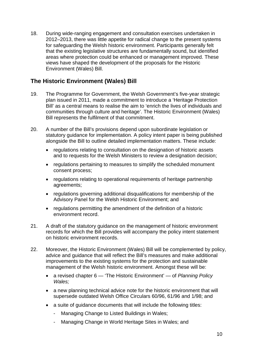18. During wide-ranging engagement and consultation exercises undertaken in 2012–2013, there was little appetite for radical change to the present systems for safeguarding the Welsh historic environment. Participants generally felt that the existing legislative structures are fundamentally sound, but identified areas where protection could be enhanced or management improved. These views have shaped the development of the proposals for the Historic Environment (Wales) Bill.

# **The Historic Environment (Wales) Bill**

- 19. The Programme for Government, the Welsh Government's five-year strategic plan issued in 2011, made a commitment to introduce a 'Heritage Protection Bill' as a central means to realise the aim to 'enrich the lives of individuals and communities through culture and heritage'. The Historic Environment (Wales) Bill represents the fulfilment of that commitment.
- 20. A number of the Bill's provisions depend upon subordinate legislation or statutory guidance for implementation. A policy intent paper is being published alongside the Bill to outline detailed implementation matters. These include:
	- regulations relating to consultation on the designation of historic assets and to requests for the Welsh Ministers to review a designation decision;
	- regulations pertaining to measures to simplify the scheduled monument consent process;
	- regulations relating to operational requirements of heritage partnership agreements;
	- regulations governing additional disqualifications for membership of the Advisory Panel for the Welsh Historic Environment; and
	- regulations permitting the amendment of the definition of a historic environment record.
- 21. A draft of the statutory guidance on the management of historic environment records for which the Bill provides will accompany the policy intent statement on historic environment records.
- 22. Moreover, the Historic Environment (Wales) Bill will be complemented by policy, advice and guidance that will reflect the Bill's measures and make additional improvements to the existing systems for the protection and sustainable management of the Welsh historic environment. Amongst these will be:
	- a revised chapter 6 'The Historic Environment' of *Planning Policy Wales;*
	- a new planning technical advice note for the historic environment that will supersede outdated Welsh Office Circulars 60/96, 61/96 and 1/98; and
	- a suite of guidance documents that will include the following titles:
		- Managing Change to Listed Buildings in Wales;
		- Managing Change in World Heritage Sites in Wales; and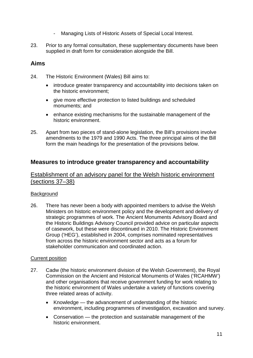- Managing Lists of Historic Assets of Special Local Interest.
- 23. Prior to any formal consultation, these supplementary documents have been supplied in draft form for consideration alongside the Bill.

# **Aims**

- 24. The Historic Environment (Wales) Bill aims to:
	- introduce greater transparency and accountability into decisions taken on the historic environment;
	- give more effective protection to listed buildings and scheduled monuments; and
	- enhance existing mechanisms for the sustainable management of the historic environment.
- 25. Apart from two pieces of stand-alone legislation, the Bill's provisions involve amendments to the 1979 and 1990 Acts. The three principal aims of the Bill form the main headings for the presentation of the provisions below.

# **Measures to introduce greater transparency and accountability**

Establishment of an advisory panel for the Welsh historic environment (sections 37–38)

#### **Background**

26. There has never been a body with appointed members to advise the Welsh Ministers on historic environment policy and the development and delivery of strategic programmes of work. The Ancient Monuments Advisory Board and the Historic Buildings Advisory Council provided advice on particular aspects of casework, but these were discontinued in 2010. The Historic Environment Group ('HEG'), established in 2004, comprises nominated representatives from across the historic environment sector and acts as a forum for stakeholder communication and coordinated action.

#### Current position

- 27. Cadw (the historic environment division of the Welsh Government), the Royal Commission on the Ancient and Historical Monuments of Wales ('RCAHMW') and other organisations that receive government funding for work relating to the historic environment of Wales undertake a variety of functions covering three related areas of activity.
	- Knowledge the advancement of understanding of the historic environment, including programmes of investigation, excavation and survey.
	- Conservation the protection and sustainable management of the historic environment.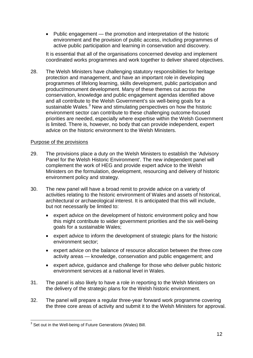• Public engagement — the promotion and interpretation of the historic environment and the provision of public access, including programmes of active public participation and learning in conservation and discovery.

It is essential that all of the organisations concerned develop and implement coordinated works programmes and work together to deliver shared objectives.

28. The Welsh Ministers have challenging statutory responsibilities for heritage protection and management, and have an important role in developing programmes of lifelong learning, skills development, public participation and product/monument development. Many of these themes cut across the conservation, knowledge and public engagement agendas identified above and all contribute to the Welsh Government's six well-being goals for a sustainable Wales. $3$  New and stimulating perspectives on how the historic environment sector can contribute to these challenging outcome-focused priorities are needed, especially where expertise within the Welsh Government is limited. There is, however, no body that can provide independent, expert advice on the historic environment to the Welsh Ministers.

#### Purpose of the provisions

- 29. The provisions place a duty on the Welsh Ministers to establish the 'Advisory Panel for the Welsh Historic Environment'. The new independent panel will complement the work of HEG and provide expert advice to the Welsh Ministers on the formulation, development, resourcing and delivery of historic environment policy and strategy.
- 30. The new panel will have a broad remit to provide advice on a variety of activities relating to the historic environment of Wales and assets of historical, architectural or archaeological interest. It is anticipated that this will include, but not necessarily be limited to:
	- expert advice on the development of historic environment policy and how this might contribute to wider government priorities and the six well-being goals for a sustainable Wales;
	- expert advice to inform the development of strategic plans for the historic environment sector;
	- expert advice on the balance of resource allocation between the three core activity areas — knowledge, conservation and public engagement; and
	- expert advice, guidance and challenge for those who deliver public historic environment services at a national level in Wales.
- 31. The panel is also likely to have a role in reporting to the Welsh Ministers on the delivery of the strategic plans for the Welsh historic environment.
- 32. The panel will prepare a regular three-year forward work programme covering the three core areas of activity and submit it to the Welsh Ministers for approval.

<span id="page-11-0"></span> $3$  Set out in the Well-being of Future Generations (Wales) Bill.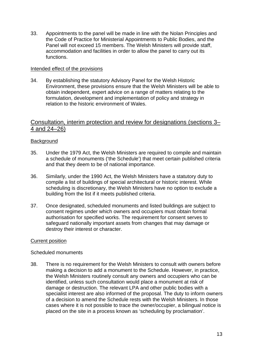33. Appointments to the panel will be made in line with the Nolan Principles and the Code of Practice for Ministerial Appointments to Public Bodies, and the Panel will not exceed 15 members. The Welsh Ministers will provide staff, accommodation and facilities in order to allow the panel to carry out its functions.

#### Intended effect of the provisions

34. By establishing the statutory Advisory Panel for the Welsh Historic Environment, these provisions ensure that the Welsh Ministers will be able to obtain independent, expert advice on a range of matters relating to the formulation, development and implementation of policy and strategy in relation to the historic environment of Wales.

## Consultation, interim protection and review for designations (sections 3– 4 and 24–26)

#### **Background**

- 35. Under the 1979 Act, the Welsh Ministers are required to compile and maintain a schedule of monuments ('the Schedule') that meet certain published criteria and that they deem to be of national importance.
- 36. Similarly, under the 1990 Act, the Welsh Ministers have a statutory duty to compile a list of buildings of special architectural or historic interest. While scheduling is discretionary, the Welsh Ministers have no option to exclude a building from the list if it meets published criteria.
- 37. Once designated, scheduled monuments and listed buildings are subject to consent regimes under which owners and occupiers must obtain formal authorisation for specified works. The requirement for consent serves to safeguard nationally important assets from changes that may damage or destroy their interest or character.

#### Current position

#### Scheduled monuments

38. There is no requirement for the Welsh Ministers to consult with owners before making a decision to add a monument to the Schedule. However, in practice, the Welsh Ministers routinely consult any owners and occupiers who can be identified, unless such consultation would place a monument at risk of damage or destruction. The relevant LPA and other public bodies with a specialist interest are also informed of the proposal. The duty to inform owners of a decision to amend the Schedule rests with the Welsh Ministers. In those cases where it is not possible to trace the owner/occupier, a bilingual notice is placed on the site in a process known as 'scheduling by proclamation'.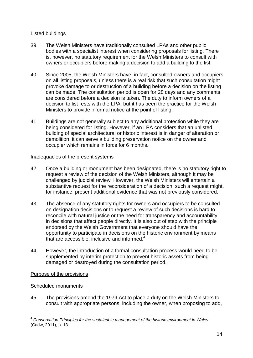#### Listed buildings

- 39. The Welsh Ministers have traditionally consulted LPAs and other public bodies with a specialist interest when considering proposals for listing. There is, however, no statutory requirement for the Welsh Ministers to consult with owners or occupiers before making a decision to add a building to the list.
- 40. Since 2005, the Welsh Ministers have, in fact, consulted owners and occupiers on all listing proposals, unless there is a real risk that such consultation might provoke damage to or destruction of a building before a decision on the listing can be made. The consultation period is open for 28 days and any comments are considered before a decision is taken. The duty to inform owners of a decision to list rests with the LPA, but it has been the practice for the Welsh Ministers to provide informal notice at the point of listing.
- 41. Buildings are not generally subject to any additional protection while they are being considered for listing. However, if an LPA considers that an unlisted building of special architectural or historic interest is in danger of alteration or demolition, it can serve a building preservation notice on the owner and occupier which remains in force for 6 months.

Inadequacies of the present systems

- 42. Once a building or monument has been designated, there is no statutory right to request a review of the decision of the Welsh Ministers, although it may be challenged by judicial review. However, the Welsh Ministers will entertain a substantive request for the reconsideration of a decision; such a request might, for instance, present additional evidence that was not previously considered.
- 43. The absence of any statutory rights for owners and occupiers to be consulted on designation decisions or to request a review of such decisions is hard to reconcile with natural justice or the need for transparency and accountability in decisions that affect people directly. It is also out of step with the principle endorsed by the Welsh Government that everyone should have the opportunity to participate in decisions on the historic environment by means that are accessible, inclusive and informed. $4$
- 44. However, the introduction of a formal consultation process would need to be supplemented by interim protection to prevent historic assets from being damaged or destroyed during the consultation period.

#### Purpose of the provisions

Scheduled monuments

45. The provisions amend the 1979 Act to place a duty on the Welsh Ministers to consult with appropriate persons, including the owner, when proposing to add,

<span id="page-13-0"></span><sup>4</sup> *Conservation Principles for the sustainable management of the historic environment in Wales* (Cadw, 2011), p. 13.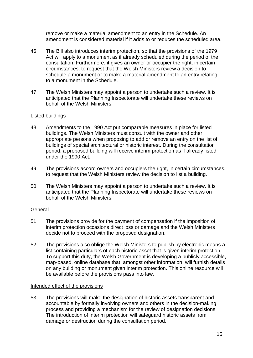remove or make a material amendment to an entry in the Schedule. An amendment is considered material if it adds to or reduces the scheduled area.

- 46. The Bill also introduces interim protection, so that the provisions of the 1979 Act will apply to a monument as if already scheduled during the period of the consultation. Furthermore, it gives an owner or occupier the right, in certain circumstances, to request that the Welsh Ministers review a decision to schedule a monument or to make a material amendment to an entry relating to a monument in the Schedule.
- 47. The Welsh Ministers may appoint a person to undertake such a review. It is anticipated that the Planning Inspectorate will undertake these reviews on behalf of the Welsh Ministers.

#### Listed buildings

- 48. Amendments to the 1990 Act put comparable measures in place for listed buildings. The Welsh Ministers must consult with the owner and other appropriate persons when proposing to add or remove an entry on the list of buildings of special architectural or historic interest. During the consultation period, a proposed building will receive interim protection as if already listed under the 1990 Act.
- 49. The provisions accord owners and occupiers the right, in certain circumstances, to request that the Welsh Ministers review the decision to list a building.
- 50. The Welsh Ministers may appoint a person to undertake such a review. It is anticipated that the Planning Inspectorate will undertake these reviews on behalf of the Welsh Ministers.

#### General

- 51. The provisions provide for the payment of compensation if the imposition of interim protection occasions direct loss or damage and the Welsh Ministers decide not to proceed with the proposed designation.
- 52. The provisions also oblige the Welsh Ministers to publish by electronic means a list containing particulars of each historic asset that is given interim protection. To support this duty, the Welsh Government is developing a publicly accessible, map-based, online database that, amongst other information, will furnish details on any building or monument given interim protection. This online resource will be available before the provisions pass into law.

#### Intended effect of the provisions

53. The provisions will make the designation of historic assets transparent and accountable by formally involving owners and others in the decision-making process and providing a mechanism for the review of designation decisions. The introduction of interim protection will safeguard historic assets from damage or destruction during the consultation period.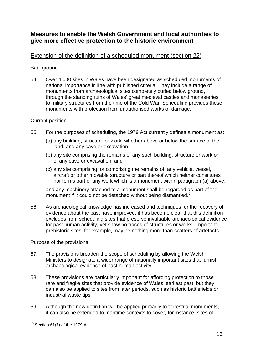# **Measures to enable the Welsh Government and local authorities to give more effective protection to the historic environment**

# Extension of the definition of a scheduled monument (section 22)

#### **Background**

54. Over 4,000 sites in Wales have been designated as scheduled monuments of national importance in line with published criteria. They include a range of monuments from archaeological sites completely buried below ground, through the standing ruins of Wales' great medieval castles and monasteries, to military structures from the time of the Cold War. Scheduling provides these monuments with protection from unauthorised works or damage.

#### Current position

- 55. For the purposes of scheduling, the 1979 Act currently defines a monument as:
	- (a) any building, structure or work, whether above or below the surface of the land, and any cave or excavation;
	- (b) any site comprising the remains of any such building, structure or work or of any cave or excavation; and
	- (c) any site comprising, or comprising the remains of, any vehicle, vessel, aircraft or other movable structure or part thereof which neither constitutes nor forms part of any work which is a monument within paragraph (a) above;

and any machinery attached to a monument shall be regarded as part of the monument if it could not be detached without being dismantled.<sup>[5](#page-15-0)</sup>

56. As archaeological knowledge has increased and techniques for the recovery of evidence about the past have improved, it has become clear that this definition excludes from scheduling sites that preserve invaluable archaeological evidence for past human activity, yet show no traces of structures or works. Important prehistoric sites, for example, may be nothing more than scatters of artefacts.

#### Purpose of the provisions

- 57. The provisions broaden the scope of scheduling by allowing the Welsh Ministers to designate a wider range of nationally important sites that furnish archaeological evidence of past human activity.
- 58. These provisions are particularly important for affording protection to those rare and fragile sites that provide evidence of Wales' earliest past, but they can also be applied to sites from later periods, such as historic battlefields or industrial waste tips.
- 59. Although the new definition will be applied primarily to terrestrial monuments, it can also be extended to maritime contexts to cover, for instance, sites of

<span id="page-15-0"></span> $55$  Section 61(7) of the 1979 Act.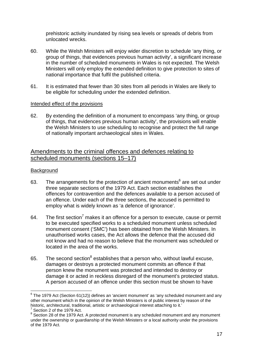prehistoric activity inundated by rising sea levels or spreads of debris from unlocated wrecks.

- 60. While the Welsh Ministers will enjoy wider discretion to schedule 'any thing, or group of things, that evidences previous human activity', a significant increase in the number of scheduled monuments in Wales is not expected. The Welsh Ministers will only employ the extended definition to give protection to sites of national importance that fulfil the published criteria.
- 61. It is estimated that fewer than 30 sites from all periods in Wales are likely to be eligible for scheduling under the extended definition.

#### Intended effect of the provisions

62. By extending the definition of a monument to encompass 'any thing, or group of things, that evidences previous human activity', the provisions will enable the Welsh Ministers to use scheduling to recognise and protect the full range of nationally important archaeological sites in Wales.

# Amendments to the criminal offences and defences relating to scheduled monuments (sections 15-17)

#### **Background**

- 63. The [a](#page-16-0)rrangements for the protection of ancient monuments $<sup>6</sup>$  are set out under</sup> three separate sections of the 1979 Act. Each section establishes the offences for contravention and the defences available to a person accused of an offence. Under each of the three sections, the accused is permitted to employ what is widely known as 'a defence of ignorance'.
- 64. The first section<sup>[7](#page-16-1)</sup> makes it an offence for a person to execute, cause or permit to be executed specified works to a scheduled monument unless scheduled monument consent ('SMC') has been obtained from the Welsh Ministers. In unauthorised works cases, the Act allows the defence that the accused did not know and had no reason to believe that the monument was scheduled or located in the area of the works.
- 65. Th[e](#page-16-2) second section<sup>8</sup> establishes that a person who, without lawful excuse, damages or destroys a protected monument commits an offence if that person knew the monument was protected and intended to destroy or damage it or acted in reckless disregard of the monument's protected status. A person accused of an offence under this section must be shown to have

<span id="page-16-0"></span> $6$  The 1979 Act (Section 61(12)) defines an 'ancient monument' as 'any scheduled monument and any other monument which in the opinion of the Welsh Ministers is of public interest by reason of the historic, architectural, traditional, artistic or archaeological interest attaching to it.' 7 Section 2 of the 1979 Act.

<span id="page-16-2"></span><span id="page-16-1"></span><sup>&</sup>lt;sup>8</sup> Section 28 of the 1979 Act. A protected monument is any scheduled monument and any monument under the ownership or guardianship of the Welsh Ministers or a local authority under the provisions of the 1979 Act.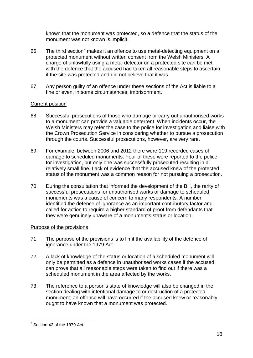known that the monument was protected, so a defence that the status of the monument was not known is implicit.

- 66. The third section<sup>[9](#page-17-0)</sup> makes it an offence to use metal-detecting equipment on a protected monument without written consent from the Welsh Ministers. A charge of unlawfully using a metal detector on a protected site can be met with the defence that the accused had taken all reasonable steps to ascertain if the site was protected and did not believe that it was.
- 67. Any person guilty of an offence under these sections of the Act is liable to a fine or even, in some circumstances, imprisonment.

#### **Current position**

- 68. Successful prosecutions of those who damage or carry out unauthorised works to a monument can provide a valuable deterrent. When incidents occur, the Welsh Ministers may refer the case to the police for investigation and liaise with the Crown Prosecution Service in considering whether to pursue a prosecution through the courts. Successful prosecutions, however, are very rare.
- 69. For example, between 2006 and 2012 there were 119 recorded cases of damage to scheduled monuments. Four of these were reported to the police for investigation, but only one was successfully prosecuted resulting in a relatively small fine. Lack of evidence that the accused knew of the protected status of the monument was a common reason for not pursuing a prosecution.
- 70. During the consultation that informed the development of the Bill, the rarity of successful prosecutions for unauthorised works or damage to scheduled monuments was a cause of concern to many respondents. A number identified the defence of ignorance as an important contributory factor and called for action to require a higher standard of proof from defendants that they were genuinely unaware of a monument's status or location.

#### Purpose of the provisions

- 71. The purpose of the provisions is to limit the availability of the defence of ignorance under the 1979 Act.
- 72. A lack of knowledge of the status or location of a scheduled monument will only be permitted as a defence in unauthorised works cases if the accused can prove that all reasonable steps were taken to find out if there was a scheduled monument in the area affected by the works.
- 73. The reference to a person's state of knowledge will also be changed in the section dealing with intentional damage to or destruction of a protected monument; an offence will have occurred if the accused knew or reasonably ought to have known that a monument was protected.

<span id="page-17-0"></span> $<sup>9</sup>$  Section 42 of the 1979 Act.</sup>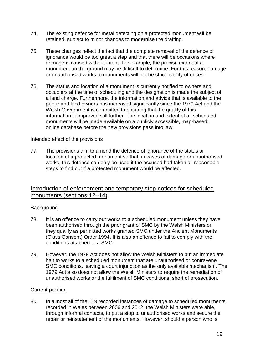- 74. The existing defence for metal detecting on a protected monument will be retained, subject to minor changes to modernise the drafting.
- 75. These changes reflect the fact that the complete removal of the defence of ignorance would be too great a step and that there will be occasions where damage is caused without intent. For example, the precise extent of a monument on the ground may be difficult to determine. For this reason, damage or unauthorised works to monuments will not be strict liability offences.
- 76. The status and location of a monument is currently notified to owners and occupiers at the time of scheduling and the designation is made the subject of a land charge. Furthermore, the information and advice that is available to the public and land owners has increased significantly since the 1979 Act and the Welsh Government is committed to ensuring that the quality of this information is improved still further. The location and extent of all scheduled monuments will be made available on a publicly accessible, map-based, online database before the new provisions pass into law.

#### Intended effect of the provisions

77. The provisions aim to amend the defence of ignorance of the status or location of a protected monument so that, in cases of damage or unauthorised works, this defence can only be used if the accused had taken all reasonable steps to find out if a protected monument would be affected.

### Introduction of enforcement and temporary stop notices for scheduled monuments (sections 12–14)

#### **Background**

- 78. It is an offence to carry out works to a scheduled monument unless they have been authorised through the prior grant of SMC by the Welsh Ministers or they qualify as permitted works granted SMC under the Ancient Monuments (Class Consent) Order 1994. It is also an offence to fail to comply with the conditions attached to a SMC.
- 79. However, the 1979 Act does not allow the Welsh Ministers to put an immediate halt to works to a scheduled monument that are unauthorised or contravene SMC conditions, leaving a court injunction as the only available mechanism. The 1979 Act also does not allow the Welsh Ministers to require the remediation of unauthorised works or the fulfilment of SMC conditions, short of prosecution.

#### Current position

80. In almost all of the 119 recorded instances of damage to scheduled monuments recorded in Wales between 2006 and 2012, the Welsh Ministers were able, through informal contacts, to put a stop to unauthorised works and secure the repair or reinstatement of the monuments. However, should a person who is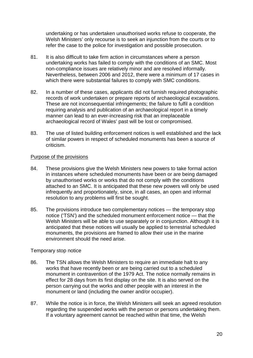undertaking or has undertaken unauthorised works refuse to cooperate, the Welsh Ministers' only recourse is to seek an injunction from the courts or to refer the case to the police for investigation and possible prosecution.

- 81. It is also difficult to take firm action in circumstances where a person undertaking works has failed to comply with the conditions of an SMC. Most non-compliance issues are relatively minor and are resolved informally. Nevertheless, between 2006 and 2012, there were a minimum of 17 cases in which there were substantial failures to comply with SMC conditions.
- 82. In a number of these cases, applicants did not furnish required photographic records of work undertaken or prepare reports of archaeological excavations. These are not inconsequential infringements; the failure to fulfil a condition requiring analysis and publication of an archaeological report in a timely manner can lead to an ever-increasing risk that an irreplaceable archaeological record of Wales' past will be lost or compromised.
- 83. The use of listed building enforcement notices is well established and the lack of similar powers in respect of scheduled monuments has been a source of criticism.

#### Purpose of the provisions

- 84. These provisions give the Welsh Ministers new powers to take formal action in instances where scheduled monuments have been or are being damaged by unauthorised works or works that do not comply with the conditions attached to an SMC. It is anticipated that these new powers will only be used infrequently and proportionately, since, in all cases, an open and informal resolution to any problems will first be sought.
- 85. The provisions introduce two complementary notices the temporary stop notice ('TSN') and the scheduled monument enforcement notice — that the Welsh Ministers will be able to use separately or in conjunction. Although it is anticipated that these notices will usually be applied to terrestrial scheduled monuments, the provisions are framed to allow their use in the marine environment should the need arise.

#### Temporary stop notice

- 86. The TSN allows the Welsh Ministers to require an immediate halt to any works that have recently been or are being carried out to a scheduled monument in contravention of the 1979 Act. The notice normally remains in effect for 28 days from its first display on the site. It is also served on the person carrying out the works and other people with an interest in the monument or land (including the owner and/or occupier).
- 87. While the notice is in force, the Welsh Ministers will seek an agreed resolution regarding the suspended works with the person or persons undertaking them. If a voluntary agreement cannot be reached within that time, the Welsh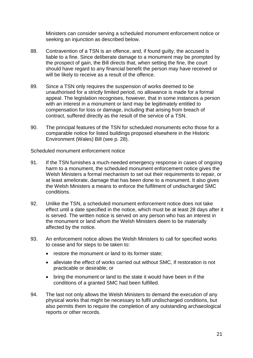Ministers can consider serving a scheduled monument enforcement notice or seeking an injunction as described below.

- 88. Contravention of a TSN is an offence, and, if found guilty, the accused is liable to a fine. Since deliberate damage to a monument may be prompted by the prospect of gain, the Bill directs that, when setting the fine, the court should have regard to any financial benefit the person may have received or will be likely to receive as a result of the offence.
- 89. Since a TSN only requires the suspension of works deemed to be unauthorised for a strictly limited period, no allowance is made for a formal appeal. The legislation recognises, however, that in some instances a person with an interest in a monument or land may be legitimately entitled to compensation for loss or damage, including that arising from breach of contract, suffered directly as the result of the service of a TSN.
- 90. The principal features of the TSN for scheduled monuments echo those for a comparable notice for listed buildings proposed elsewhere in the Historic Environment (Wales) Bill (see p. 28).

Scheduled monument enforcement notice

- 91. If the TSN furnishes a much-needed emergency response in cases of ongoing harm to a monument, the scheduled monument enforcement notice gives the Welsh Ministers a formal mechanism to set out their requirements to repair, or at least ameliorate, damage that has been done to a monument. It also gives the Welsh Ministers a means to enforce the fulfilment of undischarged SMC conditions.
- 92. Unlike the TSN, a scheduled monument enforcement notice does not take effect until a date specified in the notice, which must be at least 28 days after it is served. The written notice is served on any person who has an interest in the monument or land whom the Welsh Ministers deem to be materially affected by the notice.
- 93. An enforcement notice allows the Welsh Ministers to call for specified works to cease and for steps to be taken to:
	- restore the monument or land to its former state;
	- alleviate the effect of works carried out without SMC, if restoration is not practicable or desirable; or
	- bring the monument or land to the state it would have been in if the conditions of a granted SMC had been fulfilled.
- 94. The last not only allows the Welsh Ministers to demand the execution of any physical works that might be necessary to fulfil undischarged conditions, but also permits them to require the completion of any outstanding archaeological reports or other records.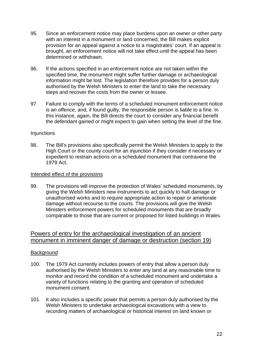- 95. Since an enforcement notice may place burdens upon an owner or other party with an interest in a monument or land concerned, the Bill makes explicit provision for an appeal against a notice to a magistrates' court. If an appeal is brought, an enforcement notice will not take effect until the appeal has been determined or withdrawn.
- 96. If the actions specified in an enforcement notice are not taken within the specified time, the monument might suffer further damage or archaeological information might be lost. The legislation therefore provides for a person duly authorised by the Welsh Ministers to enter the land to take the necessary steps and recover the costs from the owner or lessee.
- 97. Failure to comply with the terms of a scheduled monument enforcement notice is an offence, and, if found guilty, the responsible person is liable to a fine. In this instance, again, the Bill directs the court to consider any financial benefit the defendant gained or might expect to gain when setting the level of the fine.

#### **Injunctions**

98. The Bill's provisions also specifically permit the Welsh Ministers to apply to the High Court or the county court for an injunction if they consider it necessary or expedient to restrain actions on a scheduled monument that contravene the 1979 Act.

#### Intended effect of the provisions

99. The provisions will improve the protection of Wales' scheduled monuments, by giving the Welsh Ministers new instruments to act quickly to halt damage or unauthorised works and to require appropriate action to repair or ameliorate damage without recourse to the courts. The provisions will give the Welsh Ministers enforcement powers for scheduled monuments that are broadly comparable to those that are current or proposed for listed buildings in Wales.

## Powers of entry for the archaeological investigation of an ancient monument in imminent danger of damage or destruction (section 19)

#### **Background**

- 100. The 1979 Act currently includes powers of entry that allow a person duly authorised by the Welsh Ministers to enter any land at any reasonable time to monitor and record the condition of a scheduled monument and undertake a variety of functions relating to the granting and operation of scheduled monument consent.
- 101. It also includes a specific power that permits a person duly authorised by the Welsh Ministers to undertake archaeological excavations with a view to recording matters of archaeological or historical interest on land known or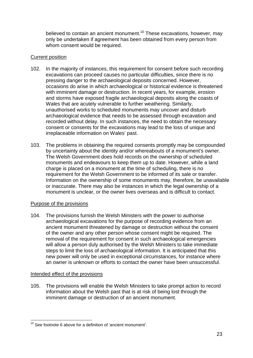believed to contain an ancient monument.<sup>[10](#page-22-0)</sup> These excavations, however, may only be undertaken if agreement has been obtained from every person from whom consent would be required.

#### Current position

- 102. In the majority of instances, this requirement for consent before such recording excavations can proceed causes no particular difficulties, since there is no pressing danger to the archaeological deposits concerned. However, occasions do arise in which archaeological or historical evidence is threatened with imminent damage or destruction. In recent years, for example, erosion and storms have exposed fragile archaeological deposits along the coasts of Wales that are acutely vulnerable to further weathering. Similarly, unauthorised works to scheduled monuments may uncover and disturb archaeological evidence that needs to be assessed through excavation and recorded without delay. In such instances, the need to obtain the necessary consent or consents for the excavations may lead to the loss of unique and irreplaceable information on Wales' past.
- 103. The problems in obtaining the required consents promptly may be compounded by uncertainty about the identity and/or whereabouts of a monument's owner. The Welsh Government does hold records on the ownership of scheduled monuments and endeavours to keep them up to date. However, while a land charge is placed on a monument at the time of scheduling, there is no requirement for the Welsh Government to be informed of its sale or transfer. Information on the ownership of some monuments may, therefore, be unavailable or inaccurate. There may also be instances in which the legal ownership of a monument is unclear, or the owner lives overseas and is difficult to contact.

#### Purpose of the provisions

104. The provisions furnish the Welsh Ministers with the power to authorise archaeological excavations for the purpose of recording evidence from an ancient monument threatened by damage or destruction without the consent of the owner and any other person whose consent might be required. The removal of the requirement for consent in such archaeological emergencies will allow a person duly authorised by the Welsh Ministers to take immediate steps to limit the loss of archaeological information. It is anticipated that this new power will only be used in exceptional circumstances, for instance where an owner is unknown or efforts to contact the owner have been unsuccessful.

#### Intended effect of the provisions

105. The provisions will enable the Welsh Ministers to take prompt action to record information about the Welsh past that is at risk of being lost through the imminent damage or destruction of an ancient monument.

<span id="page-22-0"></span> $10$  See footnote 6 above for a definition of 'ancient monument'.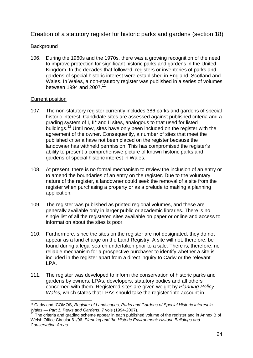# Creation of a statutory register for historic parks and gardens (section 18)

#### **Background**

106. During the 1960s and the 1970s, there was a growing recognition of the need to improve protection for significant historic parks and gardens in the United Kingdom. In the decades that followed, registers or inventories of parks and gardens of special historic interest were established in England, Scotland and Wales. In Wales, a non-statutory register was published in a series of volumes between 1994 and 2007.<sup>[11](#page-23-0)</sup>

#### Current position

- 107. The non-statutory register currently includes 386 parks and gardens of special historic interest. Candidate sites are assessed against published criteria and a grading system of I, II\* and II sites, analogous to that used for listed buildings.<sup>[12](#page-23-1)</sup> Until now, sites have only been included on the register with the agreement of the owner. Consequently, a number of sites that meet the published criteria have not been placed on the register because the landowner has withheld permission. This has compromised the register's ability to present a comprehensive picture of known historic parks and gardens of special historic interest in Wales.
- 108. At present, there is no formal mechanism to review the inclusion of an entry or to amend the boundaries of an entry on the register. Due to the voluntary nature of the register, a landowner could seek the removal of a site from the register when purchasing a property or as a prelude to making a planning application.
- 109. The register was published as printed regional volumes, and these are generally available only in larger public or academic libraries. There is no single list of all the registered sites available on paper or online and access to information about the sites is poor.
- 110. Furthermore, since the sites on the register are not designated, they do not appear as a land charge on the Land Registry. A site will not, therefore, be found during a legal search undertaken prior to a sale. There is, therefore, no reliable mechanism for a prospective purchaser to identify whether a site is included in the register apart from a direct inquiry to Cadw or the relevant LPA.
- 111. The register was developed to inform the conservation of historic parks and gardens by owners, LPAs, developers, statutory bodies and all others concerned with them. Registered sites are given weight by *Planning Policy Wales,* which states that LPAs should take the register 'into account in

<span id="page-23-0"></span><sup>11</sup> Cadw and ICOMOS, *Register of Landscapes, Parks and Gardens of Special Historic Interest in Wales — Part 1: Parks and Gardens*, 7 vols (1994-2007).

<span id="page-23-1"></span> $12$  The criteria and grading scheme appear in each published volume of the register and in Annex B of Welsh Office Circular 61/96, *Planning and the Historic Environment: Historic Buildings and Conservation Areas*.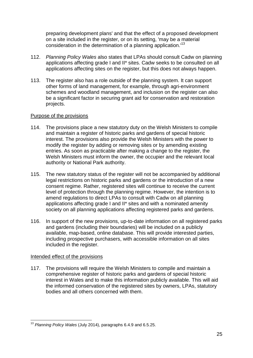preparing development plans' and that the effect of a proposed development on a site included in the register, or on its setting, 'may be a material consideration in the determination of a planning application.<sup>[13](#page-24-0)</sup>

- 112. *Planning Policy Wales* also states that LPAs should consult Cadw on planning applications affecting grade I and II\* sites. Cadw seeks to be consulted on all applications affecting sites on the register, but this does not always happen.
- 113. The register also has a role outside of the planning system. It can support other forms of land management, for example, through agri-environment schemes and woodland management, and inclusion on the register can also be a significant factor in securing grant aid for conservation and restoration projects.

#### Purpose of the provisions

- 114. The provisions place a new statutory duty on the Welsh Ministers to compile and maintain a register of historic parks and gardens of special historic interest. The provisions also provide the Welsh Ministers with the power to modify the register by adding or removing sites or by amending existing entries. As soon as practicable after making a change to the register, the Welsh Ministers must inform the owner, the occupier and the relevant local authority or National Park authority.
- 115. The new statutory status of the register will not be accompanied by additional legal restrictions on historic parks and gardens or the introduction of a new consent regime. Rather, registered sites will continue to receive the current level of protection through the planning regime. However, the intention is to amend regulations to direct LPAs to consult with Cadw on all planning applications affecting grade I and II\* sites and with a nominated amenity society on all planning applications affecting registered parks and gardens.
- 116. In support of the new provisions, up-to-date information on all registered parks and gardens (including their boundaries) will be included on a publicly available, map-based, online database. This will provide interested parties, including prospective purchasers, with accessible information on all sites included in the register.

#### Intended effect of the provisions

117. The provisions will require the Welsh Ministers to compile and maintain a comprehensive register of historic parks and gardens of special historic interest in Wales and to make this information publicly available. This will aid the informed conservation of the registered sites by owners, LPAs, statutory bodies and all others concerned with them.

<span id="page-24-0"></span><sup>13</sup> *Planning Policy Wales* (July 2014), paragraphs 6.4.9 and 6.5.25.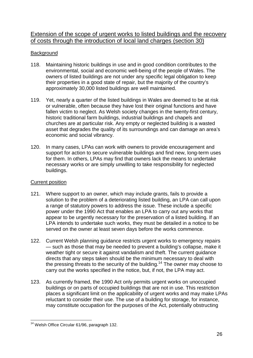# Extension of the scope of urgent works to listed buildings and the recovery of costs through the introduction of local land charges (section 30)

### **Background**

- 118. Maintaining historic buildings in use and in good condition contributes to the environmental, social and economic well-being of the people of Wales. The owners of listed buildings are not under any specific legal obligation to keep their properties in a good state of repair, but the majority of the country's approximately 30,000 listed buildings are well maintained.
- 119. Yet, nearly a quarter of the listed buildings in Wales are deemed to be at risk or vulnerable, often because they have lost their original functions and have fallen victim to neglect. As Welsh society changes in the twenty-first century, historic traditional farm buildings, industrial buildings and chapels and churches are at particular risk. Any empty or neglected building is a wasted asset that degrades the quality of its surroundings and can damage an area's economic and social vibrancy.
- 120. In many cases, LPAs can work with owners to provide encouragement and support for action to secure vulnerable buildings and find new, long-term uses for them. In others, LPAs may find that owners lack the means to undertake necessary works or are simply unwilling to take responsibility for neglected buildings.

#### Current position

- 121. Where support to an owner, which may include grants, fails to provide a solution to the problem of a deteriorating listed building, an LPA can call upon a range of statutory powers to address the issue. These include a specific power under the 1990 Act that enables an LPA to carry out any works that appear to be urgently necessary for the preservation of a listed building. If an LPA intends to undertake such works, they must be detailed in a notice to be served on the owner at least seven days before the works commence.
- 122. Current Welsh planning guidance restricts urgent works to emergency repairs — such as those that may be needed to prevent a building's collapse, make it weather tight or secure it against vandalism and theft. The current guidance directs that any steps taken should be the minimum necessary to deal with the pressing threats to the security of the building.<sup>[14](#page-25-0)</sup> The owner may choose to carry out the works specified in the notice, but, if not, the LPA may act.
- 123. As currently framed, the 1990 Act only permits urgent works on unoccupied buildings or on parts of occupied buildings that are not in use. This restriction places a significant limit on the applicability of urgent works and may make LPAs reluctant to consider their use. The use of a building for storage, for instance, may constitute occupation for the purposes of the Act, potentially obstructing

<span id="page-25-0"></span><sup>&</sup>lt;sup>14</sup> Welsh Office Circular 61/96, paragraph 132.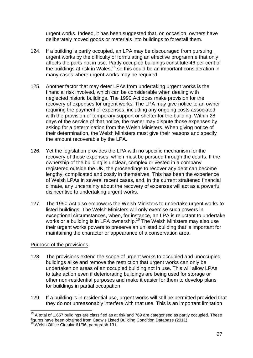urgent works. Indeed, it has been suggested that, on occasion, owners have deliberately moved goods or materials into buildings to forestall them.

- 124. If a building is partly occupied, an LPA may be discouraged from pursuing urgent works by the difficulty of formulating an effective programme that only affects the parts not in use. Partly occupied buildings constitute 46 per cent of the buildings at risk in Wales,<sup>[15](#page-26-0)</sup> so this could be an important consideration in many cases where urgent works may be required.
- 125. Another factor that may deter LPAs from undertaking urgent works is the financial risk involved, which can be considerable when dealing with neglected historic buildings. The 1990 Act does make provision for the recovery of expenses for urgent works. The LPA may give notice to an owner requiring the payment of expenses, including any ongoing costs associated with the provision of temporary support or shelter for the building. Within 28 days of the service of that notice, the owner may dispute those expenses by asking for a determination from the Welsh Ministers. When giving notice of their determination, the Welsh Ministers must give their reasons and specify the amount recoverable by the LPA.
- 126. Yet the legislation provides the LPA with no specific mechanism for the recovery of those expenses, which must be pursued through the courts. If the ownership of the building is unclear, complex or vested in a company registered outside the UK, the proceedings to recover any debt can become lengthy, complicated and costly in themselves. This has been the experience of Welsh LPAs in several recent cases, and, in the current straitened financial climate, any uncertainty about the recovery of expenses will act as a powerful disincentive to undertaking urgent works.
- 127. The 1990 Act also empowers the Welsh Ministers to undertake urgent works to listed buildings. The Welsh Ministers will only exercise such powers in exceptional circumstances, when, for instance, an LPA is reluctant to undertake works or a building is in LPA ownership.<sup>[16](#page-26-1)</sup> The Welsh Ministers may also use their urgent works powers to preserve an unlisted building that is important for maintaining the character or appearance of a conservation area.

#### Purpose of the provisions

- 128. The provisions extend the scope of urgent works to occupied and unoccupied buildings alike and remove the restriction that urgent works can only be undertaken on areas of an occupied building not in use. This will allow LPAs to take action even if deteriorating buildings are being used for storage or other non-residential purposes and make it easier for them to develop plans for buildings in partial occupation.
- 129. If a building is in residential use, urgent works will still be permitted provided that they do not unreasonably interfere with that use. This is an important limitation

<span id="page-26-0"></span> $15$  A total of 1,657 buildings are classified as at risk and 769 are categorised as partly occupied. These figures have been obtained from Cadw's Listed Building Condition Database (2011).

<span id="page-26-1"></span><sup>&</sup>lt;sup>16</sup> Welsh Office Circular 61/96, paragraph 131.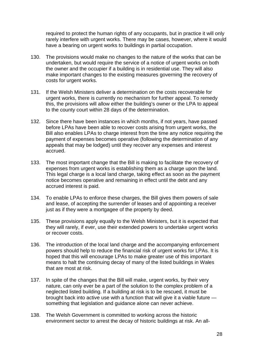required to protect the human rights of any occupants, but in practice it will only rarely interfere with urgent works. There may be cases, however, where it would have a bearing on urgent works to buildings in partial occupation.

- 130. The provisions would make no changes to the nature of the works that can be undertaken, but would require the service of a notice of urgent works on both the owner and the occupier if a building is in residential use. They will also make important changes to the existing measures governing the recovery of costs for urgent works.
- 131. If the Welsh Ministers deliver a determination on the costs recoverable for urgent works, there is currently no mechanism for further appeal. To remedy this, the provisions will allow either the building's owner or the LPA to appeal to the county court within 28 days of the determination.
- 132. Since there have been instances in which months, if not years, have passed before LPAs have been able to recover costs arising from urgent works, the Bill also enables LPAs to charge interest from the time any notice requiring the payment of expenses becomes operative (following the determination of any appeals that may be lodged) until they recover any expenses and interest accrued.
- 133. The most important change that the Bill is making to facilitate the recovery of expenses from urgent works is establishing them as a charge upon the land. This legal charge is a local land charge, taking effect as soon as the payment notice becomes operative and remaining in effect until the debt and any accrued interest is paid.
- 134. To enable LPAs to enforce these charges, the Bill gives them powers of sale and lease, of accepting the surrender of leases and of appointing a receiver just as if they were a mortgagee of the property by deed.
- 135. These provisions apply equally to the Welsh Ministers, but it is expected that they will rarely, if ever, use their extended powers to undertake urgent works or recover costs.
- 136. The introduction of the local land charge and the accompanying enforcement powers should help to reduce the financial risk of urgent works for LPAs. It is hoped that this will encourage LPAs to make greater use of this important means to halt the continuing decay of many of the listed buildings in Wales that are most at risk.
- 137. In spite of the changes that the Bill will make, urgent works, by their very nature, can only ever be a part of the solution to the complex problem of a neglected listed building. If a building at risk is to be rescued, it must be brought back into active use with a function that will give it a viable future something that legislation and guidance alone can never achieve.
- 138. The Welsh Government is committed to working across the historic environment sector to arrest the decay of historic buildings at risk. An all-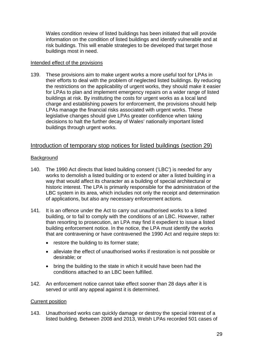Wales condition review of listed buildings has been initiated that will provide information on the condition of listed buildings and identify vulnerable and at risk buildings. This will enable strategies to be developed that target those buildings most in need.

#### Intended effect of the provisions

139. These provisions aim to make urgent works a more useful tool for LPAs in their efforts to deal with the problem of neglected listed buildings. By reducing the restrictions on the applicability of urgent works, they should make it easier for LPAs to plan and implement emergency repairs on a wider range of listed buildings at risk. By instituting the costs for urgent works as a local land charge and establishing powers for enforcement, the provisions should help LPAs manage the financial risks associated with urgent works. These legislative changes should give LPAs greater confidence when taking decisions to halt the further decay of Wales' nationally important listed buildings through urgent works.

## Introduction of temporary stop notices for listed buildings (section 29)

#### **Background**

- 140. The 1990 Act directs that listed building consent ('LBC') is needed for any works to demolish a listed building or to extend or alter a listed building in a way that would affect its character as a building of special architectural or historic interest. The LPA is primarily responsible for the administration of the LBC system in its area, which includes not only the receipt and determination of applications, but also any necessary enforcement actions.
- 141. It is an offence under the Act to carry out unauthorised works to a listed building, or to fail to comply with the conditions of an LBC. However, rather than resorting to prosecution, an LPA may find it expedient to issue a listed building enforcement notice. In the notice, the LPA must identify the works that are contravening or have contravened the 1990 Act and require steps to:
	- restore the building to its former state;
	- alleviate the effect of unauthorised works if restoration is not possible or desirable; or
	- bring the building to the state in which it would have been had the conditions attached to an LBC been fulfilled.
- 142. An enforcement notice cannot take effect sooner than 28 days after it is served or until any appeal against it is determined.

#### Current position

143. Unauthorised works can quickly damage or destroy the special interest of a listed building. Between 2008 and 2013, Welsh LPAs recorded 501 cases of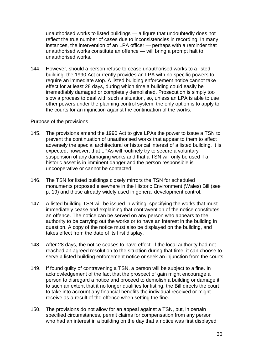unauthorised works to listed buildings — a figure that undoubtedly does not reflect the true number of cases due to inconsistencies in recording. In many instances, the intervention of an LPA officer — perhaps with a reminder that unauthorised works constitute an offence — will bring a prompt halt to unauthorised works.

144. However, should a person refuse to cease unauthorised works to a listed building, the 1990 Act currently provides an LPA with no specific powers to require an immediate stop. A listed building enforcement notice cannot take effect for at least 28 days, during which time a building could easily be irremediably damaged or completely demolished. Prosecution is simply too slow a process to deal with such a situation, so, unless an LPA is able to use other powers under the planning control system, the only option is to apply to the courts for an injunction against the continuation of the works.

#### Purpose of the provisions

- 145. The provisions amend the 1990 Act to give LPAs the power to issue a TSN to prevent the continuation of unauthorised works that appear to them to affect adversely the special architectural or historical interest of a listed building. It is expected, however, that LPAs will routinely try to secure a voluntary suspension of any damaging works and that a TSN will only be used if a historic asset is in imminent danger and the person responsible is uncooperative or cannot be contacted.
- 146. The TSN for listed buildings closely mirrors the TSN for scheduled monuments proposed elsewhere in the Historic Environment (Wales) Bill (see p. 19) and those already widely used in general development control.
- 147. A listed building TSN will be issued in writing, specifying the works that must immediately cease and explaining that contravention of the notice constitutes an offence. The notice can be served on any person who appears to the authority to be carrying out the works or to have an interest in the building in question. A copy of the notice must also be displayed on the building, and takes effect from the date of its first display.
- 148. After 28 days, the notice ceases to have effect. If the local authority had not reached an agreed resolution to the situation during that time, it can choose to serve a listed building enforcement notice or seek an injunction from the courts
- 149. If found guilty of contravening a TSN, a person will be subject to a fine. In acknowledgement of the fact that the prospect of gain might encourage a person to disregard a notice and proceed to demolish a building or damage it to such an extent that it no longer qualifies for listing, the Bill directs the court to take into account any financial benefits the individual received or might receive as a result of the offence when setting the fine.
- 150. The provisions do not allow for an appeal against a TSN, but, in certain specified circumstances, permit claims for compensation from any person who had an interest in a building on the day that a notice was first displayed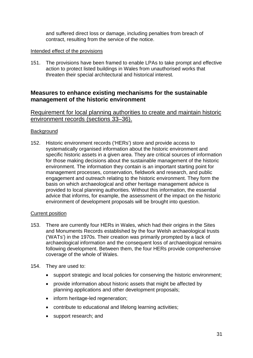and suffered direct loss or damage, including penalties from breach of contract, resulting from the service of the notice.

#### Intended effect of the provisions

151. The provisions have been framed to enable LPAs to take prompt and effective action to protect listed buildings in Wales from unauthorised works that threaten their special architectural and historical interest.

# **Measures to enhance existing mechanisms for the sustainable management of the historic environment**

Requirement for local planning authorities to create and maintain historic environment records (sections 33–36).

#### **Background**

152. Historic environment records ('HERs') store and provide access to systematically organised information about the historic environment and specific historic assets in a given area. They are critical sources of information for those making decisions about the sustainable management of the historic environment. The information they contain is an important starting point for management processes, conservation, fieldwork and research, and public engagement and outreach relating to the historic environment. They form the basis on which archaeological and other heritage management advice is provided to local planning authorities. Without this information, the essential advice that informs, for example, the assessment of the impact on the historic environment of development proposals will be brought into question.

#### Current position

- 153. There are currently four HERs in Wales, which had their origins in the Sites and Monuments Records established by the four Welsh archaeological trusts ('WATs') in the 1970s. Their creation was primarily prompted by a lack of archaeological information and the consequent loss of archaeological remains following development. Between them, the four HERs provide comprehensive coverage of the whole of Wales.
- 154. They are used to:
	- support strategic and local policies for conserving the historic environment;
	- provide information about historic assets that might be affected by planning applications and other development proposals;
	- inform heritage-led regeneration;
	- contribute to educational and lifelong learning activities;
	- support research; and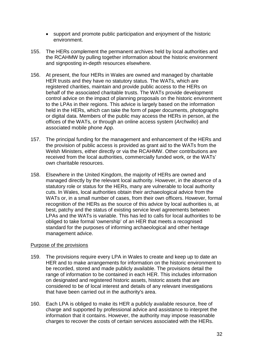- support and promote public participation and enjoyment of the historic environment.
- 155. The HERs complement the permanent archives held by local authorities and the RCAHMW by pulling together information about the historic environment and signposting in-depth resources elsewhere.
- 156. At present, the four HERs in Wales are owned and managed by charitable HER trusts and they have no statutory status. The WATs, which are registered charities, maintain and provide public access to the HERs on behalf of the associated charitable trusts. The WATs provide development control advice on the impact of planning proposals on the historic environment to the LPAs in their regions. This advice is largely based on the information held in the HERs, which can take the form of paper documents, photographs or digital data. Members of the public may access the HERs in person, at the offices of the WATs, or through an online access system (*Archwilio*) and associated mobile phone App.
- 157. The principal funding for the management and enhancement of the HERs and the provision of public access is provided as grant aid to the WATs from the Welsh Ministers, either directly or via the RCAHMW. Other contributions are received from the local authorities, commercially funded work, or the WATs' own charitable resources.
- 158. Elsewhere in the United Kingdom, the majority of HERs are owned and managed directly by the relevant local authority. However, in the absence of a statutory role or status for the HERs, many are vulnerable to local authority cuts. In Wales, local authorities obtain their archaeological advice from the WATs or, in a small number of cases, from their own officers. However, formal recognition of the HERs as the source of this advice by local authorities is, at best, patchy and the status of existing service level agreements between LPAs and the WATs is variable. This has led to calls for local authorities to be obliged to take formal 'ownership' of an HER that meets a recognised standard for the purposes of informing archaeological and other heritage management advice.

#### Purpose of the provisions

- 159. The provisions require every LPA in Wales to create and keep up to date an HER and to make arrangements for information on the historic environment to be recorded, stored and made publicly available. The provisions detail the range of information to be contained in each HER. This includes information on designated and registered historic assets, historic assets that are considered to be of local interest and details of any relevant investigations that have been carried out in the authority's area.
- 160. Each LPA is obliged to make its HER a publicly available resource, free of charge and supported by professional advice and assistance to interpret the information that it contains. However, the authority may impose reasonable charges to recover the costs of certain services associated with the HERs.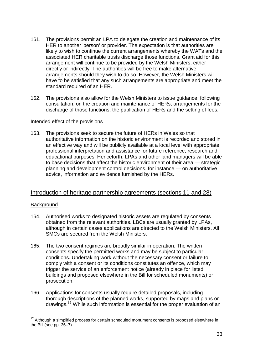- 161. The provisions permit an LPA to delegate the creation and maintenance of its HER to another 'person' or provider. The expectation is that authorities are likely to wish to continue the current arrangements whereby the WATs and the associated HER charitable trusts discharge those functions. Grant aid for this arrangement will continue to be provided by the Welsh Ministers, either directly or indirectly. The authorities will be free to make alternative arrangements should they wish to do so. However, the Welsh Ministers will have to be satisfied that any such arrangements are appropriate and meet the standard required of an HER.
- 162. The provisions also allow for the Welsh Ministers to issue guidance, following consultation, on the creation and maintenance of HERs, arrangements for the discharge of those functions, the publication of HERs and the setting of fees.

#### Intended effect of the provisions

163. The provisions seek to secure the future of HERs in Wales so that authoritative information on the historic environment is recorded and stored in an effective way and will be publicly available at a local level with appropriate professional interpretation and assistance for future reference, research and educational purposes. Henceforth, LPAs and other land managers will be able to base decisions that affect the historic environment of their area — strategic planning and development control decisions, for instance — on authoritative advice, information and evidence furnished by the HERs.

## Introduction of heritage partnership agreements (sections 11 and 28)

#### **Background**

- 164. Authorised works to designated historic assets are regulated by consents obtained from the relevant authorities. LBCs are usually granted by LPAs, although in certain cases applications are directed to the Welsh Ministers. All SMCs are secured from the Welsh Ministers.
- 165. The two consent regimes are broadly similar in operation. The written consents specify the permitted works and may be subject to particular conditions. Undertaking work without the necessary consent or failure to comply with a consent or its conditions constitutes an offence, which may trigger the service of an enforcement notice (already in place for listed buildings and proposed elsewhere in the Bill for scheduled monuments) or prosecution.
- 166. Applications for consents usually require detailed proposals, including thorough descriptions of the planned works, supported by maps and plans or drawings.[17](#page-32-0) While such information is essential for the proper evaluation of an

<span id="page-32-0"></span> $17$  Although a simplified process for certain scheduled monument consents is proposed elsewhere in the Bill (see pp. 36–7).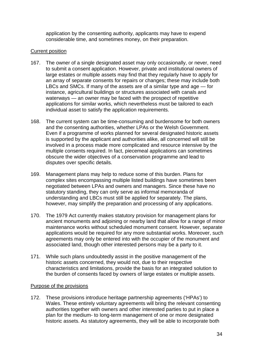application by the consenting authority, applicants may have to expend considerable time, and sometimes money, on their preparation.

#### Current position

- 167. The owner of a single designated asset may only occasionally, or never, need to submit a consent application. However, private and institutional owners of large estates or multiple assets may find that they regularly have to apply for an array of separate consents for repairs or changes; these may include both LBCs and SMCs. If many of the assets are of a similar type and age — for instance, agricultural buildings or structures associated with canals and waterways — an owner may be faced with the prospect of repetitive applications for similar works, which nevertheless must be tailored to each individual asset to satisfy the application requirements.
- 168. The current system can be time-consuming and burdensome for both owners and the consenting authorities, whether LPAs or the Welsh Government. Even if a programme of works planned for several designated historic assets is supported by the applicant and authorities alike, all concerned will still be involved in a process made more complicated and resource intensive by the multiple consents required. In fact, piecemeal applications can sometimes obscure the wider objectives of a conservation programme and lead to disputes over specific details.
- 169. Management plans may help to reduce some of this burden. Plans for complex sites encompassing multiple listed buildings have sometimes been negotiated between LPAs and owners and managers. Since these have no statutory standing, they can only serve as informal memoranda of understanding and LBCs must still be applied for separately. The plans, however, may simplify the preparation and processing of any applications.
- 170. The 1979 Act currently makes statutory provision for management plans for ancient monuments and adjoining or nearby land that allow for a range of minor maintenance works without scheduled monument consent. However, separate applications would be required for any more substantial works. Moreover, such agreements may only be entered into with the occupier of the monument and associated land, though other interested persons may be a party to it.
- 171. While such plans undoubtedly assist in the positive management of the historic assets concerned, they would not, due to their respective characteristics and limitations, provide the basis for an integrated solution to the burden of consents faced by owners of large estates or multiple assets.

#### Purpose of the provisions

172. These provisions introduce heritage partnership agreements ('HPAs') to Wales. These entirely voluntary agreements will bring the relevant consenting authorities together with owners and other interested parties to put in place a plan for the medium- to long-term management of one or more designated historic assets. As statutory agreements, they will be able to incorporate both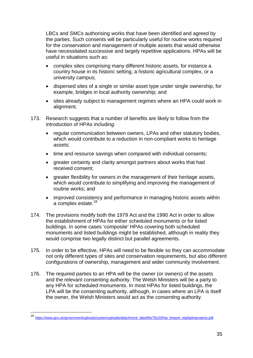LBCs and SMCs authorising works that have been identified and agreed by the parties. Such consents will be particularly useful for routine works required for the conservation and management of multiple assets that would otherwise have necessitated successive and largely repetitive applications. HPAs will be useful in situations such as:

- complex sites comprising many different historic assets, for instance a country house in its historic setting, a historic agricultural complex, or a university campus;
- dispersed sites of a single or similar asset type under single ownership, for example, bridges in local authority ownership; and
- sites already subject to management regimes where an HPA could work in alignment.
- 173. Research suggests that a number of benefits are likely to follow from the introduction of HPAs including:
	- regular communication between owners, LPAs and other statutory bodies, which would contribute to a reduction in non-compliant works to heritage assets;
	- time and resource savings when compared with individual consents;
	- greater certainty and clarity amongst partners about works that had received consent;
	- greater flexibility for owners in the management of their heritage assets, which would contribute to simplifying and improving the management of routine works; and
	- improved consistency and performance in managing historic assets within a complex estate.<sup>[18](#page-34-0)</sup>
- 174. The provisions modify both the 1979 Act and the 1990 Act in order to allow the establishment of HPAs for either scheduled monuments or for listed buildings. In some cases 'composite' HPAs covering both scheduled monuments and listed buildings might be established, although in reality they would comprise two legally distinct but parallel agreements.
- 175. In order to be effective, HPAs will need to be flexible so they can accommodate not only different types of sites and conservation requirements, but also different configurations of ownership, management and wider community involvement.
- 176. The required parties to an HPA will be the owner (or owners) of the assets and the relevant consenting authority. The Welsh Ministers will be a party to any HPA for scheduled monuments. In most HPAs for listed buildings, the LPA will be the consenting authority, although, in cases where an LPA is itself the owner, the Welsh Ministers would act as the consenting authority.

<span id="page-34-0"></span><sup>18</sup> https://www.gov.uk/government/uploads/system/uploads/attachment\_data/file/78120/hrp\_breport\_eightpilotprojects.pdf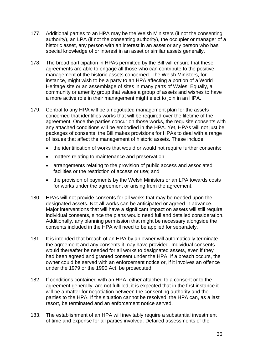- 177. Additional parties to an HPA may be the Welsh Ministers (if not the consenting authority), an LPA (if not the consenting authority), the occupier or manager of a historic asset, any person with an interest in an asset or any person who has special knowledge of or interest in an asset or similar assets generally.
- 178. The broad participation in HPAs permitted by the Bill will ensure that these agreements are able to engage all those who can contribute to the positive management of the historic assets concerned. The Welsh Ministers, for instance, might wish to be a party to an HPA affecting a portion of a World Heritage site or an assemblage of sites in many parts of Wales. Equally, a community or amenity group that values a group of assets and wishes to have a more active role in their management might elect to join in an HPA.
- 179. Central to any HPA will be a negotiated management plan for the assets concerned that identifies works that will be required over the lifetime of the agreement. Once the parties concur on those works, the requisite consents with any attached conditions will be embodied in the HPA. Yet, HPAs will not just be packages of consents; the Bill makes provisions for HPAs to deal with a range of issues that affect the management of historic assets. These include:
	- the identification of works that would or would not require further consents;
	- matters relating to maintenance and preservation;
	- arrangements relating to the provision of public access and associated facilities or the restriction of access or use; and
	- the provision of payments by the Welsh Ministers or an LPA towards costs for works under the agreement or arising from the agreement.
- 180. HPAs will not provide consents for all works that may be needed upon the designated assets. Not all works can be anticipated or agreed in advance. Major interventions that will have a significant impact on assets will still require individual consents, since the plans would need full and detailed consideration. Additionally, any planning permission that might be necessary alongside the consents included in the HPA will need to be applied for separately.
- 181. It is intended that breach of an HPA by an owner will automatically terminate the agreement and any consents it may have provided. Individual consents would thereafter be needed for all works to designated assets, even if they had been agreed and granted consent under the HPA. If a breach occurs, the owner could be served with an enforcement notice or, if it involves an offence under the 1979 or the 1990 Act, be prosecuted.
- 182. If conditions contained with an HPA, either attached to a consent or to the agreement generally, are not fulfilled, it is expected that in the first instance it will be a matter for negotiation between the consenting authority and the parties to the HPA. If the situation cannot be resolved, the HPA can, as a last resort, be terminated and an enforcement notice served.
- 183. The establishment of an HPA will inevitably require a substantial investment of time and expense for all parties involved. Detailed assessments of the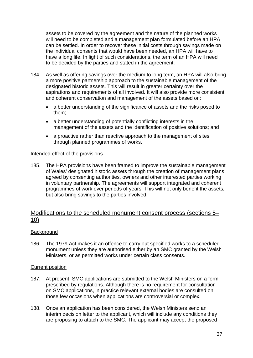assets to be covered by the agreement and the nature of the planned works will need to be completed and a management plan formulated before an HPA can be settled. In order to recover these initial costs through savings made on the individual consents that would have been needed, an HPA will have to have a long life. In light of such considerations, the term of an HPA will need to be decided by the parties and stated in the agreement.

- 184. As well as offering savings over the medium to long term, an HPA will also bring a more positive partnership approach to the sustainable management of the designated historic assets. This will result in greater certainty over the aspirations and requirements of all involved. It will also provide more consistent and coherent conservation and management of the assets based on:
	- a better understanding of the significance of assets and the risks posed to them;
	- a better understanding of potentially conflicting interests in the management of the assets and the identification of positive solutions; and
	- a proactive rather than reactive approach to the management of sites through planned programmes of works.

#### Intended effect of the provisions

185. The HPA provisions have been framed to improve the sustainable management of Wales' designated historic assets through the creation of management plans agreed by consenting authorities, owners and other interested parties working in voluntary partnership. The agreements will support integrated and coherent programmes of work over periods of years. This will not only benefit the assets, but also bring savings to the parties involved.

# Modifications to the scheduled monument consent process (sections 5– 10)

## **Background**

186. The 1979 Act makes it an offence to carry out specified works to a scheduled monument unless they are authorised either by an SMC granted by the Welsh Ministers, or as permitted works under certain class consents.

#### Current position

- 187. At present, SMC applications are submitted to the Welsh Ministers on a form prescribed by regulations. Although there is no requirement for consultation on SMC applications, in practice relevant external bodies are consulted on those few occasions when applications are controversial or complex.
- 188. Once an application has been considered, the Welsh Ministers send an interim decision letter to the applicant, which will include any conditions they are proposing to attach to the SMC. The applicant may accept the proposed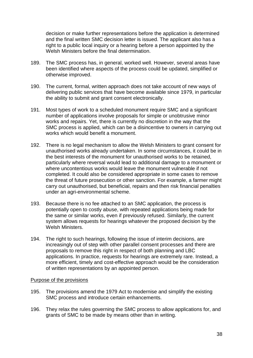decision or make further representations before the application is determined and the final written SMC decision letter is issued. The applicant also has a right to a public local inquiry or a hearing before a person appointed by the Welsh Ministers before the final determination.

- 189. The SMC process has, in general, worked well. However, several areas have been identified where aspects of the process could be updated, simplified or otherwise improved.
- 190. The current, formal, written approach does not take account of new ways of delivering public services that have become available since 1979, in particular the ability to submit and grant consent electronically.
- 191. Most types of work to a scheduled monument require SMC and a significant number of applications involve proposals for simple or unobtrusive minor works and repairs. Yet, there is currently no discretion in the way that the SMC process is applied, which can be a disincentive to owners in carrying out works which would benefit a monument.
- 192. There is no legal mechanism to allow the Welsh Ministers to grant consent for unauthorised works already undertaken. In some circumstances, it could be in the best interests of the monument for unauthorised works to be retained, particularly where reversal would lead to additional damage to a monument or where uncontentious works would leave the monument vulnerable if not completed. It could also be considered appropriate in some cases to remove the threat of future prosecution or other sanction. For example, a farmer might carry out unauthorised, but beneficial, repairs and then risk financial penalties under an agri-environmental scheme.
- 193. Because there is no fee attached to an SMC application, the process is potentially open to costly abuse, with repeated applications being made for the same or similar works, even if previously refused. Similarly, the current system allows requests for hearings whatever the proposed decision by the Welsh Ministers.
- 194. The right to such hearings, following the issue of interim decisions, are increasingly out of step with other parallel consent processes and there are proposals to remove this right in respect of both planning and LBC applications. In practice, requests for hearings are extremely rare. Instead, a more efficient, timely and cost-effective approach would be the consideration of written representations by an appointed person.

#### Purpose of the provisions

- 195. The provisions amend the 1979 Act to modernise and simplify the existing SMC process and introduce certain enhancements.
- 196. They relax the rules governing the SMC process to allow applications for, and grants of SMC to be made by means other than in writing.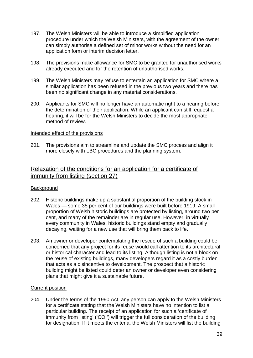- 197. The Welsh Ministers will be able to introduce a simplified application procedure under which the Welsh Ministers, with the agreement of the owner, can simply authorise a defined set of minor works without the need for an application form or interim decision letter.
- 198. The provisions make allowance for SMC to be granted for unauthorised works already executed and for the retention of unauthorised works.
- 199. The Welsh Ministers may refuse to entertain an application for SMC where a similar application has been refused in the previous two years and there has been no significant change in any material considerations.
- 200. Applicants for SMC will no longer have an automatic right to a hearing before the determination of their application. While an applicant can still request a hearing, it will be for the Welsh Ministers to decide the most appropriate method of review.

#### Intended effect of the provisions

201. The provisions aim to streamline and update the SMC process and align it more closely with LBC procedures and the planning system.

## Relaxation of the conditions for an application for a certificate of immunity from listing (section 27)

#### **Background**

- 202. Historic buildings make up a substantial proportion of the building stock in Wales — some 35 per cent of our buildings were built before 1919. A small proportion of Welsh historic buildings are protected by listing, around two per cent, and many of the remainder are in regular use. However, in virtually every community in Wales, historic buildings stand empty and gradually decaying, waiting for a new use that will bring them back to life.
- 203. An owner or developer contemplating the rescue of such a building could be concerned that any project for its reuse would call attention to its architectural or historical character and lead to its listing. Although listing is not a block on the reuse of existing buildings, many developers regard it as a costly burden that acts as a disincentive to development. The prospect that a historic building might be listed could deter an owner or developer even considering plans that might give it a sustainable future.

#### Current position

204. Under the terms of the 1990 Act, any person can apply to the Welsh Ministers for a certificate stating that the Welsh Ministers have no intention to list a particular building. The receipt of an application for such a 'certificate of immunity from listing' ('COI') will trigger the full consideration of the building for designation. If it meets the criteria, the Welsh Ministers will list the building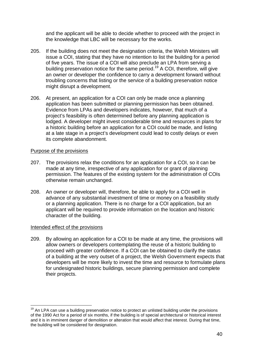and the applicant will be able to decide whether to proceed with the project in the knowledge that LBC will be necessary for the works.

- 205. If the building does not meet the designation criteria, the Welsh Ministers will issue a COI, stating that they have no intention to list the building for a period of five years. The issue of a COI will also preclude an LPA from serving a building preservation notice for the same period.<sup>[19](#page-39-0)</sup> A COI, therefore, will give an owner or developer the confidence to carry a development forward without troubling concerns that listing or the service of a building preservation notice might disrupt a development.
- 206. At present, an application for a COI can only be made once a planning application has been submitted or planning permission has been obtained. Evidence from LPAs and developers indicates, however, that much of a project's feasibility is often determined before any planning application is lodged. A developer might invest considerable time and resources in plans for a historic building before an application for a COI could be made, and listing at a late stage in a project's development could lead to costly delays or even its complete abandonment.

#### Purpose of the provisions

- 207. The provisions relax the conditions for an application for a COI, so it can be made at any time, irrespective of any application for or grant of planning permission. The features of the existing system for the administration of COIs otherwise remain unchanged.
- 208. An owner or developer will, therefore, be able to apply for a COI well in advance of any substantial investment of time or money on a feasibility study or a planning application. There is no charge for a COI application, but an applicant will be required to provide information on the location and historic character of the building.

#### Intended effect of the provisions

209. By allowing an application for a COI to be made at any time, the provisions will allow owners or developers contemplating the reuse of a historic building to proceed with greater confidence. If a COI can be obtained to clarify the status of a building at the very outset of a project, the Welsh Government expects that developers will be more likely to invest the time and resource to formulate plans for undesignated historic buildings, secure planning permission and complete their projects.

<span id="page-39-0"></span> $19$  An LPA can use a building preservation notice to protect an unlisted building under the provisions of the 1990 Act for a period of six months, if the building is of special architectural or historical interest and it is in imminent danger of demolition or alteration that would affect that interest. During that time, the building will be considered for designation.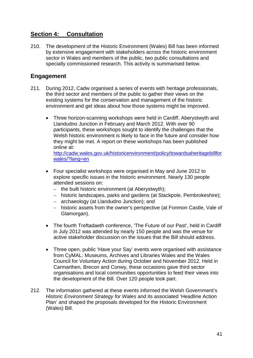# **Section 4: Consultation**

210. The development of the Historic Environment (Wales) Bill has been informed by extensive engagement with stakeholders across the historic environment sector in Wales and members of the public, two public consultations and specially commissioned research. This activity is summarised below.

# **Engagement**

- 211. During 2012, Cadw organised a series of events with heritage professionals, the third sector and members of the public to gather their views on the existing systems for the conservation and management of the historic environment and get ideas about how those systems might be improved.
	- Three horizon-scanning workshops were held in Cardiff, Aberystwyth and Llandudno Junction in February and March 2012. With over 90 participants, these workshops sought to identify the challenges that the Welsh historic environment is likely to face in the future and consider how they might be met. A report on these workshops has been published online at:

[http://cadw.wales.gov.uk/historicenvironment/policy/towardsaheritagebillfor](http://cadw.wales.gov.uk/historicenvironment/policy/towardsaheritagebillforwales/?lang=en) [wales/?lang=en](http://cadw.wales.gov.uk/historicenvironment/policy/towardsaheritagebillforwales/?lang=en)

- Four specialist workshops were organised in May and June 2012 to explore specific issues in the historic environment. Nearly 130 people attended sessions on:
	- − the built historic environment (at Aberystwyth);
	- − historic landscapes, parks and gardens (at Stackpole, Pembrokeshire);
	- − archaeology (at Llandudno Junction); and
	- − historic assets from the owner's perspective (at Fonmon Castle, Vale of Glamorgan).
- The fourth Treftadaeth conference, 'The Future of our Past', held in Cardiff in July 2012 was attended by nearly 150 people and was the venue for active stakeholder discussion on the issues that the Bill should address.
- Three open, public 'Have your Say' events were organised with assistance from CyMAL: Museums, Archives and Libraries Wales and the Wales Council for Voluntary Action during October and November 2012. Held in Carmarthen, Brecon and Conwy, these occasions gave third sector organisations and local communities opportunities to feed their views into the development of the Bill. Over 120 people took part.
- 212. The information gathered at these events informed the Welsh Government's *Historic Environment Strategy for Wales* and its associated 'Headline Action Plan' and shaped the proposals developed for the Historic Environment (Wales) Bill.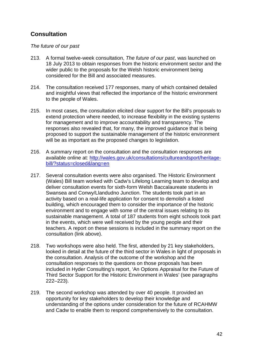# **Consultation**

## *The future of our past*

- 213. A formal twelve-week consultation, *The future of our past*, was launched on 18 July 2013 to obtain responses from the historic environment sector and the wider public to the proposals for the Welsh historic environment being considered for the Bill and associated measures.
- 214. The consultation received 177 responses, many of which contained detailed and insightful views that reflected the importance of the historic environment to the people of Wales.
- 215. In most cases, the consultation elicited clear support for the Bill's proposals to extend protection where needed, to increase flexibility in the existing systems for management and to improve accountability and transparency. The responses also revealed that, for many, the improved guidance that is being proposed to support the sustainable management of the historic environment will be as important as the proposed changes to legislation.
- 216. A summary report on the consultation and the consultation responses are available online at: [http://wales.gov.uk/consultations/cultureandsport/heritage](http://wales.gov.uk/consultations/cultureandsport/heritage-bill/?status=closed&lang=en)[bill/?status=closed&lang=en](http://wales.gov.uk/consultations/cultureandsport/heritage-bill/?status=closed&lang=en)
- 217. Several consultation events were also organised. The Historic Environment (Wales) Bill team worked with Cadw's Lifelong Learning team to develop and deliver consultation events for sixth-form Welsh Baccalaureate students in Swansea and Conwy/Llandudno Junction. The students took part in an activity based on a real-life application for consent to demolish a listed building, which encouraged them to consider the importance of the historic environment and to engage with some of the central issues relating to its sustainable management. A total of 187 students from eight schools took part in the events, which were well received by the young people and their teachers. A report on these sessions is included in the summary report on the consultation (link above).
- 218. Two workshops were also held. The first, attended by 21 key stakeholders, looked in detail at the future of the third sector in Wales in light of proposals in the consultation. Analysis of the outcome of the workshop and the consultation responses to the questions on those proposals has been included in Hyder Consulting's report, 'An Options Appraisal for the Future of Third Sector Support for the Historic Environment in Wales' (see paragraphs 222–223).
- 219. The second workshop was attended by over 40 people. It provided an opportunity for key stakeholders to develop their knowledge and understanding of the options under consideration for the future of RCAHMW and Cadw to enable them to respond comprehensively to the consultation.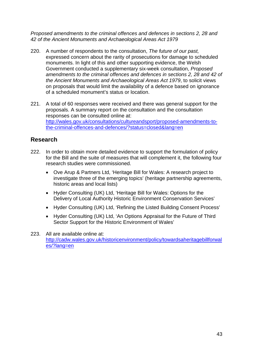*Proposed amendments to the criminal offences and defences in sections 2, 28 and 42 of the Ancient Monuments and Archaeological Areas Act 1979*

- 220. A number of respondents to the consultation, *The future of our past,*  expressed concern about the rarity of prosecutions for damage to scheduled monuments. In light of this and other supporting evidence, the Welsh Government conducted a supplementary six-week consultation, *Proposed amendments to the criminal offences and defences in sections 2, 28 and 42 of the Ancient Monuments and Archaeological Areas Act 1979*, to solicit views on proposals that would limit the availability of a defence based on ignorance of a scheduled monument's status or location.
- 221. A total of 60 responses were received and there was general support for the proposals. A summary report on the consultation and the consultation responses can be consulted online at: [http://wales.gov.uk/consultations/cultureandsport/proposed-amendments-to](http://wales.gov.uk/consultations/cultureandsport/proposed-amendments-to-the-criminal-offences-and-defences/?status=closed&lang=en)[the-criminal-offences-and-defences/?status=closed&lang=en](http://wales.gov.uk/consultations/cultureandsport/proposed-amendments-to-the-criminal-offences-and-defences/?status=closed&lang=en)

# **Research**

- 222. In order to obtain more detailed evidence to support the formulation of policy for the Bill and the suite of measures that will complement it, the following four research studies were commissioned.
	- Ove Arup & Partners Ltd, 'Heritage Bill for Wales: A research project to investigate three of the emerging topics' (heritage partnership agreements, historic areas and local lists)
	- Hyder Consulting (UK) Ltd, 'Heritage Bill for Wales: Options for the Delivery of Local Authority Historic Environment Conservation Services'
	- Hyder Consulting (UK) Ltd, 'Refining the Listed Building Consent Process'
	- Hyder Consulting (UK) Ltd, 'An Options Appraisal for the Future of Third Sector Support for the Historic Environment of Wales'
- 223. All are available online at: [http://cadw.wales.gov.uk/historicenvironment/policy/towardsaheritagebillforwal](http://cadw.wales.gov.uk/historicenvironment/policy/towardsaheritagebillforwales/?lang=en) [es/?lang=en](http://cadw.wales.gov.uk/historicenvironment/policy/towardsaheritagebillforwales/?lang=en)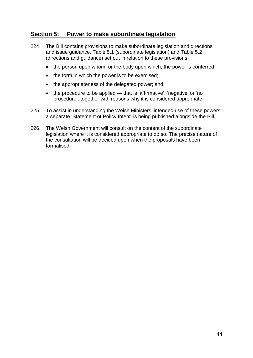# **Section 5: Power to make subordinate legislation**

- 224. The Bill contains provisions to make subordinate legislation and directions and issue guidance. Table 5.1 (subordinate legislation) and Table 5.2 (directions and guidance) set out in relation to these provisions:
	- the person upon whom, or the body upon which, the power is conferred;
	- the form in which the power is to be exercised;
	- the appropriateness of the delegated power; and
	- the procedure to be applied that is 'affirmative', 'negative' or 'no procedure', together with reasons why it is considered appropriate.
- 225. To assist in understanding the Welsh Ministers' intended use of these powers, a separate 'Statement of Policy Intent' is being published alongside the Bill.
- 226. The Welsh Government will consult on the content of the subordinate legislation where it is considered appropriate to do so. The precise nature of the consultation will be decided upon when the proposals have been formalised.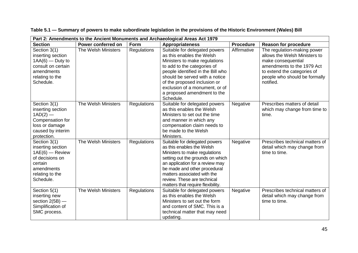|                                                                                                                                    |                     | Part 2: Amendments to the Ancient Monuments and Archaeological Areas Act 1979 |                                                                                                                                                                                                                                                                                                                 |                  |                                                                                                                                                                                               |  |
|------------------------------------------------------------------------------------------------------------------------------------|---------------------|-------------------------------------------------------------------------------|-----------------------------------------------------------------------------------------------------------------------------------------------------------------------------------------------------------------------------------------------------------------------------------------------------------------|------------------|-----------------------------------------------------------------------------------------------------------------------------------------------------------------------------------------------|--|
| <b>Section</b>                                                                                                                     | Power conferred on  | <b>Form</b>                                                                   | Appropriateness                                                                                                                                                                                                                                                                                                 | <b>Procedure</b> | <b>Reason for procedure</b>                                                                                                                                                                   |  |
| Section 3(1)<br>inserting section<br>$1AA(6)$ — Duty to<br>consult on certain<br>amendments<br>relating to the<br>Schedule.        | The Welsh Ministers | Regulations                                                                   | Suitable for delegated powers<br>as this enables the Welsh<br>Ministers to make regulations<br>to add to the categories of<br>people identified in the Bill who<br>should be served with a notice<br>of the proposed inclusion or<br>exclusion of a monument, or of<br>a proposed amendment to the<br>Schedule. | Affirmative      | The regulation-making power<br>allows the Welsh Ministers to<br>make consequential<br>amendments to the 1979 Act<br>to extend the categories of<br>people who should be formally<br>notified. |  |
| Section 3(1)<br>inserting section<br>$1AD(2)$ —<br>Compensation for<br>loss or damage<br>caused by interim<br>protection.          | The Welsh Ministers | <b>Regulations</b>                                                            | Suitable for delegated powers<br>as this enables the Welsh<br>Ministers to set out the time<br>and manner in which any<br>compensation claim needs to<br>be made to the Welsh<br>Ministers.                                                                                                                     | Negative         | Prescribes matters of detail<br>which may change from time to<br>time.                                                                                                                        |  |
| Section 3(1)<br>inserting section<br>$1AE(6)$ - Review<br>of decisions on<br>certain<br>amendments<br>relating to the<br>Schedule. | The Welsh Ministers | <b>Regulations</b>                                                            | Suitable for delegated powers<br>as this enables the Welsh<br>Ministers to make regulations<br>setting out the grounds on which<br>an application for a review may<br>be made and other procedural<br>matters associated with the<br>review. These are technical<br>matters that require flexibility.           | Negative         | Prescribes technical matters of<br>detail which may change from<br>time to time.                                                                                                              |  |
| Section 5(1)<br>inserting new<br>section $2(5B)$ —<br>Simplification of<br>SMC process.                                            | The Welsh Ministers | <b>Regulations</b>                                                            | Suitable for delegated powers<br>as this enables the Welsh<br>Ministers to set out the form<br>and content of SMC. This is a<br>technical matter that may need<br>updating.                                                                                                                                     | Negative         | Prescribes technical matters of<br>detail which may change from<br>time to time.                                                                                                              |  |

**Table 5.1 — Summary of powers to make subordinate legislation in the provisions of the Historic Environment (Wales) Bill**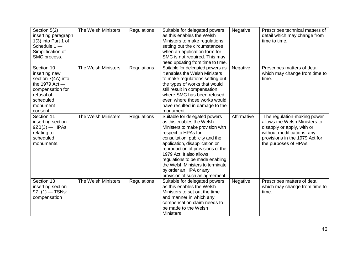| Section 5(2)<br>inserting paragraph<br>1(3) into Part 1 of<br>Schedule 1-<br>Simplification of<br>SMC process.                               | The Welsh Ministers | <b>Regulations</b> | Suitable for delegated powers<br>as this enables the Welsh<br>Ministers to make regulations<br>setting out the circumstances<br>when an application form for<br>SMC is not required. This may<br>need updating from time to time.                                                                                                                                                               | Negative    | Prescribes technical matters of<br>detail which may change from<br>time to time.                                                                                                    |
|----------------------------------------------------------------------------------------------------------------------------------------------|---------------------|--------------------|-------------------------------------------------------------------------------------------------------------------------------------------------------------------------------------------------------------------------------------------------------------------------------------------------------------------------------------------------------------------------------------------------|-------------|-------------------------------------------------------------------------------------------------------------------------------------------------------------------------------------|
| Section 10<br>inserting new<br>section 7(4A) into<br>the 1979 Act $-$<br>compensation for<br>refusal of<br>scheduled<br>monument<br>consent. | The Welsh Ministers | <b>Regulations</b> | Suitable for delegated powers as<br>it enables the Welsh Ministers<br>to make regulations setting out<br>the types of works that would<br>still result in compensation<br>where SMC has been refused,<br>even where those works would<br>have resulted in damage to the<br>monument                                                                                                             | Negative    | Prescribes matters of detail<br>which may change from time to<br>time.                                                                                                              |
| Section 11<br>inserting section<br>$9ZB(3)$ - HPAs<br>relating to<br>scheduled<br>monuments.                                                 | The Welsh Ministers | Regulations        | Suitable for delegated powers<br>as this enables the Welsh<br>Ministers to make provision with<br>respect to HPAs for<br>consultation, publicity and the<br>application, disapplication or<br>reproduction of provisions of the<br>1979 Act. It also allows<br>regulations to be made enabling<br>the Welsh Ministers to terminate<br>by order an HPA or any<br>provision of such an agreement. | Affirmative | The regulation-making power<br>allows the Welsh Ministers to<br>disapply or apply, with or<br>without modifications, any<br>provisions in the 1979 Act for<br>the purposes of HPAs. |
| Section 13<br>inserting section<br>$9ZL(1)$ - TSNs:<br>compensation                                                                          | The Welsh Ministers | <b>Regulations</b> | Suitable for delegated powers<br>as this enables the Welsh<br>Ministers to set out the time<br>and manner in which any<br>compensation claim needs to<br>be made to the Welsh<br>Ministers.                                                                                                                                                                                                     | Negative    | Prescribes matters of detail<br>which may change from time to<br>time.                                                                                                              |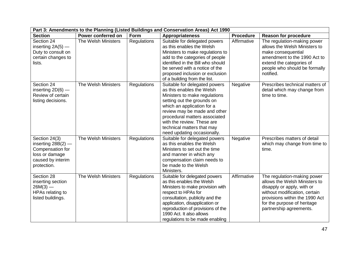|                                                                                                                 | Part 3: Amendments to the Planning (Listed Buildings and Conservation Areas) Act 1990 |                    |                                                                                                                                                                                                                                                                                                                     |                  |                                                                                                                                                                                                                         |
|-----------------------------------------------------------------------------------------------------------------|---------------------------------------------------------------------------------------|--------------------|---------------------------------------------------------------------------------------------------------------------------------------------------------------------------------------------------------------------------------------------------------------------------------------------------------------------|------------------|-------------------------------------------------------------------------------------------------------------------------------------------------------------------------------------------------------------------------|
| <b>Section</b>                                                                                                  | Power conferred on                                                                    | Form               | <b>Appropriateness</b>                                                                                                                                                                                                                                                                                              | <b>Procedure</b> | <b>Reason for procedure</b>                                                                                                                                                                                             |
| Section 24<br>inserting $2A(5)$ -<br>Duty to consult on<br>certain changes to<br>lists.                         | The Welsh Ministers                                                                   | <b>Regulations</b> | Suitable for delegated powers<br>as this enables the Welsh<br>Ministers to make regulations to<br>add to the categories of people<br>identified in the Bill who should<br>be served with a notice of the<br>proposed inclusion or exclusion<br>of a building from the list.                                         | Affirmative      | The regulation-making power<br>allows the Welsh Ministers to<br>make consequential<br>amendment to the 1990 Act to<br>extend the categories of<br>people who should be formally<br>notified.                            |
| Section 24<br>inserting $2D(6)$ —<br>Review of certain<br>listing decisions.                                    | The Welsh Ministers                                                                   | <b>Regulations</b> | Suitable for delegated powers<br>as this enables the Welsh<br>Ministers to make regulations<br>setting out the grounds on<br>which an application for a<br>review may be made and other<br>procedural matters associated<br>with the review. These are<br>technical matters that may<br>need updating occasionally. | Negative         | Prescribes technical matters of<br>detail which may change from<br>time to time.                                                                                                                                        |
| Section 24(3)<br>inserting $28B(2)$ -<br>Compensation for<br>loss or damage<br>caused by interim<br>protection. | The Welsh Ministers                                                                   | Regulations        | Suitable for delegated powers<br>as this enables the Welsh<br>Ministers to set out the time<br>and manner in which any<br>compensation claim needs to<br>be made to the Welsh<br>Ministers.                                                                                                                         | Negative         | Prescribes matters of detail<br>which may change from time to<br>time.                                                                                                                                                  |
| Section 28<br>inserting section<br>$26M(3) -$<br>HPAs relating to<br>listed buildings.                          | The Welsh Ministers                                                                   | <b>Regulations</b> | Suitable for delegated powers<br>as this enables the Welsh<br>Ministers to make provision with<br>respect to HPAs for<br>consultation, publicity and the<br>application, disapplication or<br>reproduction of provisions of the<br>1990 Act. It also allows<br>regulations to be made enabling                      | Affirmative      | The regulation-making power<br>allows the Welsh Ministers to<br>disapply or apply, with or<br>without modification, certain<br>provisions within the 1990 Act<br>for the purpose of heritage<br>partnership agreements. |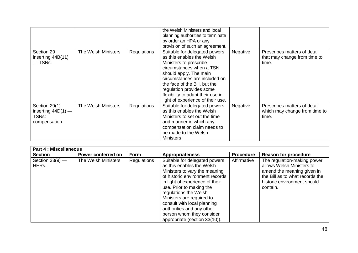|                                                                |                     |                    | the Welsh Ministers and local<br>planning authorities to terminate<br>by order an HPA or any<br>provision of such an agreement.                                                                                                                                                                                    |          |                                                                        |
|----------------------------------------------------------------|---------------------|--------------------|--------------------------------------------------------------------------------------------------------------------------------------------------------------------------------------------------------------------------------------------------------------------------------------------------------------------|----------|------------------------------------------------------------------------|
| Section 29<br>inserting 44B(11)<br>$-$ TSNs.                   | The Welsh Ministers | <b>Regulations</b> | Suitable for delegated powers<br>as this enables the Welsh<br>Ministers to prescribe<br>circumstances when a TSN<br>should apply. The main<br>circumstances are included on<br>the face of the Bill, but the<br>regulation provides some<br>flexibility to adapt their use in<br>light of experience of their use. | Negative | Prescribes matters of detail<br>that may change from time to<br>time.  |
| Section 29(1)<br>inserting $44D(1)$ —<br>TSNs:<br>compensation | The Welsh Ministers | <b>Regulations</b> | Suitable for delegated powers<br>as this enables the Welsh<br>Ministers to set out the time<br>and manner in which any<br>compensation claim needs to<br>be made to the Welsh<br>Ministers.                                                                                                                        | Negative | Prescribes matters of detail<br>which may change from time to<br>time. |

| <b>Part 4: Miscellaneous</b> |                     |             |                                                                                                                                                                                                                                                                                                                                                                               |                  |                                                                                                                                                                      |
|------------------------------|---------------------|-------------|-------------------------------------------------------------------------------------------------------------------------------------------------------------------------------------------------------------------------------------------------------------------------------------------------------------------------------------------------------------------------------|------------------|----------------------------------------------------------------------------------------------------------------------------------------------------------------------|
| <b>Section</b>               | Power conferred on  | <b>Form</b> | <b>Appropriateness</b>                                                                                                                                                                                                                                                                                                                                                        | <b>Procedure</b> | <b>Reason for procedure</b>                                                                                                                                          |
| Section $33(9)$ —<br>HERs.   | The Welsh Ministers | Regulations | Suitable for delegated powers<br>as this enables the Welsh<br>Ministers to vary the meaning<br>of historic environment records<br>in light of experience of their<br>use. Prior to making the<br>regulations the Welsh<br>Ministers are required to<br>consult with local planning<br>authorities and any other<br>person whom they consider<br>appropriate (section 33(10)). | Affirmative      | The regulation-making power<br>allows Welsh Ministers to<br>amend the meaning given in<br>the Bill as to what records the<br>historic environment should<br>contain. |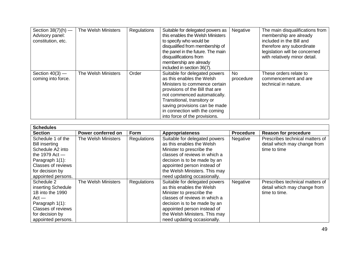| Section $38(7)(h)$ —<br>Advisory panel:<br>constitution, etc. | The Welsh Ministers | <b>Regulations</b> | Suitable for delegated powers as<br>this enables the Welsh Ministers<br>to specify who would be<br>disqualified from membership of<br>the panel in the future. The main<br>disqualifications from<br>membership are already<br>included in section 36(7).                                        | Negative               | The main disqualifications from<br>membership are already<br>included in the Bill and<br>therefore any subordinate<br>legislation will be concerned<br>with relatively minor detail. |
|---------------------------------------------------------------|---------------------|--------------------|--------------------------------------------------------------------------------------------------------------------------------------------------------------------------------------------------------------------------------------------------------------------------------------------------|------------------------|--------------------------------------------------------------------------------------------------------------------------------------------------------------------------------------|
| Section $40(3)$ —<br>coming into force.                       | The Welsh Ministers | Order              | Suitable for delegated powers<br>as this enables the Welsh<br>Ministers to commence certain<br>provisions of the Bill that are<br>not commenced automatically.<br>Transitional, transitory or<br>saving provisions can be made<br>in connection with the coming<br>into force of the provisions. | <b>No</b><br>procedure | These orders relate to<br>commencement and are<br>technical in nature.                                                                                                               |

| <b>Schedules</b>                                                                                                                                                            |                     |                    |                                                                                                                                                                                                                                                         |                  |                                                                                  |
|-----------------------------------------------------------------------------------------------------------------------------------------------------------------------------|---------------------|--------------------|---------------------------------------------------------------------------------------------------------------------------------------------------------------------------------------------------------------------------------------------------------|------------------|----------------------------------------------------------------------------------|
| <b>Section</b>                                                                                                                                                              | Power conferred on  | Form               | <b>Appropriateness</b>                                                                                                                                                                                                                                  | <b>Procedure</b> | <b>Reason for procedure</b>                                                      |
| Schedule 1 of the<br><b>Bill inserting</b><br>Schedule A2 into<br>the 1979 Act $-$<br>Paragraph 1(1):<br><b>Classes of reviews</b><br>for decision by<br>appointed persons. | The Welsh Ministers | <b>Regulations</b> | Suitable for delegated powers<br>as this enables the Welsh<br>Minister to prescribe the<br>classes of reviews in which a<br>decision is to be made by an<br>appointed person instead of<br>the Welsh Ministers. This may<br>need updating occasionally. | Negative         | Prescribes technical matters of<br>detail which may change from<br>time to time  |
| Schedule 2<br>inserting Schedule<br>1B into the 1990<br>$Act -$<br>Paragraph 1(1):<br><b>Classes of reviews</b><br>for decision by<br>appointed persons.                    | The Welsh Ministers | <b>Regulations</b> | Suitable for delegated powers<br>as this enables the Welsh<br>Minister to prescribe the<br>classes of reviews in which a<br>decision is to be made by an<br>appointed person instead of<br>the Welsh Ministers. This may<br>need updating occasionally. | Negative         | Prescribes technical matters of<br>detail which may change from<br>time to time. |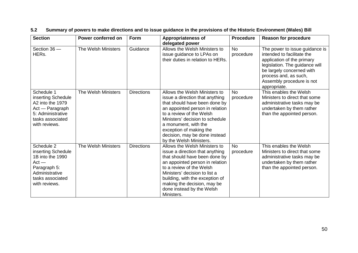| <b>Section</b>                                                                                                                         | Power conferred on  | <b>Form</b>       | <b>Appropriateness of</b><br>delegated power                                                                                                                                                                                                                                                                       | <b>Procedure</b>       | <b>Reason for procedure</b>                                                                                                                                                                                                     |
|----------------------------------------------------------------------------------------------------------------------------------------|---------------------|-------------------|--------------------------------------------------------------------------------------------------------------------------------------------------------------------------------------------------------------------------------------------------------------------------------------------------------------------|------------------------|---------------------------------------------------------------------------------------------------------------------------------------------------------------------------------------------------------------------------------|
| Section 36 –<br>HERs.                                                                                                                  | The Welsh Ministers | Guidance          | Allows the Welsh Ministers to<br>issue guidance to LPAs on<br>their duties in relation to HERs.                                                                                                                                                                                                                    | <b>No</b><br>procedure | The power to issue guidance is<br>intended to facilitate the<br>application of the primary<br>legislation. The guidance will<br>be largely concerned with<br>process and, as such,<br>Assembly procedure is not<br>appropriate. |
| Schedule 1<br>inserting Schedule<br>A2 into the 1979<br>Act — Paragraph<br>5: Administrative<br>tasks associated<br>with reviews.      | The Welsh Ministers | <b>Directions</b> | Allows the Welsh Ministers to<br>issue a direction that anything<br>that should have been done by<br>an appointed person in relation<br>to a review of the Welsh<br>Ministers' decision to schedule<br>a monument, with the<br>exception of making the<br>decision, may be done instead<br>by the Welsh Ministers. | <b>No</b><br>procedure | This enables the Welsh<br>Ministers to direct that some<br>administrative tasks may be<br>undertaken by them rather<br>than the appointed person.                                                                               |
| Schedule 2<br>inserting Schedule<br>1B into the 1990<br>$Act -$<br>Paragraph 5:<br>Administrative<br>tasks associated<br>with reviews. | The Welsh Ministers | <b>Directions</b> | Allows the Welsh Ministers to<br>issue a direction that anything<br>that should have been done by<br>an appointed person in relation<br>to a review of the Welsh<br>Ministers' decision to list a<br>building, with the exception of<br>making the decision, may be<br>done instead by the Welsh<br>Ministers.     | <b>No</b><br>procedure | This enables the Welsh<br>Ministers to direct that some<br>administrative tasks may be<br>undertaken by them rather<br>than the appointed person.                                                                               |

## **5.2 Summary of powers to make directions and to issue guidance in the provisions of the Historic Environment (Wales) Bill**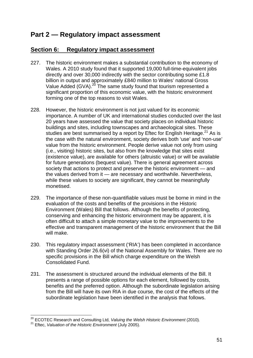# **Part 2 — Regulatory impact assessment**

# **Section 6: Regulatory impact assessment**

- 227. The historic environment makes a substantial contribution to the economy of Wales. A 2010 study found that it supported 19,000 full-time-equivalent jobs directly and over 30,000 indirectly with the sector contributing some £1.8 billion in output and approximately £840 million to Wales' national Gross Value Added (GVA).<sup>[20](#page-50-0)</sup> The same study found that tourism represented a significant proportion of this economic value, with the historic environment forming one of the top reasons to visit Wales.
- 228. However, the historic environment is not just valued for its economic importance. A number of UK and international studies conducted over the last 20 years have assessed the value that society places on individual historic buildings and sites, including townscapes and archaeological sites. These studies are best summarised by a report by Eftec for English Heritage.<sup>[21](#page-50-1)</sup> As is the case with the natural environment, society derives both 'use' and 'non-use' value from the historic environment. People derive value not only from using (i.e., visiting) historic sites, but also from the knowledge that sites exist (existence value), are available for others (altruistic value) or will be available for future generations (bequest value). There is general agreement across society that actions to protect and preserve the historic environment — and the values derived from it — are necessary and worthwhile. Nevertheless, while these values to society are significant, they cannot be meaningfully monetised.
- 229. The importance of these non-quantifiable values must be borne in mind in the evaluation of the costs and benefits of the provisions in the Historic Environment (Wales) Bill that follows. Although the benefits of protecting, conserving and enhancing the historic environment may be apparent, it is often difficult to attach a simple monetary value to the improvements to the effective and transparent management of the historic environment that the Bill will make.
- 230. This regulatory impact assessment ('RIA') has been completed in accordance with Standing Order 26.6(vi) of the National Assembly for Wales. There are no specific provisions in the Bill which charge expenditure on the Welsh Consolidated Fund.
- 231. The assessment is structured around the individual elements of the Bill. It presents a range of possible options for each element, followed by costs, benefits and the preferred option. Although the subordinate legislation arising from the Bill will have its own RIA in due course, the cost of the effects of the subordinate legislation have been identified in the analysis that follows.

<span id="page-50-0"></span><sup>20</sup> ECOTEC Research and Consulting Ltd, *Valuing the Welsh Historic Environment* (2010)*.*

<span id="page-50-1"></span><sup>21</sup> Eftec, *Valuation of the Historic Environment* (July 2005).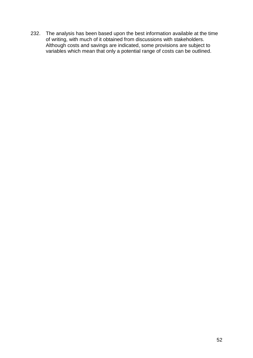232. The analysis has been based upon the best information available at the time of writing, with much of it obtained from discussions with stakeholders. Although costs and savings are indicated, some provisions are subject to variables which mean that only a potential range of costs can be outlined.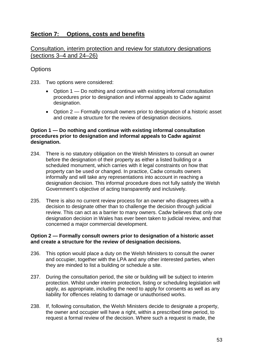# **Section 7: Options, costs and benefits**

# Consultation, interim protection and review for statutory designations (sections 3–4 and 24–26)

# **Options**

- 233. Two options were considered:
	- Option 1 Do nothing and continue with existing informal consultation procedures prior to designation and informal appeals to Cadw against designation.
	- Option 2 Formally consult owners prior to designation of a historic asset and create a structure for the review of designation decisions.

#### **Option 1 — Do nothing and continue with existing informal consultation procedures prior to designation and informal appeals to Cadw against designation.**

- 234. There is no statutory obligation on the Welsh Ministers to consult an owner before the designation of their property as either a listed building or a scheduled monument, which carries with it legal constraints on how that property can be used or changed. In practice, Cadw consults owners informally and will take any representations into account in reaching a designation decision. This informal procedure does not fully satisfy the Welsh Government's objective of acting transparently and inclusively.
- 235. There is also no current review process for an owner who disagrees with a decision to designate other than to challenge the decision through judicial review. This can act as a barrier to many owners. Cadw believes that only one designation decision in Wales has ever been taken to judicial review, and that concerned a major commercial development.

#### **Option 2 — Formally consult owners prior to designation of a historic asset and create a structure for the review of designation decisions.**

- 236. This option would place a duty on the Welsh Ministers to consult the owner and occupier, together with the LPA and any other interested parties, when they are minded to list a building or schedule a site.
- 237. During the consultation period, the site or building will be subject to interim protection. Whilst under interim protection, listing or scheduling legislation will apply, as appropriate, including the need to apply for consents as well as any liability for offences relating to damage or unauthorised works.
- 238. If, following consultation, the Welsh Ministers decide to designate a property, the owner and occupier will have a right, within a prescribed time period, to request a formal review of the decision. Where such a request is made, the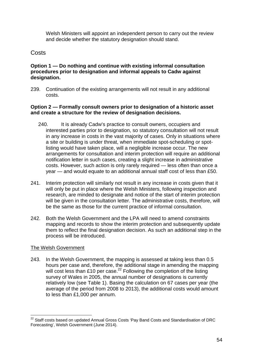Welsh Ministers will appoint an independent person to carry out the review and decide whether the statutory designation should stand.

# Costs

#### **Option 1 — Do nothing and continue with existing informal consultation procedures prior to designation and informal appeals to Cadw against designation.**

239. Continuation of the existing arrangements will not result in any additional costs.

#### **Option 2 — Formally consult owners prior to designation of a historic asset and create a structure for the review of designation decisions.**

- 240. It is already Cadw's practice to consult owners, occupiers and interested parties prior to designation, so statutory consultation will not result in any increase in costs in the vast majority of cases. Only in situations where a site or building is under threat, when immediate spot-scheduling or spotlisting would have taken place, will a negligible increase occur. The new arrangements for consultation and interim protection will require an additional notification letter in such cases, creating a slight increase in administrative costs. However, such action is only rarely required — less often than once a year — and would equate to an additional annual staff cost of less than £50.
- 241. Interim protection will similarly not result in any increase in costs given that it will only be put in place where the Welsh Ministers, following inspection and research, are minded to designate and notice of the start of interim protection will be given in the consultation letter. The administrative costs, therefore, will be the same as those for the current practice of informal consultation.
- 242. Both the Welsh Government and the LPA will need to amend constraints mapping and records to show the interim protection and subsequently update them to reflect the final designation decision. As such an additional step in the process will be introduced.

## The Welsh Government

243. In the Welsh Government, the mapping is assessed at taking less than 0.5 hours per case and, therefore, the additional stage in amending the mapping will cost less than £10 per case.<sup>[22](#page-53-0)</sup> Following the completion of the listing survey of Wales in 2005, the annual number of designations is currently relatively low (see Table 1). Basing the calculation on 67 cases per year (the average of the period from 2008 to 2013), the additional costs would amount to less than £1,000 per annum.

<span id="page-53-0"></span><sup>&</sup>lt;sup>22</sup> Staff costs based on updated Annual Gross Costs 'Pay Band Costs and Standardisation of DRC Forecasting', Welsh Government (June 2014).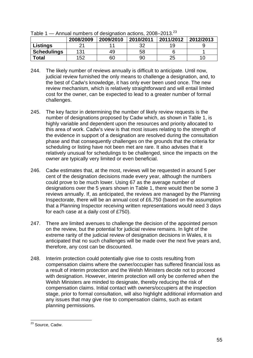| י שושאי<br>$\overline{I}$ withdul Hambold of aboldination abublic, 2000 $\overline{2}$ 010. |           |           |           |           |           |  |  |
|---------------------------------------------------------------------------------------------|-----------|-----------|-----------|-----------|-----------|--|--|
|                                                                                             | 2008/2009 | 2009/2010 | 2010/2011 | 2011/2012 | 2012/2013 |  |  |
| Listings                                                                                    |           |           | ດຕ        |           |           |  |  |
| <b>Schedulings</b>                                                                          | 131       | 49        | 58        |           |           |  |  |
| <b>Total</b>                                                                                | 152       | 60        | 90        | 25        |           |  |  |

Table 1 — Annual numbers of designation actions,  $2008-2013^{23}$  $2008-2013^{23}$  $2008-2013^{23}$ 

- 244. The likely number of reviews annually is difficult to anticipate. Until now, judicial review furnished the only means to challenge a designation, and, to the best of Cadw's knowledge, it has only ever been used once. The new review mechanism, which is relatively straightforward and will entail limited cost for the owner, can be expected to lead to a greater number of formal challenges.
- 245. The key factor in determining the number of likely review requests is the number of designations proposed by Cadw which, as shown in Table 1, is highly variable and dependent upon the resources and priority allocated to this area of work. Cadw's view is that most issues relating to the strength of the evidence in support of a designation are resolved during the consultation phase and that consequently challenges on the grounds that the criteria for scheduling or listing have not been met are rare. It also advises that it relatively unusual for schedulings to be challenged, since the impacts on the owner are typically very limited or even beneficial.
- 246. Cadw estimates that, at the most, reviews will be requested in around 5 per cent of the designation decisions made every year, although the numbers could prove to be much lower. Using 67 as the average number of designations over the 5 years shown in Table 1, there would then be some 3 reviews annually. If, as anticipated, the reviews are managed by the Planning Inspectorate, there will be an annual cost of £6,750 (based on the assumption that a Planning Inspector receiving written representations would need 3 days for each case at a daily cost of £750).
- 247. There are limited avenues to challenge the decision of the appointed person on the review, but the potential for judicial review remains. In light of the extreme rarity of the judicial review of designation decisions in Wales, it is anticipated that no such challenges will be made over the next five years and, therefore, any cost can be discounted.
- 248. Interim protection could potentially give rise to costs resulting from compensation claims where the owner/occupier has suffered financial loss as a result of interim protection and the Welsh Ministers decide not to proceed with designation. However, interim protection will only be conferred when the Welsh Ministers are minded to designate, thereby reducing the risk of compensation claims. Initial contact with owners/occupiers at the inspection stage, prior to formal consultation, will also highlight additional information and any issues that may give rise to compensation claims, such as extant planning permissions.

<span id="page-54-0"></span><sup>&</sup>lt;sup>23</sup> Source, Cadw.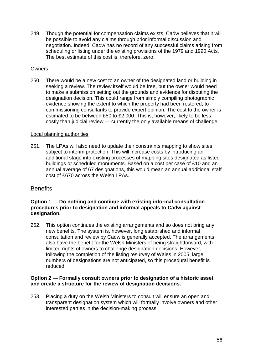249. Though the potential for compensation claims exists, Cadw believes that it will be possible to avoid any claims through prior informal discussion and negotiation. Indeed, Cadw has no record of any successful claims arising from scheduling or listing under the existing provisions of the 1979 and 1990 Acts. The best estimate of this cost is, therefore, zero.

## **Owners**

250. There would be a new cost to an owner of the designated land or building in seeking a review. The review itself would be free, but the owner would need to make a submission setting out the grounds and evidence for disputing the designation decision. This could range from simply compiling photographic evidence showing the extent to which the property had been restored, to commissioning consultants to provide expert opinion. The cost to the owner is estimated to be between £50 to £2,000. This is, however, likely to be less costly than judicial review — currently the only available means of challenge.

## Local planning authorities

251. The LPAs will also need to update their constraints mapping to show sites subject to interim protection. This will increase costs by introducing an additional stage into existing processes of mapping sites designated as listed buildings or scheduled monuments. Based on a cost per case of £10 and an annual average of 67 designations, this would mean an annual additional staff cost of £670 across the Welsh LPAs.

# **Benefits**

#### **Option 1 — Do nothing and continue with existing informal consultation procedures prior to designation and informal appeals to Cadw against designation.**

252. This option continues the existing arrangements and so does not bring any new benefits. The system is, however, long established and informal consultation and review by Cadw is generally accepted. The arrangements also have the benefit for the Welsh Ministers of being straightforward, with limited rights of owners to challenge designation decisions. However, following the completion of the listing resurvey of Wales in 2005, large numbers of designations are not anticipated, so this procedural benefit is reduced.

#### **Option 2 — Formally consult owners prior to designation of a historic asset and create a structure for the review of designation decisions.**

253. Placing a duty on the Welsh Ministers to consult will ensure an open and transparent designation system which will formally involve owners and other interested parties in the decision-making process.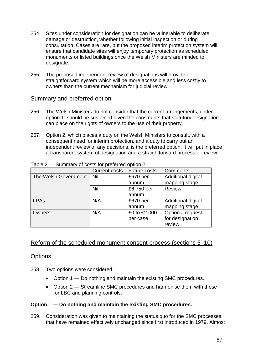- 254. Sites under consideration for designation can be vulnerable to deliberate damage or destruction, whether following initial inspection or during consultation. Cases are rare, but the proposed interim protection system will ensure that candidate sites will enjoy temporary protection as scheduled monuments or listed buildings once the Welsh Ministers are minded to designate.
- 255. The proposed independent review of designations will provide a straightforward system which will be more accessible and less costly to owners than the current mechanism for judicial review.

# Summary and preferred option

- 256. The Welsh Ministers do not consider that the current arrangements, under option 1, should be sustained given the constraints that statutory designation can place on the rights of owners to the use of their property.
- 257. Option 2, which places a duty on the Welsh Ministers to consult, with a consequent need for interim protection, and a duty to carry out an independent review of any decisions, is the preferred option. It will put in place a transparent system of designation and a straightforward process of review.

|                      | Current costs | <b>Future costs</b> | Comments           |
|----------------------|---------------|---------------------|--------------------|
| The Welsh Government | Nil           | £670 per            | Additional digital |
|                      |               | annum               | mapping stage      |
|                      | Nil           | £6,750 per          | <b>Review</b>      |
|                      |               | annum               |                    |
| <b>LPAs</b>          | N/A           | £670 per            | Additional digital |
|                      |               | annum               | mapping stage      |
| Owners               | N/A           | £0 to £2,000        | Optional request   |
|                      |               | per case            | for designation    |
|                      |               |                     | review             |

Table 2 — Summary of costs for preferred option 2.

# Reform of the scheduled monument consent process (sections 5–10)

# **Options**

- 258. Two options were considered:
	- Option 1 Do nothing and maintain the existing SMC procedures.
	- Option 2 Streamline SMC procedures and harmonise them with those for LBC and planning controls.

## **Option 1 — Do nothing and maintain the existing SMC procedures.**

259. Consideration was given to maintaining the status quo for the SMC processes that have remained effectively unchanged since first introduced in 1979. Almost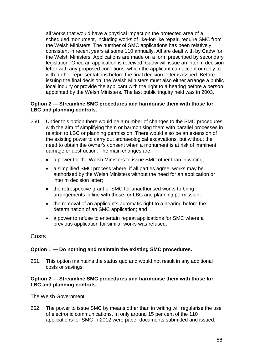all works that would have a physical impact on the protected area of a scheduled monument, including works of like-for-like repair, require SMC from the Welsh Ministers. The number of SMC applications has been relatively consistent in recent years at some 110 annually. All are dealt with by Cadw for the Welsh Ministers. Applications are made on a form prescribed by secondary legislation. Once an application is received, Cadw will issue an interim decision letter with any proposed conditions, which the applicant can accept or reply to with further representations before the final decision letter is issued. Before issuing the final decision, the Welsh Ministers must also either arrange a public local inquiry or provide the applicant with the right to a hearing before a person appointed by the Welsh Ministers. The last public inquiry held was in 2003.

## **Option 2 — Streamline SMC procedures and harmonise them with those for LBC and planning controls.**

- 260. Under this option there would be a number of changes to the SMC procedures with the aim of simplifying them or harmonising them with parallel processes in relation to LBC or planning permission. There would also be an extension of the existing power to carry out archaeological excavations, but without the need to obtain the owner's consent when a monument is at risk of imminent damage or destruction. The main changes are:
	- a power for the Welsh Ministers to issue SMC other than in writing:
	- a simplified SMC process where, if all parties agree, works may be authorised by the Welsh Ministers without the need for an application or interim decision letter;
	- the retrospective grant of SMC for unauthorised works to bring arrangements in line with those for LBC and planning permission;
	- the removal of an applicant's automatic right to a hearing before the determination of an SMC application; and
	- a power to refuse to entertain repeat applications for SMC where a previous application for similar works was refused.

## Costs

#### **Option 1 — Do nothing and maintain the existing SMC procedures.**

261. This option maintains the status quo and would not result in any additional costs or savings.

#### **Option 2 — Streamline SMC procedures and harmonise them with those for LBC and planning controls.**

#### The Welsh Government

262. The power to issue SMC by means other than in writing will regularise the use of electronic communications. In only around 15 per cent of the 110 applications for SMC in 2012 were paper documents submitted and issued.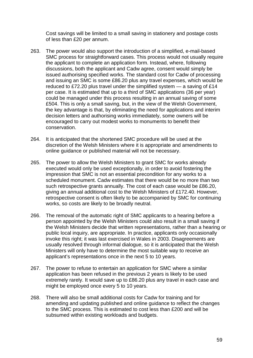Cost savings will be limited to a small saving in stationery and postage costs of less than £20 per annum.

- 263. The power would also support the introduction of a simplified, e-mail-based SMC process for straightforward cases. This process would not usually require the applicant to complete an application form. Instead, where, following discussions, both the applicant and Cadw agree, consent would simply be issued authorising specified works. The standard cost for Cadw of processing and issuing an SMC is some £86.20 plus any travel expenses, which would be reduced to £72.20 plus travel under the simplified system — a saving of £14 per case. It is estimated that up to a third of SMC applications (36 per year) could be managed under this process resulting in an annual saving of some £504. This is only a small saving, but, in the view of the Welsh Government, the key advantage is that, by eliminating the need for applications and interim decision letters and authorising works immediately, some owners will be encouraged to carry out modest works to monuments to benefit their conservation.
- 264. It is anticipated that the shortened SMC procedure will be used at the discretion of the Welsh Ministers where it is appropriate and amendments to online guidance or published material will not be necessary.
- 265. The power to allow the Welsh Ministers to grant SMC for works already executed would only be used exceptionally, in order to avoid fostering the impression that SMC is not an essential precondition for any works to a scheduled monument. Cadw estimates that there would be no more than two such retrospective grants annually. The cost of each case would be £86.20, giving an annual additional cost to the Welsh Ministers of £172.40. However, retrospective consent is often likely to be accompanied by SMC for continuing works, so costs are likely to be broadly neutral.
- 266. The removal of the automatic right of SMC applicants to a hearing before a person appointed by the Welsh Ministers could also result in a small saving if the Welsh Ministers decide that written representations, rather than a hearing or public local inquiry, are appropriate. In practice, applicants only occasionally invoke this right; it was last exercised in Wales in 2003. Disagreements are usually resolved through informal dialogue, so it is anticipated that the Welsh Ministers will only have to determine the most suitable way to receive an applicant's representations once in the next 5 to 10 years.
- 267. The power to refuse to entertain an application for SMC where a similar application has been refused in the previous 2 years is likely to be used extremely rarely. It would save up to £86.20 plus any travel in each case and might be employed once every 5 to 10 years.
- 268. There will also be small additional costs for Cadw for training and for amending and updating published and online guidance to reflect the changes to the SMC process. This is estimated to cost less than £200 and will be subsumed within existing workloads and budgets.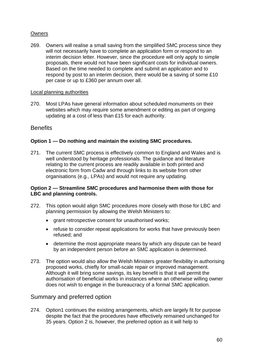## **Owners**

269. Owners will realise a small saving from the simplified SMC process since they will not necessarily have to complete an application form or respond to an interim decision letter. However, since the procedure will only apply to simple proposals, there would not have been significant costs for individual owners. Based on the time needed to complete and submit an application and to respond by post to an interim decision, there would be a saving of some £10 per case or up to £360 per annum over all.

## Local planning authorities

270. Most LPAs have general information about scheduled monuments on their websites which may require some amendment or editing as part of ongoing updating at a cost of less than £15 for each authority.

# **Benefits**

## **Option 1 — Do nothing and maintain the existing SMC procedures.**

271. The current SMC process is effectively common to England and Wales and is well understood by heritage professionals. The guidance and literature relating to the current process are readily available in both printed and electronic form from Cadw and through links to its website from other organisations (e.g., LPAs) and would not require any updating.

## **Option 2 — Streamline SMC procedures and harmonise them with those for LBC and planning controls.**

- 272. This option would align SMC procedures more closely with those for LBC and planning permission by allowing the Welsh Ministers to:
	- grant retrospective consent for unauthorised works;
	- refuse to consider repeat applications for works that have previously been refused; and
	- determine the most appropriate means by which any dispute can be heard by an independent person before an SMC application is determined.
- 273. The option would also allow the Welsh Ministers greater flexibility in authorising proposed works, chiefly for small-scale repair or improved management. Although it will bring some savings, its key benefit is that it will permit the authorisation of beneficial works in instances where an otherwise willing owner does not wish to engage in the bureaucracy of a formal SMC application.

## Summary and preferred option

274. Option1 continues the existing arrangements, which are largely fit for purpose despite the fact that the procedures have effectively remained unchanged for 35 years. Option 2 is, however, the preferred option as it will help to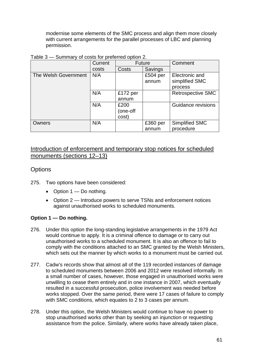modernise some elements of the SMC process and align them more closely with current arrangements for the parallel processes of LBC and planning permission.

|                      | Current |              | <b>Future</b> | Comment                   |  |
|----------------------|---------|--------------|---------------|---------------------------|--|
|                      | costs   | <b>Costs</b> | Savings       |                           |  |
| The Welsh Government | N/A     |              | $£504$ per    | Electronic and            |  |
|                      |         |              | annum         | simplified SMC            |  |
|                      |         |              |               | process                   |  |
|                      | N/A     | £172 per     |               | <b>Retrospective SMC</b>  |  |
|                      |         | annum        |               |                           |  |
|                      | N/A     | £200         |               | <b>Guidance revisions</b> |  |
|                      |         | (one-off     |               |                           |  |
|                      |         | cost)        |               |                           |  |
| <b>Owners</b>        | N/A     |              | £360 per      | <b>Simplified SMC</b>     |  |
|                      |         |              | annum         | procedure                 |  |

## Table 3 — Summary of costs for preferred option 2.

# Introduction of enforcement and temporary stop notices for scheduled monuments (sections 12–13)

# **Options**

275. Two options have been considered:

- Option  $1 Do$  nothing.
- Option 2 Introduce powers to serve TSNs and enforcement notices against unauthorised works to scheduled monuments.

## **Option 1 — Do nothing.**

- 276. Under this option the long-standing legislative arrangements in the 1979 Act would continue to apply. It is a criminal offence to damage or to carry out unauthorised works to a scheduled monument. It is also an offence to fail to comply with the conditions attached to an SMC granted by the Welsh Ministers, which sets out the manner by which works to a monument must be carried out.
- 277. Cadw's records show that almost all of the 119 recorded instances of damage to scheduled monuments between 2006 and 2012 were resolved informally. In a small number of cases, however, those engaged in unauthorised works were unwilling to cease them entirely and in one instance in 2007, which eventually resulted in a successful prosecution, police involvement was needed before works stopped. Over the same period, there were 17 cases of failure to comply with SMC conditions, which equates to 2 to 3 cases per annum.
- 278. Under this option, the Welsh Ministers would continue to have no power to stop unauthorised works other than by seeking an injunction or requesting assistance from the police. Similarly, where works have already taken place,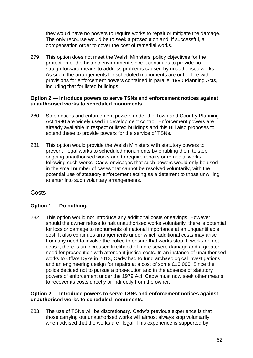they would have no powers to require works to repair or mitigate the damage. The only recourse would be to seek a prosecution and, if successful, a compensation order to cover the cost of remedial works.

279. This option does not meet the Welsh Ministers' policy objectives for the protection of the historic environment since it continues to provide no straightforward means to address problems caused by unauthorised works. As such, the arrangements for scheduled monuments are out of line with provisions for enforcement powers contained in parallel 1990 Planning Acts, including that for listed buildings.

### **Option 2 — Introduce powers to serve TSNs and enforcement notices against unauthorised works to scheduled monuments.**

- 280. Stop notices and enforcement powers under the Town and Country Planning Act 1990 are widely used in development control. Enforcement powers are already available in respect of listed buildings and this Bill also proposes to extend these to provide powers for the service of TSNs.
- 281. This option would provide the Welsh Ministers with statutory powers to prevent illegal works to scheduled monuments by enabling them to stop ongoing unauthorised works and to require repairs or remedial works following such works. Cadw envisages that such powers would only be used in the small number of cases that cannot be resolved voluntarily, with the potential use of statutory enforcement acting as a deterrent to those unwilling to enter into such voluntary arrangements.

# **Costs**

# **Option 1 — Do nothing.**

282. This option would not introduce any additional costs or savings. However, should the owner refuse to halt unauthorised works voluntarily, there is potential for loss or damage to monuments of national importance at an unquantifiable cost. It also continues arrangements under which additional costs may arise from any need to involve the police to ensure that works stop. If works do not cease, there is an increased likelihood of more severe damage and a greater need for prosecution with attendant justice costs. In an instance of unauthorised works to Offa's Dyke in 2013, Cadw had to fund archaeological investigations and an engineering design for repairs at a cost of some £10,000. Since the police decided not to pursue a prosecution and in the absence of statutory powers of enforcement under the 1979 Act, Cadw must now seek other means to recover its costs directly or indirectly from the owner.

#### **Option 2 — Introduce powers to serve TSNs and enforcement notices against unauthorised works to scheduled monuments.**

283. The use of TSNs will be discretionary. Cadw's previous experience is that those carrying out unauthorised works will almost always stop voluntarily when advised that the works are illegal. This experience is supported by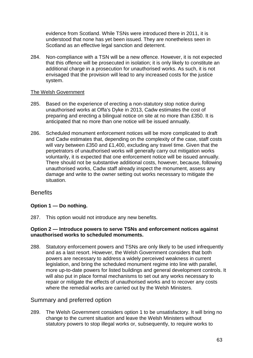evidence from Scotland. While TSNs were introduced there in 2011, it is understood that none has yet been issued. They are nonetheless seen in Scotland as an effective legal sanction and deterrent.

284. Non-compliance with a TSN will be a new offence. However, it is not expected that this offence will be prosecuted in isolation; it is only likely to constitute an additional charge in a prosecution for unauthorised works. As such, it is not envisaged that the provision will lead to any increased costs for the justice system.

## The Welsh Government

- 285. Based on the experience of erecting a non-statutory stop notice during unauthorised works at Offa's Dyke in 2013, Cadw estimates the cost of preparing and erecting a bilingual notice on site at no more than £350. It is anticipated that no more than one notice will be issued annually.
- 286. Scheduled monument enforcement notices will be more complicated to draft and Cadw estimates that, depending on the complexity of the case, staff costs will vary between £350 and £1,400, excluding any travel time. Given that the perpetrators of unauthorised works will generally carry out mitigation works voluntarily, it is expected that one enforcement notice will be issued annually. There should not be substantive additional costs, however, because, following unauthorised works, Cadw staff already inspect the monument, assess any damage and write to the owner setting out works necessary to mitigate the situation.

# **Benefits**

## **Option 1 — Do nothing.**

287. This option would not introduce any new benefits.

#### **Option 2 — Introduce powers to serve TSNs and enforcement notices against unauthorised works to scheduled monuments.**

288. Statutory enforcement powers and TSNs are only likely to be used infrequently and as a last resort. However, the Welsh Government considers that both powers are necessary to address a widely perceived weakness in current legislation, and bring the scheduled monument regime into line with parallel, more up-to-date powers for listed buildings and general development controls. It will also put in place formal mechanisms to set out any works necessary to repair or mitigate the effects of unauthorised works and to recover any costs where the remedial works are carried out by the Welsh Ministers.

## Summary and preferred option

289. The Welsh Government considers option 1 to be unsatisfactory. It will bring no change to the current situation and leave the Welsh Ministers without statutory powers to stop illegal works or, subsequently, to require works to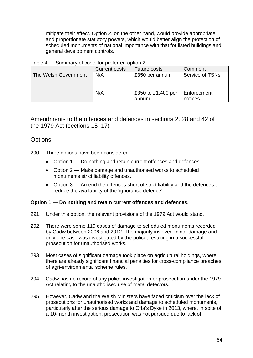mitigate their effect. Option 2, on the other hand, would provide appropriate and proportionate statutory powers, which would better align the protection of scheduled monuments of national importance with that for listed buildings and general development controls.

| Table 4 - Summary of costs for preferred option 2. |  |  |  |  |
|----------------------------------------------------|--|--|--|--|
|                                                    |  |  |  |  |

|                      | <b>Current costs</b> | <b>Future costs</b> | Comment                |  |  |  |  |  |
|----------------------|----------------------|---------------------|------------------------|--|--|--|--|--|
| The Welsh Government | N/A                  | £350 per annum      | <b>Service of TSNs</b> |  |  |  |  |  |
|                      | N/A                  | £350 to £1,400 per  | Enforcement            |  |  |  |  |  |
|                      |                      | annum               | notices                |  |  |  |  |  |

# Amendments to the offences and defences in sections 2, 28 and 42 of the 1979 Act (sections 15–17)

# **Options**

290. Three options have been considered:

- Option 1 Do nothing and retain current offences and defences.
- Option 2 Make damage and unauthorised works to scheduled monuments strict liability offences.
- Option 3 Amend the offences short of strict liability and the defences to reduce the availability of the 'ignorance defence'.

#### **Option 1 — Do nothing and retain current offences and defences.**

- 291. Under this option, the relevant provisions of the 1979 Act would stand.
- 292. There were some 119 cases of damage to scheduled monuments recorded by Cadw between 2006 and 2012. The majority involved minor damage and only one case was investigated by the police, resulting in a successful prosecution for unauthorised works.
- 293. Most cases of significant damage took place on agricultural holdings, where there are already significant financial penalties for cross-compliance breaches of agri-environmental scheme rules.
- 294. Cadw has no record of any police investigation or prosecution under the 1979 Act relating to the unauthorised use of metal detectors.
- 295. However, Cadw and the Welsh Ministers have faced criticism over the lack of prosecutions for unauthorised works and damage to scheduled monuments, particularly after the serious damage to Offa's Dyke in 2013, where, in spite of a 10-month investigation, prosecution was not pursued due to lack of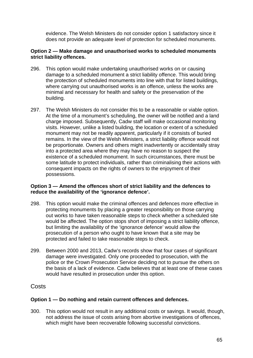evidence. The Welsh Ministers do not consider option 1 satisfactory since it does not provide an adequate level of protection for scheduled monuments.

## **Option 2 — Make damage and unauthorised works to scheduled monuments strict liability offences.**

- 296. This option would make undertaking unauthorised works on or causing damage to a scheduled monument a strict liability offence. This would bring the protection of scheduled monuments into line with that for listed buildings, where carrying out unauthorised works is an offence, unless the works are minimal and necessary for health and safety or the preservation of the building.
- 297. The Welsh Ministers do not consider this to be a reasonable or viable option. At the time of a monument's scheduling, the owner will be notified and a land charge imposed. Subsequently, Cadw staff will make occasional monitoring visits. However, unlike a listed building, the location or extent of a scheduled monument may not be readily apparent, particularly if it consists of buried remains. In the view of the Welsh Ministers, a strict liability offence would not be proportionate. Owners and others might inadvertently or accidentally stray into a protected area where they may have no reason to suspect the existence of a scheduled monument. In such circumstances, there must be some latitude to protect individuals, rather than criminalising their actions with consequent impacts on the rights of owners to the enjoyment of their possessions.

## **Option 3 — Amend the offences short of strict liability and the defences to reduce the availability of the 'ignorance defence'.**

- 298. This option would make the criminal offences and defences more effective in protecting monuments by placing a greater responsibility on those carrying out works to have taken reasonable steps to check whether a scheduled site would be affected. The option stops short of imposing a strict liability offence, but limiting the availability of the 'ignorance defence' would allow the prosecution of a person who ought to have known that a site may be protected and failed to take reasonable steps to check.
- 299. Between 2000 and 2013, Cadw's records show that four cases of significant damage were investigated. Only one proceeded to prosecution, with the police or the Crown Prosecution Service deciding not to pursue the others on the basis of a lack of evidence. Cadw believes that at least one of these cases would have resulted in prosecution under this option.

# **Costs**

## **Option 1 — Do nothing and retain current offences and defences.**

300. This option would not result in any additional costs or savings. It would, though, not address the issue of costs arising from abortive investigations of offences, which might have been recoverable following successful convictions.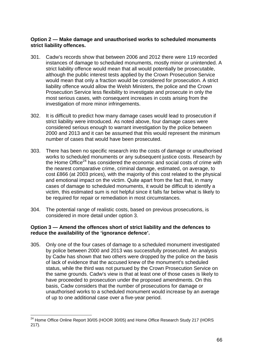## **Option 2 — Make damage and unauthorised works to scheduled monuments strict liability offences.**

- 301. Cadw's records show that between 2006 and 2012 there were 119 recorded instances of damage to scheduled monuments, mostly minor or unintended. A strict liability offence would mean that all would potentially be prosecutable, although the public interest tests applied by the Crown Prosecution Service would mean that only a fraction would be considered for prosecution. A strict liability offence would allow the Welsh Ministers, the police and the Crown Prosecution Service less flexibility to investigate and prosecute in only the most serious cases, with consequent increases in costs arising from the investigation of more minor infringements.
- 302. It is difficult to predict how many damage cases would lead to prosecution if strict liability were introduced. As noted above, four damage cases were considered serious enough to warrant investigation by the police between 2000 and 2013 and it can be assumed that this would represent the minimum number of cases that would have been prosecuted.
- 303. There has been no specific research into the costs of damage or unauthorised works to scheduled monuments or any subsequent justice costs. Research by the Home Office<sup>[24](#page-65-0)</sup> has considered the economic and social costs of crime with the nearest comparative crime, criminal damage, estimated, on average, to cost £866 (at 2003 prices), with the majority of this cost related to the physical and emotional impact on the victim. Quite apart from the fact that, in many cases of damage to scheduled monuments, it would be difficult to identify a victim, this estimated sum is not helpful since it falls far below what is likely to be required for repair or remediation in most circumstances.
- 304. The potential range of realistic costs, based on previous prosecutions, is considered in more detail under option 3.

## **Option 3 — Amend the offences short of strict liability and the defences to reduce the availability of the 'ignorance defence'.**

305. Only one of the four cases of damage to a scheduled monument investigated by police between 2000 and 2013 was successfully prosecuted. An analysis by Cadw has shown that two others were dropped by the police on the basis of lack of evidence that the accused knew of the monument's scheduled status, while the third was not pursued by the Crown Prosecution Service on the same grounds. Cadw's view is that at least one of those cases is likely to have proceeded to prosecution under the proposed amendments. On this basis, Cadw considers that the number of prosecutions for damage or unauthorised works to a scheduled monument would increase by an average of up to one additional case over a five-year period.

<span id="page-65-0"></span><sup>&</sup>lt;sup>24</sup> Home Office Online Report 30/05 (HOOR 30/05) and Home Office Research Study 217 (HORS 217).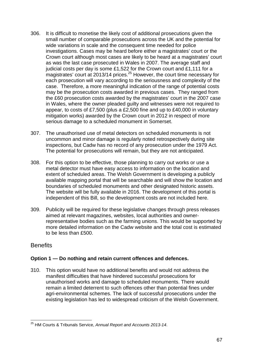- 306. It is difficult to monetise the likely cost of additional prosecutions given the small number of comparable prosecutions across the UK and the potential for wide variations in scale and the consequent time needed for police investigations. Cases may be heard before either a magistrates' court or the Crown court although most cases are likely to be heard at a magistrates' court as was the last case prosecuted in Wales in 2007. The average staff and judicial costs per day is some £1,522 for the Crown court and £1,111 for a magistrates' court at 2013/14 prices. $25$  However, the court time necessary for each prosecution will vary according to the seriousness and complexity of the case. Therefore, a more meaningful indication of the range of potential costs may be the prosecution costs awarded in previous cases. They ranged from the £60 prosecution costs awarded by the magistrates' court in the 2007 case in Wales, where the owner pleaded guilty and witnesses were not required to appear, to costs of £7,500 (plus a £2,500 fine and up to £40,000 in voluntary mitigation works) awarded by the Crown court in 2012 in respect of more serious damage to a scheduled monument in Somerset.
- 307. The unauthorised use of metal detectors on scheduled monuments is not uncommon and minor damage is regularly noted retrospectively during site inspections, but Cadw has no record of any prosecution under the 1979 Act. The potential for prosecutions will remain, but they are not anticipated.
- 308. For this option to be effective, those planning to carry out works or use a metal detector must have easy access to information on the location and extent of scheduled areas. The Welsh Government is developing a publicly available mapping portal that will be searchable and will show the location and boundaries of scheduled monuments and other designated historic assets. The website will be fully available in 2016. The development of this portal is independent of this Bill, so the development costs are not included here.
- 309. Publicity will be required for these legislative changes through press releases aimed at relevant magazines, websites, local authorities and ownerrepresentative bodies such as the farming unions. This would be supported by more detailed information on the Cadw website and the total cost is estimated to be less than £500.

# **Benefits**

## **Option 1 — Do nothing and retain current offences and defences.**

310. This option would have no additional benefits and would not address the manifest difficulties that have hindered successful prosecutions for unauthorised works and damage to scheduled monuments. There would remain a limited deterrent to such offences other than potential fines under agri-environmental schemes. The lack of successful prosecutions under the existing legislation has led to widespread criticism of the Welsh Government.

<span id="page-66-0"></span><sup>25</sup> HM Courts & Tribunals Service, *Annual Report and Accounts 2013-14*.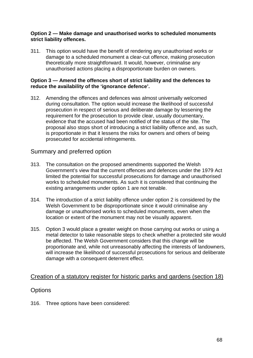#### **Option 2 — Make damage and unauthorised works to scheduled monuments strict liability offences.**

311. This option would have the benefit of rendering any unauthorised works or damage to a scheduled monument a clear-cut offence, making prosecution theoretically more straightforward. It would, however, criminalise any unauthorised actions placing a disproportionate burden on owners.

### **Option 3 — Amend the offences short of strict liability and the defences to reduce the availability of the 'ignorance defence'.**

312. Amending the offences and defences was almost universally welcomed during consultation. The option would increase the likelihood of successful prosecution in respect of serious and deliberate damage by lessening the requirement for the prosecution to provide clear, usually documentary, evidence that the accused had been notified of the status of the site. The proposal also stops short of introducing a strict liability offence and, as such, is proportionate in that it lessens the risks for owners and others of being prosecuted for accidental infringements.

## Summary and preferred option

- 313. The consultation on the proposed amendments supported the Welsh Government's view that the current offences and defences under the 1979 Act limited the potential for successful prosecutions for damage and unauthorised works to scheduled monuments. As such it is considered that continuing the existing arrangements under option 1 are not tenable.
- 314. The introduction of a strict liability offence under option 2 is considered by the Welsh Government to be disproportionate since it would criminalise any damage or unauthorised works to scheduled monuments, even when the location or extent of the monument may not be visually apparent.
- 315. Option 3 would place a greater weight on those carrying out works or using a metal detector to take reasonable steps to check whether a protected site would be affected. The Welsh Government considers that this change will be proportionate and, while not unreasonably affecting the interests of landowners, will increase the likelihood of successful prosecutions for serious and deliberate damage with a consequent deterrent effect.

# Creation of a statutory register for historic parks and gardens (section 18)

## **Options**

316. Three options have been considered: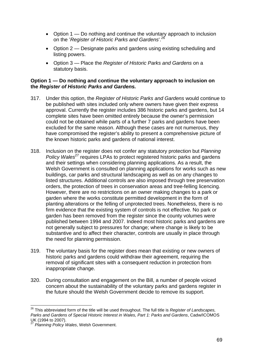- Option 1 Do nothing and continue the voluntary approach to inclusion on the '*Register of Historic Parks and Gardens*'.[26](#page-68-0)
- Option 2 Designate parks and gardens using existing scheduling and listing powers.
- Option 3 Place the *Register of Historic Parks and Gardens* on a statutory basis.

#### **Option 1 — Do nothing and continue the voluntary approach to inclusion on the** *Register of Historic Parks and Gardens.*

- 317. Under this option, the *Register of Historic Parks and Gardens* would continue to be published with sites included only where owners have given their express approval. Currently the register includes 386 historic parks and gardens, but 14 complete sites have been omitted entirely because the owner's permission could not be obtained while parts of a further 7 parks and gardens have been excluded for the same reason. Although these cases are not numerous, they have compromised the register's ability to present a comprehensive picture of the known historic parks and gardens of national interest.
- 318. Inclusion on the register does not confer any statutory protection but *Planning Policy Wales*<sup>[27](#page-68-1)</sup> requires LPAs to protect registered historic parks and gardens and their settings when considering planning applications. As a result, the Welsh Government is consulted on planning applications for works such as new buildings, car parks and structural landscaping as well as on any changes to listed structures. Additional controls are also imposed through tree preservation orders, the protection of trees in conservation areas and tree-felling licencing. However, there are no restrictions on an owner making changes to a park or garden where the works constitute permitted development in the form of planting alterations or the felling of unprotected trees. Nonetheless, there is no firm evidence that the existing system of controls is not effective. No park or garden has been removed from the register since the county volumes were published between 1994 and 2007. Indeed most historic parks and gardens are not generally subject to pressures for change; where change is likely to be substantive and to affect their character, controls are usually in place through the need for planning permission.
- 319. The voluntary basis for the register does mean that existing or new owners of historic parks and gardens could withdraw their agreement, requiring the removal of significant sites with a consequent reduction in protection from inappropriate change.
- 320. During consultation and engagement on the Bill, a number of people voiced concern about the sustainability of the voluntary parks and gardens register in the future should the Welsh Government decide to remove its support.

<span id="page-68-0"></span><sup>26</sup> This abbreviated form of the title will be used throughout. The full title is *Register of Landscapes, Parks and Gardens of Special Historic Interest in Wales, Part 1: Parks and Gardens*, Cadw/ICOMOS UK (1994 to 2007).

<span id="page-68-1"></span><sup>27</sup> *Planning Policy Wales*, Welsh Government.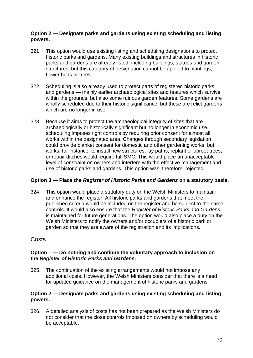## **Option 2 — Designate parks and gardens using existing scheduling and listing powers.**

- 321. This option would use existing listing and scheduling designations to protect historic parks and gardens. Many existing buildings and structures in historic parks and gardens are already listed, including buildings, statues and garden structures, but this category of designation cannot be applied to plantings, flower beds or trees.
- 322. Scheduling is also already used to protect parts of registered historic parks and gardens — mainly earlier archaeological sites and features which survive within the grounds, but also some ruinous garden features. Some gardens are wholly scheduled due to their historic significance, but these are relict gardens which are no longer in use.
- 323. Because it aims to protect the archaeological integrity of sites that are archaeologically or historically significant but no longer in economic use, scheduling imposes tight controls by requiring prior consent for almost all works within the designated area. Changes through secondary legislation could provide blanket consent for domestic and other gardening works, but works, for instance, to install new structures, lay paths, replant or uproot trees, or repair ditches would require full SMC. This would place an unacceptable level of constraint on owners and interfere with the effective management and use of historic parks and gardens. This option was, therefore, rejected.

## **Option 3 — Place the** *Register of Historic Parks and Gardens* **on a statutory basis.**

324. This option would place a statutory duty on the Welsh Ministers to maintain and enhance the register. All historic parks and gardens that meet the published criteria would be included on the register and be subject to the same controls. It would also ensure that the *Register of Historic Parks and Gardens* is maintained for future generations. The option would also place a duty on the Welsh Ministers to notify the owners and/or occupiers of a historic park or garden so that they are aware of the registration and its implications.

## **Costs**

## **Option 1 — Do nothing and continue the voluntary approach to inclusion on the** *Register of Historic Parks and Gardens.*

325. The continuation of the existing arrangements would not impose any additional costs. However, the Welsh Ministers consider that there is a need for updated guidance on the management of historic parks and gardens.

## **Option 2 — Designate parks and gardens using existing scheduling and listing powers.**

326. A detailed analysis of costs has not been prepared as the Welsh Ministers do not consider that the close controls imposed on owners by scheduling would be acceptable.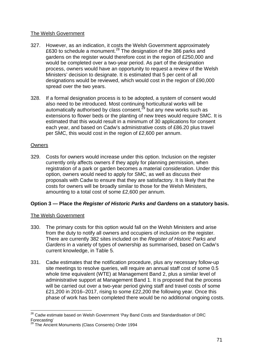## The Welsh Government

- 327. However, as an indication, it costs the Welsh Government approximately £630 to schedule a monument.<sup>[28](#page-70-0)</sup> The designation of the 386 parks and gardens on the register would therefore cost in the region of £250,000 and would be completed over a two-year period. As part of the designation process, owners would have an opportunity to request a review of the Welsh Ministers' decision to designate. It is estimated that 5 per cent of all designations would be reviewed, which would cost in the region of £90,000 spread over the two years.
- 328. If a formal designation process is to be adopted, a system of consent would also need to be introduced. Most continuing horticultural works will be automatically authorised by class consent, $^{29}$  $^{29}$  $^{29}$  but any new works such as extensions to flower beds or the planting of new trees would require SMC. It is estimated that this would result in a minimum of 30 applications for consent each year, and based on Cadw's administrative costs of £86.20 plus travel per SMC, this would cost in the region of £2,600 per annum.

## **Owners**

329. Costs for owners would increase under this option. Inclusion on the register currently only affects owners if they apply for planning permission, when registration of a park or garden becomes a material consideration. Under this option, owners would need to apply for SMC, as well as discuss their proposals with Cadw to ensure that they are satisfactory. It is likely that the costs for owners will be broadly similar to those for the Welsh Ministers, amounting to a total cost of some £2,600 per annum.

## **Option 3 — Place the** *Register of Historic Parks and Gardens* **on a statutory basis.**

## The Welsh Government

- 330. The primary costs for this option would fall on the Welsh Ministers and arise from the duty to notify all owners and occupiers of inclusion on the register. There are currently 382 sites included on the *Register of Historic Parks and Gardens* in a variety of types of ownership as summarised, based on Cadw's current knowledge, in Table 5.
- 331. Cadw estimates that the notification procedure, plus any necessary follow-up site meetings to resolve queries, will require an annual staff cost of some 0.5 whole time equivalent (WTE) at Management Band 2, plus a similar level of administrative support at Management Band 1. It is proposed that the process will be carried out over a two-year period giving staff and travel costs of some £21,200 in 2016–2017, rising to some £22,200 the following year. Once this phase of work has been completed there would be no additional ongoing costs.

<span id="page-70-0"></span><sup>&</sup>lt;sup>28</sup> Cadw estimate based on Welsh Government 'Pay Band Costs and Standardisation of DRC Forecasting'

<span id="page-70-1"></span><sup>&</sup>lt;sup>29</sup> The Ancient Monuments (Class Consents) Order 1994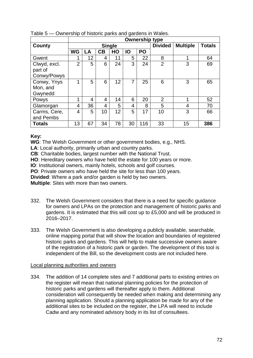|               | <b>Ownership type</b> |    |    |    |    |                |                 |               |     |  |
|---------------|-----------------------|----|----|----|----|----------------|-----------------|---------------|-----|--|
| County        | <b>Single</b>         |    |    |    |    | <b>Divided</b> | <b>Multiple</b> | <b>Totals</b> |     |  |
|               | <b>WG</b>             | _A | CB | HO | IО | <b>PO</b>      |                 |               |     |  |
| Gwent         | 1                     | 12 | 4  | 11 | 5  | 22             | 8               | 1             | 64  |  |
| Clwyd, excl.  | $\overline{2}$        | 5  | 6  | 24 | 3  | 24             | $\overline{2}$  | 3             | 69  |  |
| part of       |                       |    |    |    |    |                |                 |               |     |  |
| Conwy/Powys   |                       |    |    |    |    |                |                 |               |     |  |
| Conwy, Ynys   | 1                     | 5  | 6  | 12 | 7  | 25             | 6               | 3             | 65  |  |
| Mon, and      |                       |    |    |    |    |                |                 |               |     |  |
| Gwynedd       |                       |    |    |    |    |                |                 |               |     |  |
| Powys         | 1                     | 4  | 4  | 14 | 6  | 20             | $\overline{2}$  | 4             | 52  |  |
| Glamorgan     | 4                     | 36 | 4  | 5  | 4  | 8              | 5               | 4             | 70  |  |
| Carms, Cere,  | 4                     | 5  | 10 | 12 | 5  | 17             | 10              | 3             | 66  |  |
| and Pembs     |                       |    |    |    |    |                |                 |               |     |  |
| <b>Totals</b> | 13                    | 67 | 34 | 78 | 30 | 116            | 33              | 15            | 386 |  |

Table 5 — Ownership of historic parks and gardens in Wales.

**Key:**

**WG**: The Welsh Government or other government bodies, e.g., NHS.

**LA**: Local authority, primarily urban and country parks.

**CB**: Charitable bodies, largest number with the National Trust.

**HO**: Hereditary owners who have held the estate for 100 years or more.

**IO**: Institutional owners, mainly hotels, schools and golf courses.

**PO**: Private owners who have held the site for less than 100 years.

**Divided**: Where a park and/or garden is held by two owners.

**Multiple**: Sites with more than two owners.

- 332. The Welsh Government considers that there is a need for specific guidance for owners and LPAs on the protection and management of historic parks and gardens. It is estimated that this will cost up to £5,000 and will be produced in 2016–2017.
- 333. The Welsh Government is also developing a publicly available, searchable, online mapping portal that will show the location and boundaries of registered historic parks and gardens. This will help to make successive owners aware of the registration of a historic park or garden. The development of this tool is independent of the Bill, so the development costs are not included here.

## Local planning authorities and owners

334. The addition of 14 complete sites and 7 additional parts to existing entries on the register will mean that national planning policies for the protection of historic parks and gardens will thereafter apply to them. Additional consideration will consequently be needed when making and determining any planning application. Should a planning application be made for any of the additional sites to be included on the register, the LPA will need to include Cadw and any nominated advisory body in its list of consultees.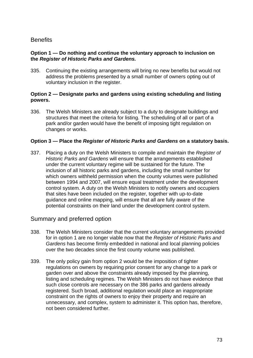# **Benefits**

#### **Option 1 — Do nothing and continue the voluntary approach to inclusion on the** *Register of Historic Parks and Gardens.*

335. Continuing the existing arrangements will bring no new benefits but would not address the problems presented by a small number of owners opting out of voluntary inclusion in the register.

### **Option 2 — Designate parks and gardens using existing scheduling and listing powers.**

336. The Welsh Ministers are already subject to a duty to designate buildings and structures that meet the criteria for listing. The scheduling of all or part of a park and/or garden would have the benefit of imposing tight regulation on changes or works.

#### **Option 3 — Place the** *Register of Historic Parks and Gardens* **on a statutory basis.**

337. Placing a duty on the Welsh Ministers to compile and maintain the *Register of Historic Parks and Gardens* will ensure that the arrangements established under the current voluntary regime will be sustained for the future. The inclusion of all historic parks and gardens, including the small number for which owners withheld permission when the county volumes were published between 1994 and 2007, will ensure equal treatment under the development control system. A duty on the Welsh Ministers to notify owners and occupiers that sites have been included on the register, together with up-to-date guidance and online mapping, will ensure that all are fully aware of the potential constraints on their land under the development control system.

## Summary and preferred option

- 338. The Welsh Ministers consider that the current voluntary arrangements provided for in option 1 are no longer viable now that the *Register of Historic Parks and Gardens* has become firmly embedded in national and local planning policies over the two decades since the first county volume was published.
- 339. The only policy gain from option 2 would be the imposition of tighter regulations on owners by requiring prior consent for any change to a park or garden over and above the constraints already imposed by the planning, listing and scheduling regimes. The Welsh Ministers do not have evidence that such close controls are necessary on the 386 parks and gardens already registered. Such broad, additional regulation would place an inappropriate constraint on the rights of owners to enjoy their property and require an unnecessary, and complex, system to administer it. This option has, therefore, not been considered further.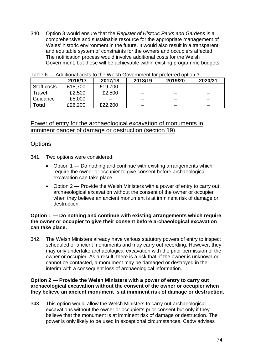340. Option 3 would ensure that the *Register of Historic Parks and Gardens* is a comprehensive and sustainable resource for the appropriate management of Wales' historic environment in the future. It would also result in a transparent and equitable system of constraints for the owners and occupiers affected. The notification process would involve additional costs for the Welsh Government, but these will be achievable within existing programme budgets.

| . avit v<br>Additional costs to the VVGISH OOVERINGHERH DIGIGHED ODITOH S |         |         |         |         |         |  |  |
|---------------------------------------------------------------------------|---------|---------|---------|---------|---------|--|--|
|                                                                           | 2016/17 | 2017/18 | 2018/19 | 2019/20 | 2020/21 |  |  |
| Staff costs                                                               | £18,700 | £19,700 |         |         |         |  |  |
| Travel                                                                    | £2,500  | £2,500  |         |         |         |  |  |
| Guidance                                                                  | £5,000  |         |         | _       |         |  |  |
| <b>Total</b>                                                              | £26,200 | £22,200 |         |         |         |  |  |

Table 6 — Additional costs to the Welsh Government for preferred option 3

## Power of entry for the archaeological excavation of monuments in imminent danger of damage or destruction (section 19)

# **Options**

- 341. Two options were considered:
	- Option 1 Do nothing and continue with existing arrangements which require the owner or occupier to give consent before archaeological excavation can take place.
	- Option 2 Provide the Welsh Ministers with a power of entry to carry out archaeological excavation without the consent of the owner or occupier when they believe an ancient monument is at imminent risk of damage or destruction.

#### **Option 1 — Do nothing and continue with existing arrangements which require the owner or occupier to give their consent before archaeological excavation can take place.**

342. The Welsh Ministers already have various statutory powers of entry to inspect scheduled or ancient monuments and may carry out recording. However, they may only undertake archaeological excavation with the prior permission of the owner or occupier. As a result, there is a risk that, if the owner is unknown or cannot be contacted, a monument may be damaged or destroyed in the interim with a consequent loss of archaeological information.

### **Option 2 — Provide the Welsh Ministers with a power of entry to carry out archaeological excavation without the consent of the owner or occupier when they believe an ancient monument is at imminent risk of damage or destruction.**

343. This option would allow the Welsh Ministers to carry out archaeological excavations without the owner or occupier's prior consent but only if they believe that the monument is at imminent risk of damage or destruction. The power is only likely to be used in exceptional circumstances. Cadw advises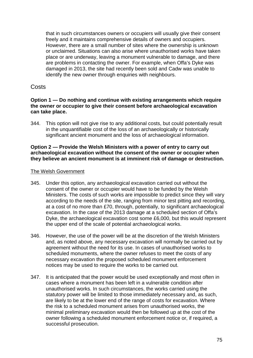that in such circumstances owners or occupiers will usually give their consent freely and it maintains comprehensive details of owners and occupiers. However, there are a small number of sites where the ownership is unknown or unclaimed. Situations can also arise where unauthorised works have taken place or are underway, leaving a monument vulnerable to damage, and there are problems in contacting the owner. For example, when Offa's Dyke was damaged in 2013, the site had recently been sold and Cadw was unable to identify the new owner through enquiries with neighbours.

# **Costs**

### **Option 1 — Do nothing and continue with existing arrangements which require the owner or occupier to give their consent before archaeological excavation can take place.**

344. This option will not give rise to any additional costs, but could potentially result in the unquantifiable cost of the loss of an archaeologically or historically significant ancient monument and the loss of archaeological information.

#### **Option 2 — Provide the Welsh Ministers with a power of entry to carry out archaeological excavation without the consent of the owner or occupier when they believe an ancient monument is at imminent risk of damage or destruction.**

### The Welsh Government

- 345. Under this option, any archaeological excavation carried out without the consent of the owner or occupier would have to be funded by the Welsh Ministers. The costs of such works are impossible to predict since they will vary according to the needs of the site, ranging from minor test pitting and recording, at a cost of no more than £70, through, potentially, to significant archaeological excavation. In the case of the 2013 damage at a scheduled section of Offa's Dyke, the archaeological excavation cost some £6,000, but this would represent the upper end of the scale of potential archaeological works.
- 346. However, the use of the power will be at the discretion of the Welsh Ministers and, as noted above, any necessary excavation will normally be carried out by agreement without the need for its use. In cases of unauthorised works to scheduled monuments, where the owner refuses to meet the costs of any necessary excavation the proposed scheduled monument enforcement notices may be used to require the works to be carried out.
- 347. It is anticipated that the power would be used exceptionally and most often in cases where a monument has been left in a vulnerable condition after unauthorised works. In such circumstances, the works carried using the statutory power will be limited to those immediately necessary and, as such, are likely to be at the lower end of the range of costs for excavation. Where the risk to a scheduled monument arises from unauthorised works, the minimal preliminary excavation would then be followed up at the cost of the owner following a scheduled monument enforcement notice or, if required, a successful prosecution.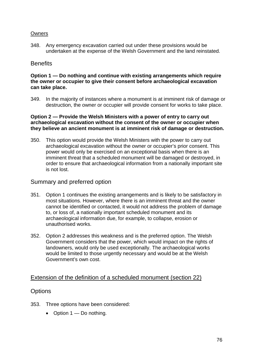## **Owners**

348. Any emergency excavation carried out under these provisions would be undertaken at the expense of the Welsh Government and the land reinstated.

## **Benefits**

#### **Option 1 — Do nothing and continue with existing arrangements which require the owner or occupier to give their consent before archaeological excavation can take place.**

349. In the majority of instances where a monument is at imminent risk of damage or destruction, the owner or occupier will provide consent for works to take place.

#### **Option 2 — Provide the Welsh Ministers with a power of entry to carry out archaeological excavation without the consent of the owner or occupier when they believe an ancient monument is at imminent risk of damage or destruction.**

350. This option would provide the Welsh Ministers with the power to carry out archaeological excavation without the owner or occupier's prior consent. This power would only be exercised on an exceptional basis when there is an imminent threat that a scheduled monument will be damaged or destroyed, in order to ensure that archaeological information from a nationally important site is not lost.

## Summary and preferred option

- 351. Option 1 continues the existing arrangements and is likely to be satisfactory in most situations. However, where there is an imminent threat and the owner cannot be identified or contacted, it would not address the problem of damage to, or loss of, a nationally important scheduled monument and its archaeological information due, for example, to collapse, erosion or unauthorised works.
- 352. Option 2 addresses this weakness and is the preferred option. The Welsh Government considers that the power, which would impact on the rights of landowners, would only be used exceptionally. The archaeological works would be limited to those urgently necessary and would be at the Welsh Government's own cost.

# Extension of the definition of a scheduled monument (section 22)

## **Options**

- 353. Three options have been considered:
	- Option 1 Do nothing.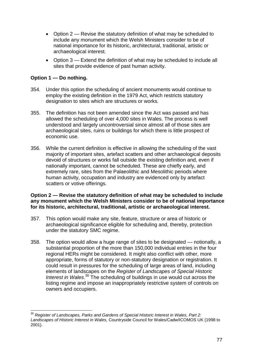- Option 2 Revise the statutory definition of what may be scheduled to include any monument which the Welsh Ministers consider to be of national importance for its historic, architectural, traditional, artistic or archaeological interest.
- Option 3 Extend the definition of what may be scheduled to include all sites that provide evidence of past human activity.

## **Option 1 — Do nothing.**

- 354. Under this option the scheduling of ancient monuments would continue to employ the existing definition in the 1979 Act, which restricts statutory designation to sites which are structures or works.
- 355. The definition has not been amended since the Act was passed and has allowed the scheduling of over 4,000 sites in Wales. The process is well understood and largely uncontroversial since almost all of those sites are archaeological sites, ruins or buildings for which there is little prospect of economic use.
- 356. While the current definition is effective in allowing the scheduling of the vast majority of important sites, artefact scatters and other archaeological deposits devoid of structures or works fall outside the existing definition and, even if nationally important, cannot be scheduled. These are chiefly early, and extremely rare, sites from the Palaeolithic and Mesolithic periods where human activity, occupation and industry are evidenced only by artefact scatters or votive offerings.

#### **Option 2 — Revise the statutory definition of what may be scheduled to include any monument which the Welsh Ministers consider to be of national importance for its historic, architectural, traditional, artistic or archaeological interest.**

- 357. This option would make any site, feature, structure or area of historic or archaeological significance eligible for scheduling and, thereby, protection under the statutory SMC regime.
- 358. The option would allow a huge range of sites to be designated notionally, a substantial proportion of the more than 150,000 individual entries in the four regional HERs might be considered. It might also conflict with other, more appropriate, forms of statutory or non-statutory designation or registration. It could result in pressures for the scheduling of large areas of land, including elements of landscapes on the *Register of Landscapes of Special Historic*  Interest in Wales.<sup>[30](#page-76-0)</sup> The scheduling of buildings in use would cut across the listing regime and impose an inappropriately restrictive system of controls on owners and occupiers.

<span id="page-76-0"></span><sup>30</sup> *Register of Landscapes, Parks and Gardens of Special Historic Interest in Wales, Part 2: Landscapes of Historic Interest in Wales,* Countryside Council for Wales/Cadw/ICOMOS UK (1998 to 2001).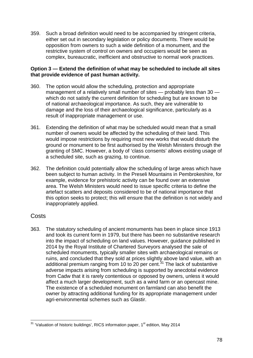359. Such a broad definition would need to be accompanied by stringent criteria, either set out in secondary legislation or policy documents. There would be opposition from owners to such a wide definition of a monument, and the restrictive system of control on owners and occupiers would be seen as complex, bureaucratic, inefficient and obstructive to normal work practices.

### **Option 3 — Extend the definition of what may be scheduled to include all sites that provide evidence of past human activity.**

- 360. The option would allow the scheduling, protection and appropriate management of a relatively small number of sites — probably less than 30 which do not satisfy the current definition for scheduling but are known to be of national archaeological importance. As such, they are vulnerable to damage and the loss of their archaeological significance, particularly as a result of inappropriate management or use.
- 361. Extending the definition of what may be scheduled would mean that a small number of owners would be affected by the scheduling of their land. This would impose restrictions by requiring most new works that would disturb the ground or monument to be first authorised by the Welsh Ministers through the granting of SMC. However, a body of 'class consents' allows existing usage of a scheduled site, such as grazing, to continue.
- 362. The definition could potentially allow the scheduling of large areas which have been subject to human activity. In the Preseli Mountains in Pembrokeshire, for example, evidence for prehistoric activity can be found over an extensive area. The Welsh Ministers would need to issue specific criteria to define the artefact scatters and deposits considered to be of national importance that this option seeks to protect; this will ensure that the definition is not widely and inappropriately applied.

# **Costs**

363. The statutory scheduling of ancient monuments has been in place since 1913 and took its current form in 1979, but there has been no substantive research into the impact of scheduling on land values. However, guidance published in 2014 by the Royal Institute of Chartered Surveyors analysed the sale of scheduled monuments, typically smaller sites with archaeological remains or ruins, and concluded that they sold at prices slightly above land value, with an additional premium ranging from 10 to 20 per cent.<sup>[31](#page-77-0)</sup> The lack of substantive adverse impacts arising from scheduling is supported by anecdotal evidence from Cadw that it is rarely contentious or opposed by owners, unless it would affect a much larger development, such as a wind farm or an opencast mine. The existence of a scheduled monument on farmland can also benefit the owner by attracting additional funding for its appropriate management under agri-environmental schemes such as Glastir.

<span id="page-77-0"></span> $31$  'Valuation of historic buildings', RICS information paper,  $1<sup>st</sup>$  edition, May 2014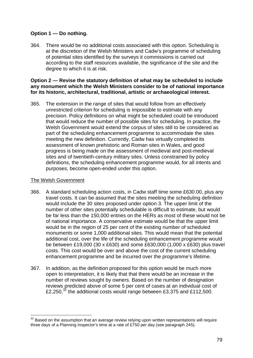## **Option 1 — Do nothing.**

364. There would be no additional costs associated with this option. Scheduling is at the discretion of the Welsh Ministers and Cadw's programme of scheduling of potential sites identified by the surveys it commissions is carried out according to the staff resources available, the significance of the site and the degree to which it is at risk.

#### **Option 2 — Revise the statutory definition of what may be scheduled to include any monument which the Welsh Ministers consider to be of national importance for its historic, architectural, traditional, artistic or archaeological interest.**

365. The extension in the range of sites that would follow from an effectively unrestricted criterion for scheduling is impossible to estimate with any precision. Policy definitions on what might be scheduled could be introduced that would reduce the number of possible sites for scheduling. In practice, the Welsh Government would extend the corpus of sites still to be considered as part of the scheduling enhancement programme to accommodate the sites meeting the new definition. Currently, Cadw has virtually completed its assessment of known prehistoric and Roman sites in Wales, and good progress is being made on the assessment of medieval and post-medieval sites and of twentieth-century military sites. Unless constrained by policy definitions, the scheduling enhancement programme would, for all intents and purposes, become open-ended under this option.

#### The Welsh Government

- 366. A standard scheduling action costs, in Cadw staff time some £630.00, plus any travel costs. It can be assumed that the sites meeting the scheduling definition would include the 30 sites proposed under option 3. The upper limit of the number of other sites potentially schedulable is difficult to estimate, but would be far less than the 150,000 entries on the HERs as most of these would not be of national importance. A conservative estimate would be that the upper limit would be in the region of 25 per cent of the existing number of scheduled monuments or some 1,000 additional sites. This would mean that the potential additional cost, over the life of the scheduling enhancement programme would be between £19,000 (30 x £630) and some £630,000 (1,000 x £630) plus travel costs. This cost would be over and above the cost of the current scheduling enhancement programme and be incurred over the programme's lifetime.
- 367. In addition, as the definition proposed for this option would be much more open to interpretation, it is likely that that there would be an increase in the number of reviews sought by owners. Based on the number of designation reviews predicted above of some 5 per cent of cases at an individual cost of £2,250,<sup>[32](#page-78-0)</sup> the additional costs would range between £3,375 and £112,500.

<span id="page-78-0"></span> $32$  Based on the assumption that an average review relying upon written representations will require three days of a Planning Inspector's time at a rate of £750 per day (see paragraph 245).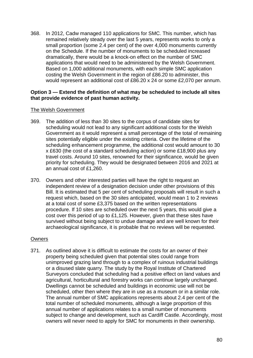368. In 2012, Cadw managed 110 applications for SMC. This number, which has remained relatively steady over the last 5 years, represents works to only a small proportion (some 2.4 per cent) of the over 4,000 monuments currently on the Schedule. If the number of monuments to be scheduled increased dramatically, there would be a knock-on effect on the number of SMC applications that would need to be administered by the Welsh Government. Based on 1,000 additional monuments, with each simple SMC application costing the Welsh Government in the region of £86.20 to administer, this would represent an additional cost of £86.20 x 24 or some £2,070 per annum.

#### **Option 3 — Extend the definition of what may be scheduled to include all sites that provide evidence of past human activity.**

#### The Welsh Government

- 369. The addition of less than 30 sites to the corpus of candidate sites for scheduling would not lead to any significant additional costs for the Welsh Government as it would represent a small percentage of the total of remaining sites potentially eligible under the existing criteria. Over the lifetime of the scheduling enhancement programme, the additional cost would amount to 30 x £630 (the cost of a standard scheduling action) or some £18,900 plus any travel costs. Around 10 sites, renowned for their significance, would be given priority for scheduling. They would be designated between 2016 and 2021 at an annual cost of £1,260.
- 370. Owners and other interested parties will have the right to request an independent review of a designation decision under other provisions of this Bill. It is estimated that 5 per cent of scheduling proposals will result in such a request which, based on the 30 sites anticipated, would mean 1 to 2 reviews at a total cost of some £3,375 based on the written representations procedure. If 10 sites are scheduled over the next 5 years, this would give a cost over this period of up to £1,125. However, given that these sites have survived without being subject to undue damage and are well known for their archaeological significance, it is probable that no reviews will be requested.

#### **Owners**

371. As outlined above it is difficult to estimate the costs for an owner of their property being scheduled given that potential sites could range from unimproved grazing land through to a complex of ruinous industrial buildings or a disused slate quarry. The study by the Royal Institute of Chartered Surveyors concluded that scheduling had a positive effect on land values and agricultural, horticultural and forestry works can continue largely unchanged. Dwellings cannot be scheduled and buildings in economic use will not be scheduled, other then where they are in use as a museum or in a similar role. The annual number of SMC applications represents about 2.4 per cent of the total number of scheduled monuments, although a large proportion of this annual number of applications relates to a small number of monuments subject to change and development, such as Cardiff Castle. Accordingly, most owners will never need to apply for SMC for monuments in their ownership.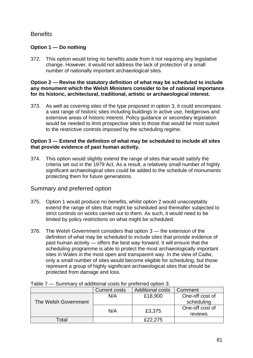# **Benefits**

## **Option 1 — Do nothing**

372. This option would bring no benefits aside from it not requiring any legislative change. However, it would not address the lack of protection of a small number of nationally important archaeological sites.

### **Option 2 — Revise the statutory definition of what may be scheduled to include any monument which the Welsh Ministers consider to be of national importance for its historic, architectural, traditional, artistic or archaeological interest.**

373. As well as covering sites of the type proposed in option 3, it could encompass a vast range of historic sites including buildings in active use, hedgerows and extensive areas of historic interest. Policy guidance or secondary legislation would be needed to limit prospective sites to those that would be most suited to the restrictive controls imposed by the scheduling regime.

### **Option 3 — Extend the definition of what may be scheduled to include all sites that provide evidence of past human activity.**

374. This option would slightly extend the range of sites that would satisfy the criteria set out in the 1979 Act. As a result, a relatively small number of highly significant archaeological sites could be added to the schedule of monuments protecting them for future generations.

# Summary and preferred option

- 375. Option 1 would produce no benefits, whilst option 2 would unacceptably extend the range of sites that might be scheduled and thereafter subjected to strict controls on works carried out to them. As such, it would need to be limited by policy restrictions on what might be scheduled.
- 376. The Welsh Government considers that option 3 the extension of the definition of what may be scheduled to include sites that provide evidence of past human activity — offers the best way forward. It will ensure that the scheduling programme is able to protect the most archaeologically important sites in Wales in the most open and transparent way. In the view of Cadw, only a small number of sites would become eligible for scheduling, but those represent a group of highly significant archaeological sites that should be protected from damage and loss.

|                      | <b>Current costs</b> | <b>Additional costs</b> | Comment         |
|----------------------|----------------------|-------------------------|-----------------|
|                      | N/A                  | £18,900                 | One-off cost of |
| The Welsh Government |                      |                         | scheduling      |
|                      | N/A                  |                         | One-off cost of |
|                      |                      | £3,375                  | reviews         |
| ʻotal                |                      | £22,275                 |                 |

#### Table 7 — Summary of additional costs for preferred option 3.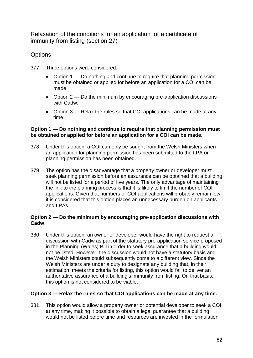# Relaxation of the conditions for an application for a certificate of immunity from listing (section 27)

# **Options**

- 377. Three options were considered:
	- Option 1 Do nothing and continue to require that planning permission must be obtained or applied for before an application for a COI can be made.
	- Option 2 Do the minimum by encouraging pre-application discussions with Cadw.
	- Option 3 Relax the rules so that COI applications can be made at any time.

### **Option 1 — Do nothing and continue to require that planning permission must be obtained or applied for before an application for a COI can be made.**

- 378. Under this option, a COI can only be sought from the Welsh Ministers when an application for planning permission has been submitted to the LPA or planning permission has been obtained.
- 379. The option has the disadvantage that a property owner or developer must seek planning permission before an assurance can be obtained that a building will not be listed for a period of five years. The only advantage of maintaining the link to the planning process is that it is likely to limit the number of COI applications. Given that numbers of COI applications will probably remain low, it is considered that this option places an unnecessary burden on applicants and LPAs.

## **Option 2 — Do the minimum by encouraging pre-application discussions with Cadw.**

380. Under this option, an owner or developer would have the right to request a discussion with Cadw as part of the statutory pre-application service proposed in the Planning (Wales) Bill in order to seek assurance that a building would not be listed. However, the discussion would not have a statutory basis and the Welsh Ministers could subsequently come to a different view. Since the Welsh Ministers are under a duty to designate any building that, in their estimation, meets the criteria for listing, this option would fail to deliver an authoritative assurance of a building's immunity from listing. On that basis, this option is not considered to be viable.

## **Option 3 — Relax the rules so that COI applications can be made at any time.**

381. This option would allow a property owner or potential developer to seek a COI at any time, making it possible to obtain a legal guarantee that a building would not be listed before time and resources are invested in the formulation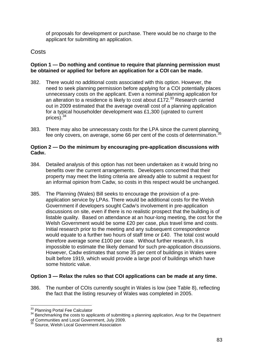of proposals for development or purchase. There would be no charge to the applicant for submitting an application.

# **Costs**

### **Option 1 — Do nothing and continue to require that planning permission must be obtained or applied for before an application for a COI can be made.**

- 382. There would no additional costs associated with this option. However, the need to seek planning permission before applying for a COI potentially places unnecessary costs on the applicant. Even a nominal planning application for an alteration to a residence is likely to cost about  $£172<sup>33</sup>$  $£172<sup>33</sup>$  $£172<sup>33</sup>$  Research carried out in 2009 estimated that the average overall cost of a planning application for a typical householder development was £1,300 (uprated to current prices). $34$
- 383. There may also be unnecessary costs for the LPA since the current planning fee only covers, on average, some 66 per cent of the costs of determination.<sup>[35](#page-82-2)</sup>

#### **Option 2 — Do the minimum by encouraging pre-application discussions with Cadw.**

- 384. Detailed analysis of this option has not been undertaken as it would bring no benefits over the current arrangements. Developers concerned that their property may meet the listing criteria are already able to submit a request for an informal opinion from Cadw, so costs in this respect would be unchanged.
- 385. The Planning (Wales) Bill seeks to encourage the provision of a preapplication service by LPAs. There would be additional costs for the Welsh Government if developers sought Cadw's involvement in pre-application discussions on site, even if there is no realistic prospect that the building is of listable quality. Based on attendance at an hour-long meeting, the cost for the Welsh Government would be some £20 per case, plus travel time and costs. Initial research prior to the meeting and any subsequent correspondence would equate to a further two hours of staff time or £40. The total cost would therefore average some £100 per case. Without further research, it is impossible to estimate the likely demand for such pre-application discussions. However, Cadw estimates that some 35 per cent of buildings in Wales were built before 1919, which would provide a large pool of buildings which have some historic value.

#### **Option 3 — Relax the rules so that COI applications can be made at any time.**

386. The number of COIs currently sought in Wales is low (see Table 8), reflecting the fact that the listing resurvey of Wales was completed in 2005.

<span id="page-82-0"></span><sup>&</sup>lt;sup>33</sup> Planning Portal Fee Calculator

<span id="page-82-1"></span><sup>&</sup>lt;sup>34</sup> Benchmarking the costs to applicants of submitting a planning application, Arup for the Department of Communities and Local Government, July 2009.

<span id="page-82-2"></span><sup>35</sup> Source, Welsh Local Government Association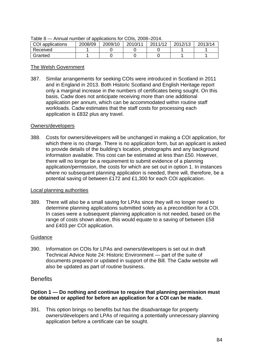| i uviv v<br>$\overline{I}$ without thoroughouse of applications for OOIS, 2000. 2017, |         |         |         |         |         |         |  |
|---------------------------------------------------------------------------------------|---------|---------|---------|---------|---------|---------|--|
| COI applications                                                                      | 2008/09 | 2009/10 | 2010/11 | 2011/12 | 2012/13 | 2013/14 |  |
| Received                                                                              |         |         |         |         |         |         |  |
| Granted                                                                               |         |         |         |         |         |         |  |

Table 8 — Annual number of applications for COIs, 2008–2014.

### The Welsh Government

387. Similar arrangements for seeking COIs were introduced in Scotland in 2011 and in England in 2013. Both Historic Scotland and English Heritage report only a marginal increase in the numbers of certificates being sought. On this basis, Cadw does not anticipate receiving more than one additional application per annum, which can be accommodated within routine staff workloads. Cadw estimates that the staff costs for processing each application is £832 plus any travel.

### Owners/developers

388. Costs for owners/developers will be unchanged in making a COI application, for which there is no charge. There is no application form, but an applicant is asked to provide details of the building's location, photographs and any background information available. This cost can be estimated at less than £50. However, there will no longer be a requirement to submit evidence of a planning application/permission, the costs for which are set out in option 1. In instances where no subsequent planning application is needed, there will, therefore, be a potential saving of between £172 and £1,300 for each COI application.

#### Local planning authorities

389. There will also be a small saving for LPAs since they will no longer need to determine planning applications submitted solely as a precondition for a COI. In cases were a subsequent planning application is not needed, based on the range of costs shown above, this would equate to a saving of between £58 and £403 per COI application.

## **Guidance**

390. Information on COIs for LPAs and owners/developers is set out in draft Technical Advice Note 24: Historic Environment — part of the suite of documents prepared or updated in support of the Bill. The Cadw website will also be updated as part of routine business.

# **Benefits**

#### **Option 1 — Do nothing and continue to require that planning permission must be obtained or applied for before an application for a COI can be made.**

391. This option brings no benefits but has the disadvantage for property owners/developers and LPAs of requiring a potentially unnecessary planning application before a certificate can be sought.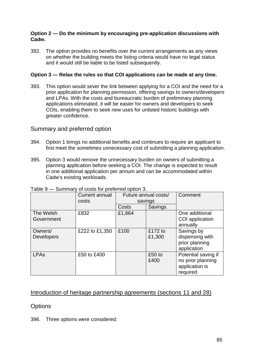### **Option 2 — Do the minimum by encouraging pre-application discussions with Cadw.**

392. The option provides no benefits over the current arrangements as any views on whether the building meets the listing criteria would have no legal status and it would still be liable to be listed subsequently.

## **Option 3 — Relax the rules so that COI applications can be made at any time.**

393. This option would sever the link between applying for a COI and the need for a prior application for planning permission, offering savings to owners/developers and LPAs. With the costs and bureaucratic burden of preliminary planning applications eliminated, it will be easier for owners and developers to seek COIs, enabling them to seek new uses for unlisted historic buildings with greater confidence.

## Summary and preferred option

- 394. Option 1 brings no additional benefits and continues to require an applicant to first meet the sometimes unnecessary cost of submitting a planning application.
- 395. Option 3 would remove the unnecessary burden on owners of submitting a planning application before seeking a COI. The change is expected to result in one additional application per annum and can be accommodated within Cadw's existing workloads.

|                              | <b>Current annual</b> | Future annual costs/ |                   | Comment                                                                |
|------------------------------|-----------------------|----------------------|-------------------|------------------------------------------------------------------------|
|                              | costs                 |                      | savings           |                                                                        |
|                              |                       | Costs                | Savings           |                                                                        |
| The Welsh<br>Government      | £832                  | £1,664               |                   | One additional<br>COI application<br>annually                          |
| Owners/<br><b>Developers</b> | £222 to £1,350        | £100                 | £172 to<br>£1,300 | Savings by<br>dispensing with<br>prior planning<br>application         |
| <b>LPAs</b>                  | £50 to £400           |                      | $£50$ to<br>£400  | Potential saving if<br>no prior planning<br>application is<br>required |

#### Table 9 — Summary of costs for preferred option 3.

# Introduction of heritage partnership agreements (sections 11 and 28)

# **Options**

396. Three options were considered: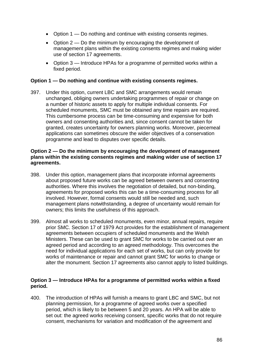- Option 1 Do nothing and continue with existing consents regimes.
- Option 2 Do the minimum by encouraging the development of management plans within the existing consents regimes and making wider use of section 17 agreements.
- Option 3 Introduce HPAs for a programme of permitted works within a fixed period.

#### **Option 1 — Do nothing and continue with existing consents regimes.**

397. Under this option, current LBC and SMC arrangements would remain unchanged, obliging owners undertaking programmes of repair or change on a number of historic assets to apply for multiple individual consents. For scheduled monuments, SMC must be obtained any time repairs are required. This cumbersome process can be time-consuming and expensive for both owners and consenting authorities and, since consent cannot be taken for granted, creates uncertainty for owners planning works. Moreover, piecemeal applications can sometimes obscure the wider objectives of a conservation programme and lead to disputes over specific details.

#### **Option 2 — Do the minimum by encouraging the development of management plans within the existing consents regimes and making wider use of section 17 agreements.**

- 398. Under this option, management plans that incorporate informal agreements about proposed future works can be agreed between owners and consenting authorities. Where this involves the negotiation of detailed, but non-binding, agreements for proposed works this can be a time-consuming process for all involved. However, formal consents would still be needed and, such management plans notwithstanding, a degree of uncertainty would remain for owners; this limits the usefulness of this approach.
- 399. Almost all works to scheduled monuments, even minor, annual repairs, require prior SMC. Section 17 of 1979 Act provides for the establishment of management agreements between occupiers of scheduled monuments and the Welsh Ministers. These can be used to grant SMC for works to be carried out over an agreed period and according to an agreed methodology. This overcomes the need for individual applications for each set of works, but can only provide for works of maintenance or repair and cannot grant SMC for works to change or alter the monument. Section 17 agreements also cannot apply to listed buildings.

#### **Option 3 — Introduce HPAs for a programme of permitted works within a fixed period.**

400. The introduction of HPAs will furnish a means to grant LBC and SMC, but not planning permission, for a programme of agreed works over a specified period, which is likely to be between 5 and 20 years. An HPA will be able to set out: the agreed works receiving consent, specific works that do not require consent, mechanisms for variation and modification of the agreement and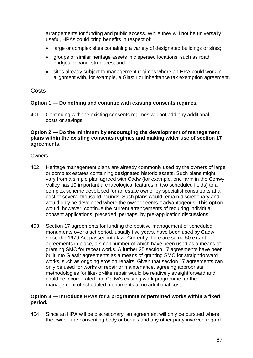arrangements for funding and public access. While they will not be universally useful, HPAs could bring benefits in respect of:

- large or complex sites containing a variety of designated buildings or sites;
- groups of similar heritage assets in dispersed locations, such as road bridges or canal structures; and
- sites already subject to management regimes where an HPA could work in alignment with, for example, a Glastir or inheritance tax exemption agreement.

## **Costs**

### **Option 1 — Do nothing and continue with existing consents regimes.**

401. Continuing with the existing consents regimes will not add any additional costs or savings.

### **Option 2 — Do the minimum by encouraging the development of management plans within the existing consents regimes and making wider use of section 17 agreements.**

#### **Owners**

- 402. Heritage management plans are already commonly used by the owners of large or complex estates containing designated historic assets. Such plans might vary from a simple plan agreed with Cadw (for example, one farm in the Conwy Valley has 19 important archaeological features in two scheduled fields) to a complex scheme developed for an estate owner by specialist consultants at a cost of several thousand pounds. Such plans would remain discretionary and would only be developed where the owner deems it advantageous. This option would, however, continue the current arrangements of requiring individual consent applications, preceded, perhaps, by pre-application discussions.
- 403. Section 17 agreements for funding the positive management of scheduled monuments over a set period, usually five years, have been used by Cadw since the 1979 Act passed into law. Currently there are some 50 extant agreements in place, a small number of which have been used as a means of granting SMC for repeat works. A further 25 section 17 agreements have been built into Glastir agreements as a means of granting SMC for straightforward works, such as ongoing erosion repairs. Given that section 17 agreements can only be used for works of repair or maintenance, agreeing appropriate methodologies for like-for-like repair would be relatively straightforward and could be incorporated into Cadw's existing work programme for the management of scheduled monuments at no additional cost.

### **Option 3 — Introduce HPAs for a programme of permitted works within a fixed period.**

404. Since an HPA will be discretionary, an agreement will only be pursued where the owner, the consenting body or bodies and any other party involved regard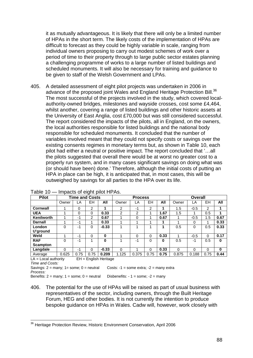it as mutually advantageous. It is likely that there will only be a limited number of HPAs in the short term. The likely costs of the implementation of HPAs are difficult to forecast as they could be highly variable in scale, ranging from individual owners proposing to carry out modest schemes of work over a period of time to their property through to large public sector estates planning a challenging programme of works to a large number of listed buildings and scheduled monuments. It will also be necessary for training and guidance to be given to staff of the Welsh Government and LPAs.

405. A detailed assessment of eight pilot projects was undertaken in 2006 in advance of the proposed joint Wales and England Heritage Protection Bill.<sup>[36](#page-87-0)</sup> The most successful of the projects involved in the study, which covered localauthority-owned bridges, milestones and wayside crosses, cost some £4,464, whilst another, covering a range of listed buildings and other historic assets at the University of East Anglia, cost £70,000 but was still considered successful. The report considered the impacts of the pilots, all in England, on the owners, the local authorities responsible for listed buildings and the national body responsible for scheduled monuments. It concluded that the number of variables involved meant that they could not specify costs or savings over the existing consents regimes in monetary terms but, as shown in Table 10, each pilot had either a neutral or positive impact. The report concluded that '…all the pilots suggested that overall there would be at worst no greater cost to a properly run system, and in many cases significant savings on doing what was (or should have been) done.' Therefore, although the initial costs of putting an HPA in place can be high, it is anticipated that, in most cases, this will be outweighed by savings for all parties to the HPA over its life.

| <b>Pilot</b>    |          | <b>Time and Costs</b> |                |          |       | <b>Process</b> |          |      | Overall |        |                |          |
|-----------------|----------|-----------------------|----------------|----------|-------|----------------|----------|------|---------|--------|----------------|----------|
|                 | Owner    | LA                    | EН             | All      | Owner | LA             | EН       | All  | Owner   | LA     | EH             | All      |
| <b>Cornwall</b> |          | 0                     | $\overline{2}$ |          | 2     | -1             | 2        |      | 1.5     | $-0.5$ | $\overline{2}$ |          |
| <b>UEA</b>      |          | 0                     | $\Omega$       | 0.33     | 2     | 2              | 1        | 1.67 | 1.5     |        | 0.5            |          |
| Kenilworth      |          | -1                    | $\overline{2}$ | 0.67     |       | 0              | и        | 0.67 |         | $-0.5$ | 1.5            | 0.67     |
| <b>Darnall</b>  |          | -1                    |                | 0.33     |       |                | 1        |      |         | 0      |                | 0.33     |
| London          | 0        | -1                    | 0              | $-0.33$  |       |                | 1        | 1    | 0.5     | 0      | 0.5            | 0.33     |
| U'ground        |          |                       |                |          |       |                |          |      |         |        |                |          |
| Weld            |          | -1                    | 0              | $\bf{0}$ |       | 0              | $\Omega$ | 0.33 |         | $-0.5$ | $\Omega$       | 0.17     |
| <b>RAF</b>      | $\Omega$ | -1                    |                | $\bf{0}$ |       | -1             | $\Omega$ | 0    | 0.5     | -1     | 0.5            | $\bf{0}$ |
| <b>Scampton</b> |          |                       |                |          |       |                |          |      |         |        |                |          |
| Langdale        | $\Omega$ | -1                    | 0              | $-0.33$  | 0     |                | 0        | 0.33 | 0       | 0      | $\Omega$       | 0        |
| Average         | 0.625    | 0.75<br>---           | 0.75           | 0.209    | 1.125 | 0.375          | 0.75     | 0.75 | 0.875   | 0.188  | 0.75           | 0.44     |

Table 10 — Impacts of eight pilot HPAs.

 $LA = Local$  authority  $EH = English$  Heritage *Time and Costs:*  Savings:  $2 = \text{many}$ ;  $1 = \text{some}$ ;  $0 = \text{neutral}$  Costs:  $-1 = \text{some extra}$ ;  $-2 = \text{many extra}$ ; *Process:* 

Benefits:  $2 =$  many;  $1 =$  some;  $0 =$  neutral Disbenefits:  $-1 =$  some;  $-2 =$  many

406. The potential for the use of HPAs will be raised as part of usual business with representatives of the sector, including owners, through the Built Heritage Forum, HEG and other bodies. It is not currently the intention to produce bespoke guidance on HPAs in Wales. Cadw will, however, work closely with

<span id="page-87-0"></span><sup>36</sup> Heritage Protection Review, Historic Environment Conservation, April 2006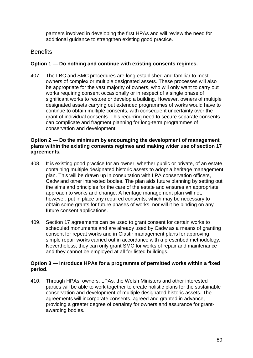partners involved in developing the first HPAs and will review the need for additional guidance to strengthen existing good practice.

# **Benefits**

## **Option 1 — Do nothing and continue with existing consents regimes.**

407. The LBC and SMC procedures are long established and familiar to most owners of complex or multiple designated assets. These processes will also be appropriate for the vast majority of owners, who will only want to carry out works requiring consent occasionally or in respect of a single phase of significant works to restore or develop a building. However, owners of multiple designated assets carrying out extended programmes of works would have to continue to obtain multiple consents, with consequent uncertainty over the grant of individual consents. This recurring need to secure separate consents can complicate and fragment planning for long-term programmes of conservation and development.

#### **Option 2 — Do the minimum by encouraging the development of management plans within the existing consents regimes and making wider use of section 17 agreements.**

- 408. It is existing good practice for an owner, whether public or private, of an estate containing multiple designated historic assets to adopt a heritage management plan. This will be drawn up in consultation with LPA conservation officers, Cadw and other interested bodies. The plan aids future planning by setting out the aims and principles for the care of the estate and ensures an appropriate approach to works and change. A heritage management plan will not, however, put in place any required consents, which may be necessary to obtain some grants for future phases of works, nor will it be binding on any future consent applications.
- 409. Section 17 agreements can be used to grant consent for certain works to scheduled monuments and are already used by Cadw as a means of granting consent for repeat works and in Glastir management plans for approving simple repair works carried out in accordance with a prescribed methodology. Nevertheless, they can only grant SMC for works of repair and maintenance and they cannot be employed at all for listed buildings.

### **Option 3 — Introduce HPAs for a programme of permitted works within a fixed period.**

410. Through HPAs, owners, LPAs, the Welsh Ministers and other interested parties will be able to work together to create holistic plans for the sustainable conservation and development of multiple designated historic assets. The agreements will incorporate consents, agreed and granted in advance, providing a greater degree of certainty for owners and assurance for grantawarding bodies.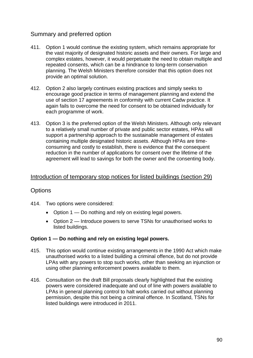# Summary and preferred option

- 411. Option 1 would continue the existing system, which remains appropriate for the vast majority of designated historic assets and their owners. For large and complex estates, however, it would perpetuate the need to obtain multiple and repeated consents, which can be a hindrance to long-term conservation planning. The Welsh Ministers therefore consider that this option does not provide an optimal solution.
- 412. Option 2 also largely continues existing practices and simply seeks to encourage good practice in terms of management planning and extend the use of section 17 agreements in conformity with current Cadw practice. It again fails to overcome the need for consent to be obtained individually for each programme of work.
- 413. Option 3 is the preferred option of the Welsh Ministers. Although only relevant to a relatively small number of private and public sector estates, HPAs will support a partnership approach to the sustainable management of estates containing multiple designated historic assets. Although HPAs are timeconsuming and costly to establish, there is evidence that the consequent reduction in the number of applications for consent over the lifetime of the agreement will lead to savings for both the owner and the consenting body.

# Introduction of temporary stop notices for listed buildings (section 29)

# **Options**

- 414. Two options were considered:
	- Option 1 Do nothing and rely on existing legal powers.
	- Option 2 Introduce powers to serve TSNs for unauthorised works to listed buildings.

## **Option 1 — Do nothing and rely on existing legal powers.**

- 415. This option would continue existing arrangements in the 1990 Act which make unauthorised works to a listed building a criminal offence, but do not provide LPAs with any powers to stop such works, other than seeking an injunction or using other planning enforcement powers available to them.
- 416. Consultation on the draft Bill proposals clearly highlighted that the existing powers were considered inadequate and out of line with powers available to LPAs in general planning control to halt works carried out without planning permission, despite this not being a criminal offence. In Scotland, TSNs for listed buildings were introduced in 2011.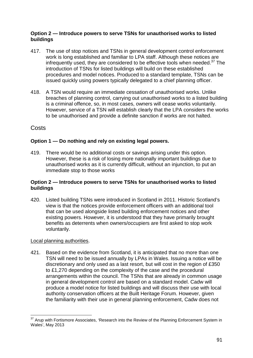#### **Option 2 — Introduce powers to serve TSNs for unauthorised works to listed buildings**

- 417. The use of stop notices and TSNs in general development control enforcement work is long established and familiar to LPA staff. Although these notices are infrequently used, they are considered to be effective tools when needed. $37$  The introduction of TSNs for listed buildings will build on these established procedures and model notices. Produced to a standard template, TSNs can be issued quickly using powers typically delegated to a chief planning officer.
- 418. A TSN would require an immediate cessation of unauthorised works. Unlike breaches of planning control, carrying out unauthorised works to a listed building is a criminal offence, so, in most cases, owners will cease works voluntarily. However, service of a TSN will establish clearly that the LPA considers the works to be unauthorised and provide a definite sanction if works are not halted.

# **Costs**

## **Option 1 — Do nothing and rely on existing legal powers.**

419. There would be no additional costs or savings arising under this option. However, these is a risk of losing more nationally important buildings due to unauthorised works as it is currently difficult, without an injunction, to put an immediate stop to those works

### **Option 2 — Introduce powers to serve TSNs for unauthorised works to listed buildings**

420. Listed building TSNs were introduced in Scotland in 2011. Historic Scotland's view is that the notices provide enforcement officers with an additional tool that can be used alongside listed building enforcement notices and other existing powers. However, it is understood that they have primarily brought benefits as deterrents when owners/occupiers are first asked to stop work voluntarily.

## Local planning authorities.

421. Based on the evidence from Scotland, it is anticipated that no more than one TSN will need to be issued annually by LPAs in Wales. Issuing a notice will be discretionary and only used as a last resort, but will cost in the region of £350 to £1,270 depending on the complexity of the case and the procedural arrangements within the council. The TSNs that are already in common usage in general development control are based on a standard model. Cadw will produce a model notice for listed buildings and will discuss their use with local authority conservation officers at the Built Heritage Forum. However, given the familiarity with their use in general planning enforcement, Cadw does not

<span id="page-90-0"></span><sup>&</sup>lt;sup>37</sup> Arup with Fortismore Associates, 'Research into the Review of the Planning Enforcement System in Wales', May 2013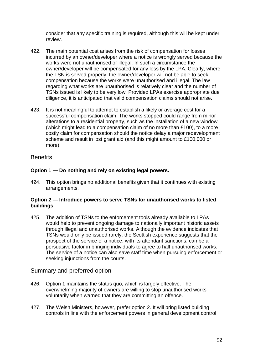consider that any specific training is required, although this will be kept under review.

- 422. The main potential cost arises from the risk of compensation for losses incurred by an owner/developer where a notice is wrongly served because the works were not unauthorised or illegal. In such a circumstance the owner/developer will be compensated for any loss by the LPA. Clearly, where the TSN is served properly, the owner/developer will not be able to seek compensation because the works were unauthorised and illegal. The law regarding what works are unauthorised is relatively clear and the number of TSNs issued is likely to be very low. Provided LPAs exercise appropriate due diligence, it is anticipated that valid compensation claims should not arise.
- 423. It is not meaningful to attempt to establish a likely or average cost for a successful compensation claim. The works stopped could range from minor alterations to a residential property, such as the installation of a new window (which might lead to a compensation claim of no more than £100), to a more costly claim for compensation should the notice delay a major redevelopment scheme and result in lost grant aid (and this might amount to £100,000 or more).

# **Benefits**

## **Option 1 — Do nothing and rely on existing legal powers.**

424. This option brings no additional benefits given that it continues with existing arrangements.

#### **Option 2 — Introduce powers to serve TSNs for unauthorised works to listed buildings**

425. The addition of TSNs to the enforcement tools already available to LPAs would help to prevent ongoing damage to nationally important historic assets through illegal and unauthorised works. Although the evidence indicates that TSNs would only be issued rarely, the Scottish experience suggests that the prospect of the service of a notice, with its attendant sanctions, can be a persuasive factor in bringing individuals to agree to halt unauthorised works. The service of a notice can also save staff time when pursuing enforcement or seeking injunctions from the courts.

## Summary and preferred option

- 426. Option 1 maintains the status quo, which is largely effective. The overwhelming majority of owners are willing to stop unauthorised works voluntarily when warned that they are committing an offence.
- 427. The Welsh Ministers, however, prefer option 2. It will bring listed building controls in line with the enforcement powers in general development control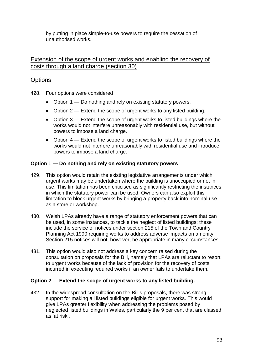by putting in place simple-to-use powers to require the cessation of unauthorised works.

# Extension of the scope of urgent works and enabling the recovery of costs through a land charge (section 30)

# **Options**

- 428. Four options were considered
	- Option 1 Do nothing and rely on existing statutory powers.
	- Option 2 Extend the scope of urgent works to any listed building.
	- Option 3 Extend the scope of urgent works to listed buildings where the works would not interfere unreasonably with residential use, but without powers to impose a land charge.
	- Option 4 Extend the scope of urgent works to listed buildings where the works would not interfere unreasonably with residential use and introduce powers to impose a land charge.

## **Option 1 — Do nothing and rely on existing statutory powers**

- 429. This option would retain the existing legislative arrangements under which urgent works may be undertaken where the building is unoccupied or not in use. This limitation has been criticised as significantly restricting the instances in which the statutory power can be used. Owners can also exploit this limitation to block urgent works by bringing a property back into nominal use as a store or workshop.
- 430. Welsh LPAs already have a range of statutory enforcement powers that can be used, in some instances, to tackle the neglect of listed buildings; these include the service of notices under section 215 of the Town and Country Planning Act 1990 requiring works to address adverse impacts on amenity. Section 215 notices will not, however, be appropriate in many circumstances.
- 431. This option would also not address a key concern raised during the consultation on proposals for the Bill, namely that LPAs are reluctant to resort to urgent works because of the lack of provision for the recovery of costs incurred in executing required works if an owner fails to undertake them.

#### **Option 2 — Extend the scope of urgent works to any listed building.**

432. In the widespread consultation on the Bill's proposals, there was strong support for making all listed buildings eligible for urgent works. This would give LPAs greater flexibility when addressing the problems posed by neglected listed buildings in Wales, particularly the 9 per cent that are classed as 'at risk'.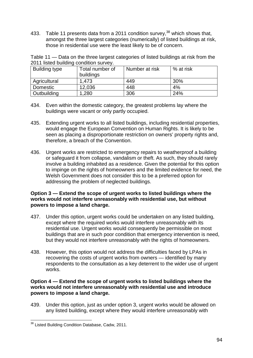433. Table 11 presents data from a 2011 condition survey,  $38$  which shows that, amongst the three largest categories (numerically) of listed buildings at risk, those in residential use were the least likely to be of concern.

| ZU I I IISTEG DUIIGING CONGNUON SUIVEY. |                              |                |           |  |  |  |  |
|-----------------------------------------|------------------------------|----------------|-----------|--|--|--|--|
| <b>Building type</b>                    | Total number of<br>buildings | Number at risk | % at risk |  |  |  |  |
| Agricultural                            | 1.473                        | 449            | 30%       |  |  |  |  |
| Domestic                                | 12,036                       | 448            | 4%        |  |  |  |  |
| Outbuilding                             | .280                         | 306            | 24%       |  |  |  |  |

Table 11 — Data on the three largest categories of listed buildings at risk from the 2011 listed building condition survey.

- 434. Even within the domestic category, the greatest problems lay where the buildings were vacant or only partly occupied.
- 435. Extending urgent works to all listed buildings, including residential properties, would engage the European Convention on Human Rights. It is likely to be seen as placing a disproportionate restriction on owners' property rights and, therefore, a breach of the Convention.
- 436. Urgent works are restricted to emergency repairs to weatherproof a building or safeguard it from collapse, vandalism or theft. As such, they should rarely involve a building inhabited as a residence. Given the potential for this option to impinge on the rights of homeowners and the limited evidence for need, the Welsh Government does not consider this to be a preferred option for addressing the problem of neglected buildings.

### **Option 3 — Extend the scope of urgent works to listed buildings where the works would not interfere unreasonably with residential use, but without powers to impose a land charge.**

- 437. Under this option, urgent works could be undertaken on any listed building, except where the required works would interfere unreasonably with its residential use. Urgent works would consequently be permissible on most buildings that are in such poor condition that emergency intervention is need, but they would not interfere unreasonably with the rights of homeowners.
- 438. However, this option would not address the difficulties faced by LPAs in recovering the costs of urgent works from owners — identified by many respondents to the consultation as a key deterrent to the wider use of urgent works.

### **Option 4 — Extend the scope of urgent works to listed buildings where the works would not interfere unreasonably with residential use and introduce powers to impose a land charge.**

439. Under this option, just as under option 3, urgent works would be allowed on any listed building, except where they would interfere unreasonably with

<span id="page-93-0"></span><sup>&</sup>lt;sup>38</sup> Listed Building Condition Database, Cadw, 2011.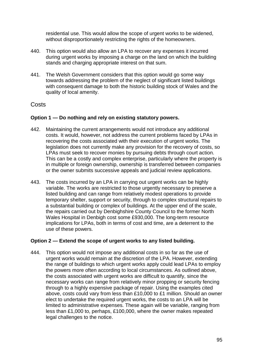residential use. This would allow the scope of urgent works to be widened, without disproportionately restricting the rights of the homeowners.

- 440. This option would also allow an LPA to recover any expenses it incurred during urgent works by imposing a charge on the land on which the building stands and charging appropriate interest on that sum.
- 441. The Welsh Government considers that this option would go some way towards addressing the problem of the neglect of significant listed buildings with consequent damage to both the historic building stock of Wales and the quality of local amenity.

## **Costs**

### **Option 1 — Do nothing and rely on existing statutory powers.**

- 442. Maintaining the current arrangements would not introduce any additional costs. It would, however, not address the current problems faced by LPAs in recovering the costs associated with their execution of urgent works. The legislation does not currently make any provision for the recovery of costs, so LPAs must seek to recover monies by pursuing debts through court action. This can be a costly and complex enterprise, particularly where the property is in multiple or foreign ownership, ownership is transferred between companies or the owner submits successive appeals and judicial review applications.
- 443. The costs incurred by an LPA in carrying out urgent works can be highly variable. The works are restricted to those urgently necessary to preserve a listed building and can range from relatively modest operations to provide temporary shelter, support or security, through to complex structural repairs to a substantial building or complex of buildings. At the upper end of the scale, the repairs carried out by Denbighshire County Council to the former North Wales Hospital in Denbigh cost some £930,000. The long-term resource implications for LPAs, both in terms of cost and time, are a deterrent to the use of these powers.

#### **Option 2 — Extend the scope of urgent works to any listed building.**

444. This option would not impose any additional costs in so far as the use of urgent works would remain at the discretion of the LPA. However, extending the range of buildings to which urgent works apply could lead LPAs to employ the powers more often according to local circumstances. As outlined above, the costs associated with urgent works are difficult to quantify, since the necessary works can range from relatively minor propping or security fencing through to a highly expensive package of repair. Using the examples cited above, costs could vary from less than £10,000 to £1 million. Should an owner elect to undertake the required urgent works, the costs to an LPA will be limited to administrative expenses. These again will be variable, ranging from less than £1,000 to, perhaps, £100,000, where the owner makes repeated legal challenges to the notice.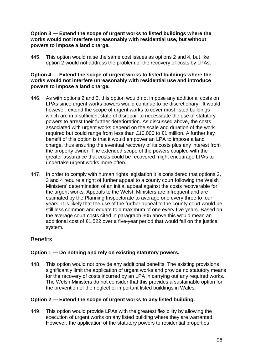**Option 3 — Extend the scope of urgent works to listed buildings where the works would not interfere unreasonably with residential use, but without powers to impose a land charge.** 

445. This option would raise the same cost issues as options 2 and 4, but like option 2 would not address the problem of the recovery of costs by LPAs.

### **Option 4 — Extend the scope of urgent works to listed buildings where the works would not interfere unreasonably with residential use and introduce powers to impose a land charge.**

- 446. As with options 2 and 3, this option would not impose any additional costs on LPAs since urgent works powers would continue to be discretionary. It would, however, extend the scope of urgent works to cover most listed buildings which are in a sufficient state of disrepair to necessitate the use of statutory powers to arrest their further deterioration. As discussed above, the costs associated with urgent works depend on the scale and duration of the work required but could range from less than £10,000 to £1 million. A further key benefit of this option is that it would empower an LPA to impose a land charge, thus ensuring the eventual recovery of its costs plus any interest from the property owner. The extended scope of the powers coupled with the greater assurance that costs could be recovered might encourage LPAs to undertake urgent works more often.
- 447. In order to comply with human rights legislation it is considered that options 2, 3 and 4 require a right of further appeal to a county court following the Welsh Ministers' determination of an initial appeal against the costs recoverable for the urgent works. Appeals to the Welsh Ministers are infrequent and are estimated by the Planning Inspectorate to average one every three to four years. It is likely that the use of the further appeal to the county court would be still less common and equate to a maximum of one every five years. Based on the average court costs cited in paragraph 305 above this would mean an additional cost of £1,522 over a five-year period that would fall on the justice system.

## **Benefits**

## **Option 1 — Do nothing and rely on existing statutory powers.**

448. This option would not provide any additional benefits. The existing provisions significantly limit the application of urgent works and provide no statutory means for the recovery of costs incurred by an LPA in carrying out any required works. The Welsh Ministers do not consider that this provides a sustainable option for the prevention of the neglect of important listed buildings in Wales.

#### **Option 2 — Extend the scope of urgent works to any listed building.**

449. This option would provide LPAs with the greatest flexibility by allowing the execution of urgent works on any listed building where they are warranted. However, the application of the statutory powers to residential properties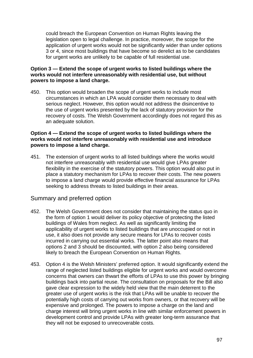could breach the European Convention on Human Rights leaving the legislation open to legal challenge. In practice, moreover, the scope for the application of urgent works would not be significantly wider than under options 3 or 4, since most buildings that have become so derelict as to be candidates for urgent works are unlikely to be capable of full residential use.

### **Option 3 — Extend the scope of urgent works to listed buildings where the works would not interfere unreasonably with residential use, but without powers to impose a land charge.**

450. This option would broaden the scope of urgent works to include most circumstances in which an LPA would consider them necessary to deal with serious neglect. However, this option would not address the disincentive to the use of urgent works presented by the lack of statutory provision for the recovery of costs. The Welsh Government accordingly does not regard this as an adequate solution.

#### **Option 4 — Extend the scope of urgent works to listed buildings where the works would not interfere unreasonably with residential use and introduce powers to impose a land charge.**

451. The extension of urgent works to all listed buildings where the works would not interfere unreasonably with residential use would give LPAs greater flexibility in the exercise of the statutory powers. This option would also put in place a statutory mechanism for LPAs to recover their costs. The new powers to impose a land charge would provide effective financial assurance for LPAs seeking to address threats to listed buildings in their areas.

## Summary and preferred option

- 452. The Welsh Government does not consider that maintaining the status quo in the form of option 1 would deliver its policy objective of protecting the listed buildings of Wales from neglect. As well as significantly limiting the applicability of urgent works to listed buildings that are unoccupied or not in use, it also does not provide any secure means for LPAs to recover costs incurred in carrying out essential works. The latter point also means that options 2 and 3 should be discounted, with option 2 also being considered likely to breach the European Convention on Human Rights.
- 453. Option 4 is the Welsh Ministers' preferred option. It would significantly extend the range of neglected listed buildings eligible for urgent works and would overcome concerns that owners can thwart the efforts of LPAs to use this power by bringing buildings back into partial reuse. The consultation on proposals for the Bill also gave clear expression to the widely held view that the main deterrent to the greater use of urgent works is the risk that LPAs will be unable to recover the potentially high costs of carrying out works from owners, or that recovery will be expensive and prolonged. The powers to impose a charge on the land and charge interest will bring urgent works in line with similar enforcement powers in development control and provide LPAs with greater long-term assurance that they will not be exposed to unrecoverable costs.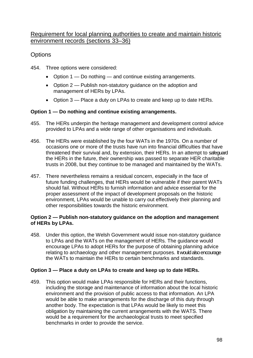# Requirement for local planning authorities to create and maintain historic environment records (sections 33–36)

# **Options**

454. Three options were considered:

- Option 1 Do nothing and continue existing arrangements.
- Option 2 Publish non-statutory guidance on the adoption and management of HERs by LPAs.
- Option 3 Place a duty on LPAs to create and keep up to date HERs.

## **Option 1 — Do nothing and continue existing arrangements.**

- 455. The HERs underpin the heritage management and development control advice provided to LPAs and a wide range of other organisations and individuals.
- 456. The HERs were established by the four WATs in the 1970s. On a number of occasions one or more of the trusts have run into financial difficulties that have threatened their survival and, by extension, their HERs. In an attempt to safeguard the HERs in the future, their ownership was passed to separate HER charitable trusts in 2008, but they continue to be managed and maintained by the WATs.
- 457. There nevertheless remains a residual concern, especially in the face of future funding challenges, that HERs would be vulnerable if their parent WATs should fail. Without HERs to furnish information and advice essential for the proper assessment of the impact of development proposals on the historic environment, LPAs would be unable to carry out effectively their planning and other responsibilities towards the historic environment.

### **Option 2 — Publish non-statutory guidance on the adoption and management of HERs by LPAs.**

458. Under this option, the Welsh Government would issue non-statutory guidance to LPAs and the WATs on the management of HERs. The guidance would encourage LPAs to adopt HERs for the purpose of obtaining planning advice relating to archaeology and other management purposes. It would also encourage the WATs to maintain the HERs to certain benchmarks and standards.

## **Option 3 — Place a duty on LPAs to create and keep up to date HERs.**

459. This option would make LPAs responsible for HERs and their functions, including the storage and maintenance of information about the local historic environment and the provision of public access to that information. An LPA would be able to make arrangements for the discharge of this duty through another body. The expectation is that LPAs would be likely to meet this obligation by maintaining the current arrangements with the WATS. There would be a requirement for the archaeological trusts to meet specified benchmarks in order to provide the service.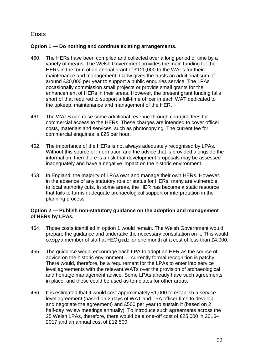# **Costs**

## **Option 1 — Do nothing and continue existing arrangements.**

- 460. The HERs have been compiled and collected over a long period of time by a variety of means. The Welsh Government provides the main funding for the HERs in the form of an annual grant of £120,000 to the WATs for their maintenance and management. Cadw gives the trusts an additional sum of around £30,000 per year to support a public enquiries service. The LPAs occasionally commission small projects or provide small grants for the enhancement of HERs in their areas. However, the present grant funding falls short of that required to support a full-time officer in each WAT dedicated to the upkeep, maintenance and management of the HER.
- 461. The WATS can raise some additional revenue through charging fees for commercial access to the HERs. These charges are intended to cover officer costs, materials and services, such as photocopying. The current fee for commercial enquiries is £25 per hour.
- 462. The importance of the HERs is not always adequately recognised by LPAs. Without this source of information and the advice that is provided alongside the information, then there is a risk that development proposals may be assessed inadequately and have a negative impact on the historic environment.
- 463. In England, the majority of LPAs own and manage their own HERs. However, in the absence of any statutory role or status for HERs, many are vulnerable to local authority cuts. In some areas, the HER has become a static resource that fails to furnish adequate archaeological support or interpretation in the planning process.

#### **Option 2 — Publish non-statutory guidance on the adoption and management of HERs by LPAs.**

- 464. Those costs identified in option 1 would remain. The Welsh Government would prepare the guidance and undertake the necessary consultation on it. This would occupy a member of staff at HEO grade for one month at a cost of less than £4,000.
- 465. The guidance would encourage each LPA to adopt an HER as the source of advice on the historic environment — currently formal recognition is patchy. There would, therefore, be a requirement for the LPAs to enter into service level agreements with the relevant WATs over the provision of archaeological and heritage management advice. Some LPAs already have such agreements in place, and these could be used as templates for other areas.
- 466. It is estimated that it would cost approximately £1,000 to establish a service level agreement (based on 2 days of WAT and LPA officer time to develop and negotiate the agreement) and £500 per year to sustain it (based on 2 half-day review meetings annually). To introduce such agreements across the 25 Welsh LPAs, therefore, there would be a one-off cost of £25,000 in 2016– 2017 and an annual cost of £12,500.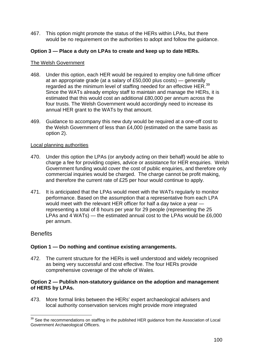467. This option might promote the status of the HERs within LPAs, but there would be no requirement on the authorities to adopt and follow the guidance.

### **Option 3 — Place a duty on LPAs to create and keep up to date HERs.**

#### The Welsh Government

- 468. Under this option, each HER would be required to employ one full-time officer at an appropriate grade (at a salary of £50,000 plus costs) — generally regarded as the minimum level of staffing needed for an effective HER.<sup>[39](#page-99-0)</sup> Since the WATs already employ staff to maintain and manage the HERs, it is estimated that this would cost an additional £80,000 per annum across the four trusts. The Welsh Government would accordingly need to increase its annual HER grant to the WATs by that amount.
- 469. Guidance to accompany this new duty would be required at a one-off cost to the Welsh Government of less than £4,000 (estimated on the same basis as option 2).

#### Local planning authorities

- 470. Under this option the LPAs (or anybody acting on their behalf) would be able to charge a fee for providing copies, advice or assistance for HER enquiries. Welsh Government funding would cover the cost of public enquiries, and therefore only commercial inquiries would be charged. The charge cannot be profit making, and therefore the current rate of £25 per hour would continue to apply.
- 471. It is anticipated that the LPAs would meet with the WATs regularly to monitor performance. Based on the assumption that a representative from each LPA would meet with the relevant HER officer for half a day twice a year representing a total of 8 hours per year for 29 people (representing the 25 LPAs and 4 WATs) — the estimated annual cost to the LPAs would be £6,000 per annum.

## **Benefits**

## **Option 1 — Do nothing and continue existing arrangements.**

472. The current structure for the HERs is well understood and widely recognised as being very successful and cost effective. The four HERs provide comprehensive coverage of the whole of Wales.

#### **Option 2 — Publish non-statutory guidance on the adoption and management of HERS by LPAs.**

473. More formal links between the HERs' expert archaeological advisers and local authority conservation services might provide more integrated

<span id="page-99-0"></span> $39$  See the recommendations on staffing in the published HER guidance from the Association of Local Government Archaeological Officers.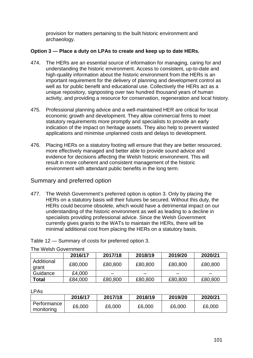provision for matters pertaining to the built historic environment and archaeology.

## **Option 3 — Place a duty on LPAs to create and keep up to date HERs.**

- 474. The HERs are an essential source of information for managing, caring for and understanding the historic environment. Access to consistent, up-to-date and high-quality information about the historic environment from the HERs is an important requirement for the delivery of planning and development control as well as for public benefit and educational use. Collectively the HERs act as a unique repository, signposting over two hundred thousand years of human activity, and providing a resource for conservation, regeneration and local history.
- 475. Professional planning advice and a well-maintained HER are critical for local economic growth and development. They allow commercial firms to meet statutory requirements more promptly and specialists to provide an early indication of the impact on heritage assets. They also help to prevent wasted applications and minimise unplanned costs and delays to development.
- 476. Placing HERs on a statutory footing will ensure that they are better resourced, more effectively managed and better able to provide sound advice and evidence for decisions affecting the Welsh historic environment. This will result in more coherent and consistent management of the historic environment with attendant public benefits in the long term.

# Summary and preferred option

477. The Welsh Government's preferred option is option 3. Only by placing the HERs on a statutory basis will their futures be secured. Without this duty, the HERs could become obsolete, which would have a detrimental impact on our understanding of the historic environment as well as leading to a decline in specialists providing professional advice. Since the Welsh Government currently gives grants to the WATs to maintain the HERs, there will be minimal additional cost from placing the HERs on a statutory basis.

Table 12 — Summary of costs for preferred option 3.

| THU VYUDIT UUVUHIITUHT |         |         |         |         |         |  |  |  |
|------------------------|---------|---------|---------|---------|---------|--|--|--|
|                        | 2016/17 | 2017/18 | 2018/19 | 2019/20 | 2020/21 |  |  |  |
| Additional<br>grant    | £80,000 | £80,800 | £80,800 | £80,800 | £80,800 |  |  |  |
| Guidance               | £4,000  |         |         |         |         |  |  |  |
| Total                  | £84,000 | £80,800 | £80,800 | £80,800 | £80,800 |  |  |  |

The Welsh Government

LPAs

|                           | 2016/17 | 2017/18 | 2018/19 | 2019/20 | 2020/21 |
|---------------------------|---------|---------|---------|---------|---------|
| Performance<br>monitoring | £6,000  | £6,000  | £6,000  | £6,000  | £6,000  |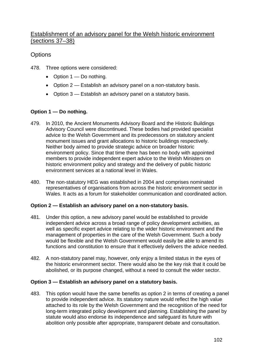# Establishment of an advisory panel for the Welsh historic environment (sections 37–38)

# **Options**

- 478. Three options were considered:
	- Option 1 Do nothing.
	- Option 2 Establish an advisory panel on a non-statutory basis.
	- Option 3 Establish an advisory panel on a statutory basis.

# **Option 1 — Do nothing.**

- 479. In 2010, the Ancient Monuments Advisory Board and the Historic Buildings Advisory Council were discontinued. These bodies had provided specialist advice to the Welsh Government and its predecessors on statutory ancient monument issues and grant allocations to historic buildings respectively. Neither body aimed to provide strategic advice on broader historic environment policy. Since that time there has been no body with appointed members to provide independent expert advice to the Welsh Ministers on historic environment policy and strategy and the delivery of public historic environment services at a national level in Wales.
- 480. The non-statutory HEG was established in 2004 and comprises nominated representatives of organisations from across the historic environment sector in Wales. It acts as a forum for stakeholder communication and coordinated action.

## **Option 2 — Establish an advisory panel on a non-statutory basis.**

- 481. Under this option, a new advisory panel would be established to provide independent advice across a broad range of policy development activities, as well as specific expert advice relating to the wider historic environment and the management of properties in the care of the Welsh Government. Such a body would be flexible and the Welsh Government would easily be able to amend its functions and constitution to ensure that it effectively delivers the advice needed.
- 482. A non-statutory panel may, however, only enjoy a limited status in the eyes of the historic environment sector. There would also be the key risk that it could be abolished, or its purpose changed, without a need to consult the wider sector.

## **Option 3 — Establish an advisory panel on a statutory basis.**

483. This option would have the same benefits as option 2 in terms of creating a panel to provide independent advice. Its statutory nature would reflect the high value attached to its role by the Welsh Government and the recognition of the need for long-term integrated policy development and planning. Establishing the panel by statute would also endorse its independence and safeguard its future with abolition only possible after appropriate, transparent debate and consultation.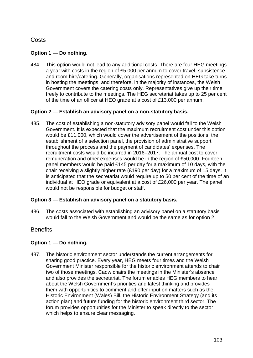# **Costs**

## **Option 1 — Do nothing.**

484. This option would not lead to any additional costs. There are four HEG meetings a year with costs in the region of £5,000 per annum to cover travel, subsistence and room hire/catering. Generally, organisations represented on HEG take turns in hosting the meetings, and therefore, in the majority of instances, the Welsh Government covers the catering costs only. Representatives give up their time freely to contribute to the meetings. The HEG secretariat takes up to 25 per cent of the time of an officer at HEO grade at a cost of £13,000 per annum.

## **Option 2 — Establish an advisory panel on a non-statutory basis.**

485. The cost of establishing a non-statutory advisory panel would fall to the Welsh Government. It is expected that the maximum recruitment cost under this option would be £11,000, which would cover the advertisement of the positions, the establishment of a selection panel, the provision of administrative support throughout the process and the payment of candidates' expenses. The recruitment costs would be incurred in 2016–2017. The annual cost to cover remuneration and other expenses would be in the region of £50,000. Fourteen panel members would be paid £145 per day for a maximum of 10 days, with the chair receiving a slightly higher rate (£190 per day) for a maximum of 15 days. It is anticipated that the secretariat would require up to 50 per cent of the time of an individual at HEO grade or equivalent at a cost of £26,000 per year. The panel would not be responsible for budget or staff.

## **Option 3 — Establish an advisory panel on a statutory basis.**

486. The costs associated with establishing an advisory panel on a statutory basis would fall to the Welsh Government and would be the same as for option 2.

# **Benefits**

## **Option 1 — Do nothing.**

487. The historic environment sector understands the current arrangements for sharing good practice. Every year, HEG meets four times and the Welsh Government Minister responsible for the historic environment attends to chair two of those meetings. Cadw chairs the meetings in the Minister's absence and also provides the secretariat. The forum enables HEG members to hear about the Welsh Government's priorities and latest thinking and provides them with opportunities to comment and offer input on matters such as the Historic Environment (Wales) Bill, the Historic Environment Strategy (and its action plan) and future funding for the historic environment third sector. The forum provides opportunities for the Minister to speak directly to the sector which helps to ensure clear messaging.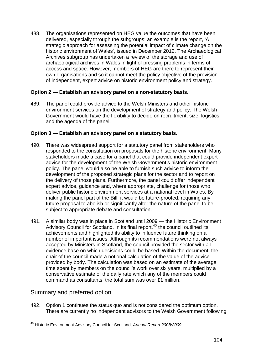488. The organisations represented on HEG value the outcomes that have been delivered, especially through the subgroups; an example is the report, 'A strategic approach for assessing the potential impact of climate change on the historic environment of Wales', issued in December 2012. The Archaeological Archives subgroup has undertaken a review of the storage and use of archaeological archives in Wales in light of pressing problems in terms of access and space. However, members of HEG are there to represent their own organisations and so it cannot meet the policy objective of the provision of independent, expert advice on historic environment policy and strategy.

## **Option 2 — Establish an advisory panel on a non-statutory basis.**

489. The panel could provide advice to the Welsh Ministers and other historic environment services on the development of strategy and policy. The Welsh Government would have the flexibility to decide on recruitment, size, logistics and the agenda of the panel.

## **Option 3 — Establish an advisory panel on a statutory basis.**

- 490. There was widespread support for a statutory panel from stakeholders who responded to the consultation on proposals for the historic environment. Many stakeholders made a case for a panel that could provide independent expert advice for the development of the Welsh Government's historic environment policy. The panel would also be able to furnish such advice to inform the development of the proposed strategic plans for the sector and to report on the delivery of those plans. Furthermore, the panel could offer independent expert advice, guidance and, where appropriate, challenge for those who deliver public historic environment services at a national level in Wales. By making the panel part of the Bill, it would be future-proofed, requiring any future proposal to abolish or significantly alter the nature of the panel to be subject to appropriate debate and consultation.
- 491. A similar body was in place in Scotland until 2009 the Historic Environment Advisory Council for Scotland. In its final report,<sup>[40](#page-103-0)</sup> the council outlined its achievements and highlighted its ability to influence future thinking on a number of important issues. Although its recommendations were not always accepted by Ministers in Scotland, the council provided the sector with an evidence base on which decisions could be based. Within the document, the chair of the council made a notional calculation of the value of the advice provided by body. The calculation was based on an estimate of the average time spent by members on the council's work over six years, multiplied by a conservative estimate of the daily rate which any of the members could command as consultants; the total sum was over £1 million.

# Summary and preferred option

492. Option 1 continues the status quo and is not considered the optimum option. There are currently no independent advisors to the Welsh Government following

<span id="page-103-0"></span><sup>40</sup> Historic Environment Advisory Council for Scotland, *Annual Report 2008/2009.*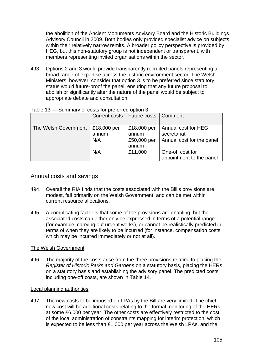the abolition of the Ancient Monuments Advisory Board and the Historic Buildings Advisory Council in 2009. Both bodies only provided specialist advice on subjects within their relatively narrow remits. A broader policy perspective is provided by HEG, but this non-statutory group is not independent or transparent, with members representing invited organisations within the sector.

493. Options 2 and 3 would provide transparently recruited panels representing a broad range of expertise across the historic environment sector. The Welsh Ministers, however, consider that option 3 is to be preferred since statutory status would future-proof the panel, ensuring that any future proposal to abolish or significantly alter the nature of the panel would be subject to appropriate debate and consultation.

|                      | <b>Current costs</b> | Future costs   Comment |                                              |
|----------------------|----------------------|------------------------|----------------------------------------------|
| The Welsh Government | £18,000 per<br>annum | £18,000 per<br>annum   | Annual cost for HEG<br>secretariat           |
|                      | N/A                  | £50,000 per<br>annum   | Annual cost for the panel                    |
|                      | N/A                  | £11,000                | One-off cost for<br>appointment to the panel |

Table 13 — Summary of costs for preferred option 3.

# Annual costs and savings

- 494. Overall the RIA finds that the costs associated with the Bill's provisions are modest, fall primarily on the Welsh Government, and can be met within current resource allocations.
- 495. A complicating factor is that some of the provisions are enabling, but the associated costs can either only be expressed in terms of a potential range (for example, carrying out urgent works), or cannot be realistically predicted in terms of when they are likely to be incurred (for instance, compensation costs which may be incurred immediately or not at all).

## The Welsh Government

496. The majority of the costs arise from the three provisions relating to placing the *Register of Historic Parks and Gardens* on a statutory basis, placing the HERs on a statutory basis and establishing the advisory panel. The predicted costs, including one-off costs, are shown in Table 14.

## Local planning authorities

497. The new costs to be imposed on LPAs by the Bill are very limited. The chief new cost will be additional costs relating to the formal monitoring of the HERs at some £6,000 per year. The other costs are effectively restricted to the cost of the local administration of constraints mapping for interim protection, which is expected to be less than £1,000 per year across the Welsh LPAs, and the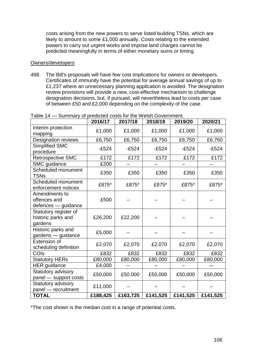costs arising from the new powers to serve listed building TSNs, which are likely to amount to some £1,000 annually. Costs relating to the extended powers to carry out urgent works and impose land charges cannot be predicted meaningfully in terms of either monetary sums or timing.

#### Owners/developers

498. The Bill's proposals will have few cost implications for owners or developers. Certificates of immunity have the potential for average annual savings of up to £1,237 where an unnecessary planning application is avoided. The designation review provisions will provide a new, cost-effective mechanism to challenge designation decisions, but, if pursued, will nevertheless lead to costs per case of between £50 and £2,000 depending on the complexity of the case.

|                                                        | 2016/17  | 2017/18  | 2018/19  | 2019/20  | 2020/21  |
|--------------------------------------------------------|----------|----------|----------|----------|----------|
| Interim protection<br>mapping                          | £1,000   | £1,000   | £1,000   | £1,000   | £1,000   |
| <b>Designation reviews</b>                             | £6,750   | £6,750   | £6,750   | £6,750   | £6,750   |
| <b>Simplified SMC</b><br>procedure                     | $-E524$  | $-£524$  | $-£524$  | $-£524$  | $-E524$  |
| <b>Retrospective SMC</b>                               | £172     | £172     | £172     | £172     | £172     |
| SMC guidance                                           | £200     |          |          |          |          |
| Scheduled monument<br><b>TSNs</b>                      | £350     | £350     | £350     | £350     | £350     |
| Scheduled monument<br>enforcement notices              | £875*    | £875*    | £875*    | £875*    | £875*    |
| Amendments to<br>offences and<br>defences - guidance   | £500     |          |          |          |          |
| Statutory register of<br>historic parks and<br>gardens | £26,200  | £22,200  |          |          |          |
| Historic parks and<br>gardens - guidance               | £5,000   |          |          |          |          |
| Extension of<br>scheduling definition                  | £2,070   | £2,070   | £2,070   | £2,070   | £2,070   |
| COIs                                                   | £832     | £832     | £832     | £832     | £832     |
| <b>Statutory HERs</b>                                  | £80,000  | £80,000  | £80,000  | £80,000  | £80,000  |
| <b>HER</b> guidance                                    | £4,000   |          |          |          |          |
| Statutory advisory<br>panel - support costs            | £50,000  | £50,000  | £50,000  | £50,000  | £50,000  |
| Statutory advisory<br>panel - recruitment              | £11,000  |          |          |          |          |
| <b>TOTAL</b>                                           | £188,425 | £163,725 | £141,525 | £141,525 | £141,525 |

|  | Table 14 — Summary of predicted costs for the Welsh Government. |  |
|--|-----------------------------------------------------------------|--|
|  |                                                                 |  |

\*The cost shown is the median cost in a range of potential costs.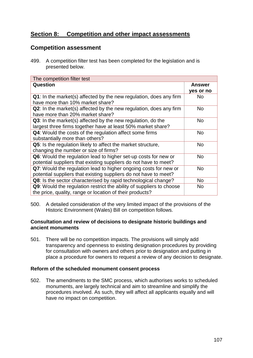# **Section 8: Competition and other impact assessments**

# **Competition assessment**

499. A competition filter test has been completed for the legislation and is presented below.

| The competition filter test                                          |               |
|----------------------------------------------------------------------|---------------|
| Question                                                             | <b>Answer</b> |
|                                                                      | yes or no     |
| Q1: In the market(s) affected by the new regulation, does any firm   | <b>No</b>     |
| have more than 10% market share?                                     |               |
| Q2: In the market(s) affected by the new regulation, does any firm   | No.           |
| have more than 20% market share?                                     |               |
| Q3: In the market(s) affected by the new regulation, do the          | <b>No</b>     |
| largest three firms together have at least 50% market share?         |               |
| Q4: Would the costs of the regulation affect some firms              | No            |
| substantially more than others?                                      |               |
| <b>Q5:</b> Is the regulation likely to affect the market structure,  | <b>No</b>     |
| changing the number or size of firms?                                |               |
| Q6: Would the regulation lead to higher set-up costs for new or      | <b>No</b>     |
| potential suppliers that existing suppliers do not have to meet?     |               |
| Q7: Would the regulation lead to higher ongoing costs for new or     | <b>No</b>     |
| potential suppliers that existing suppliers do not have to meet?     |               |
| Q8: Is the sector characterised by rapid technological change?       | No            |
| Q9: Would the regulation restrict the ability of suppliers to choose | No            |
| the price, quality, range or location of their products?             |               |

500. A detailed consideration of the very limited impact of the provisions of the Historic Environment (Wales) Bill on competition follows.

### **Consultation and review of decisions to designate historic buildings and ancient monuments**

501. There will be no competition impacts. The provisions will simply add transparency and openness to existing designation procedures by providing for consultation with owners and others prior to designation and putting in place a procedure for owners to request a review of any decision to designate.

#### **Reform of the scheduled monument consent process**

502. The amendments to the SMC process, which authorises works to scheduled monuments, are largely technical and aim to streamline and simplify the procedures involved. As such, they will affect all applicants equally and will have no impact on competition.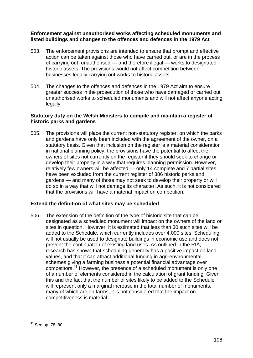#### **Enforcement against unauthorised works affecting scheduled monuments and listed buildings and changes to the offences and defences in the 1979 Act**

- 503. The enforcement provisions are intended to ensure that prompt and effective action can be taken against those who have carried out, or are in the process of carrying out, unauthorised — and therefore illegal — works to designated historic assets. The provisions would not affect competition between businesses legally carrying out works to historic assets.
- 504. The changes to the offences and defences in the 1979 Act aim to ensure greater success in the prosecution of those who have damaged or carried out unauthorised works to scheduled monuments and will not affect anyone acting legally.

### **Statutory duty on the Welsh Ministers to compile and maintain a register of historic parks and gardens**

505. The provisions will place the current non-statutory register, on which the parks and gardens have only been included with the agreement of the owner, on a statutory basis. Given that inclusion on the register is a material consideration in national planning policy, the provisions have the potential to affect the owners of sites not currently on the register if they should seek to change or develop their property in a way that requires planning permission. However, relatively few owners will be affected — only 14 complete and 7 partial sites have been excluded from the current register of 386 historic parks and gardens — and many of those may not seek to develop their property or will do so in a way that will not damage its character. As such, it is not considered that the provisions will have a material impact on competition.

#### **Extend the definition of what sites may be scheduled**

506. The extension of the definition of the type of historic site that can be designated as a scheduled monument will impact on the owners of the land or sites in question. However, it is estimated that less than 30 such sites will be added to the Schedule, which currently includes over 4,000 sites. Scheduling will not usually be used to designate buildings in economic use and does not prevent the continuation of existing land uses. As outlined in the RIA, research has shown that scheduling generally has a positive impact on land values, and that it can attract additional funding in agri-environmental schemes giving a farming business a potential financial advantage over competitors.[41](#page-107-0) However, the presence of a scheduled monument is only one of a number of elements considered in the calculation of grant funding. Given this and the fact that the number of sites likely to be added to the Schedule will represent only a marginal increase in the total number of monuments, many of which are on farms, it is not considered that the impact on competitiveness is material.

<span id="page-107-0"></span><sup>41</sup> See pp. 78–80.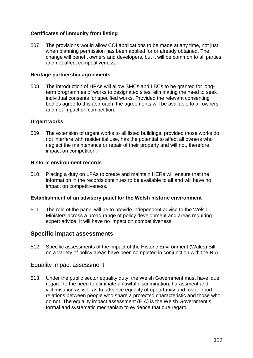# **Certificates of immunity from listing**

507. The provisions would allow COI applications to be made at any time, not just when planning permission has been applied for or already obtained. The change will benefit owners and developers, but it will be common to all parties and not affect competitiveness.

#### **Heritage partnership agreements**

508. The introduction of HPAs will allow SMCs and LBCs to be granted for longterm programmes of works to designated sites, eliminating the need to seek individual consents for specified works. Provided the relevant consenting bodies agree to this approach, the agreements will be available to all owners and not impact on competition.

# **Urgent works**

509. The extension of urgent works to all listed buildings, provided those works do not interfere with residential use, has the potential to affect all owners who neglect the maintenance or repair of their property and will not, therefore, impact on competition.

#### **Historic environment records**

510. Placing a duty on LPAs to create and maintain HERs will ensure that the information in the records continues to be available to all and will have no impact on competitiveness.

#### **Establishment of an advisory panel for the Welsh historic environment**

511. The role of the panel will be to provide independent advice to the Welsh Ministers across a broad range of policy development and areas requiring expert advice. It will have no impact on competitiveness.

# **Specific impact assessments**

512. Specific assessments of the impact of the Historic Environment (Wales) Bill on a variety of policy areas have been completed in conjunction with the RIA.

# Equality impact assessment

513. Under the public sector equality duty, the Welsh Government must have 'due regard' to the need to eliminate unlawful discrimination, harassment and victimisation as well as to advance equality of opportunity and foster good relations between people who share a protected characteristic and those who do not. The equality impact assessment (EIA) is the Welsh Government's formal and systematic mechanism to evidence that due regard.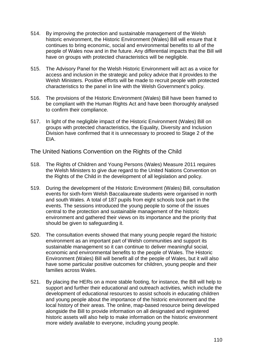- 514. By improving the protection and sustainable management of the Welsh historic environment, the Historic Environment (Wales) Bill will ensure that it continues to bring economic, social and environmental benefits to all of the people of Wales now and in the future. Any differential impacts that the Bill will have on groups with protected characteristics will be negligible.
- 515. The Advisory Panel for the Welsh Historic Environment will act as a voice for access and inclusion in the strategic and policy advice that it provides to the Welsh Ministers. Positive efforts will be made to recruit people with protected characteristics to the panel in line with the Welsh Government's policy.
- 516. The provisions of the Historic Environment (Wales) Bill have been framed to be compliant with the Human Rights Act and have been thoroughly analysed to confirm their compliance.
- 517. In light of the negligible impact of the Historic Environment (Wales) Bill on groups with protected characteristics, the Equality, Diversity and Inclusion Division have confirmed that it is unnecessary to proceed to Stage 2 of the EIA.

The United Nations Convention on the Rights of the Child

- 518. The Rights of Children and Young Persons (Wales) Measure 2011 requires the Welsh Ministers to give due regard to the United Nations Convention on the Rights of the Child in the development of all legislation and policy.
- 519. During the development of the Historic Environment (Wales) Bill, consultation events for sixth-form Welsh Baccalaureate students were organised in north and south Wales. A total of 187 pupils from eight schools took part in the events. The sessions introduced the young people to some of the issues central to the protection and sustainable management of the historic environment and gathered their views on its importance and the priority that should be given to safeguarding it.
- 520. The consultation events showed that many young people regard the historic environment as an important part of Welsh communities and support its sustainable management so it can continue to deliver meaningful social, economic and environmental benefits to the people of Wales. The Historic Environment (Wales) Bill will benefit all of the people of Wales, but it will also have some particular positive outcomes for children, young people and their families across Wales.
- 521. By placing the HERs on a more stable footing, for instance, the Bill will help to support and further their educational and outreach activities, which include the development of educational resources to assist schools in educating children and young people about the importance of the historic environment and the local history of their areas. The online, map-based resource being developed alongside the Bill to provide information on all designated and registered historic assets will also help to make information on the historic environment more widely available to everyone, including young people.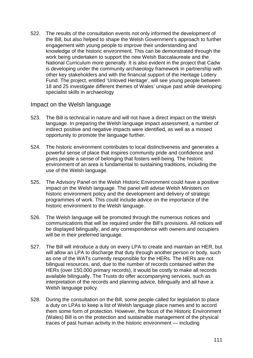522. The results of the consultation events not only informed the development of the Bill, but also helped to shape the Welsh Government's approach to further engagement with young people to improve their understanding and knowledge of the historic environment. This can be demonstrated through the work being undertaken to support the new Welsh Baccalaureate and the National Curriculum more generally. It is also evident in the project that Cadw is developing under the community archaeology framework in partnership with other key stakeholders and with the financial support of the Heritage Lottery Fund. The project, entitled 'Unloved Heritage', will see young people between 18 and 25 investigate different themes of Wales' unique past while developing specialist skills in archaeology

# Impact on the Welsh language

- 523. The Bill is technical in nature and will not have a direct impact on the Welsh language. In preparing the Welsh language impact assessment, a number of indirect positive and negative impacts were identified, as well as a missed opportunity to promote the language further.
- 524. The historic environment contributes to local distinctiveness and generates a powerful sense of place that inspires community pride and confidence and gives people a sense of belonging that fosters well-being. The historic environment of an area is fundamental to sustaining traditions, including the use of the Welsh language.
- 525. The Advisory Panel on the Welsh Historic Environment could have a positive impact on the Welsh language. The panel will advise Welsh Ministers on historic environment policy and the development and delivery of strategic programmes of work. This could include advice on the importance of the historic environment to the Welsh language.
- 526. The Welsh language will be promoted through the numerous notices and communications that will be required under the Bill's provisions. All notices will be displayed bilingually, and any correspondence with owners and occupiers will be in their preferred language.
- 527. The Bill will introduce a duty on every LPA to create and maintain an HER, but will allow an LPA to discharge that duty through another person or body, such as one of the WATs currently responsible for the HERs. The HERs are not bilingual resources, and, due to the number of records contained within the HERs (over 150,000 primary records), it would be costly to make all records available bilingually. The Trusts do offer accompanying services, such as interpretation of the records and planning advice, bilingually and all have a Welsh language policy.
- 528. During the consultation on the Bill, some people called for legislation to place a duty on LPAs to keep a list of Welsh language place names and to accord them some form of protection. However, the focus of the Historic Environment (Wales) Bill is on the protection and sustainable management of the physical traces of past human activity in the historic environment — including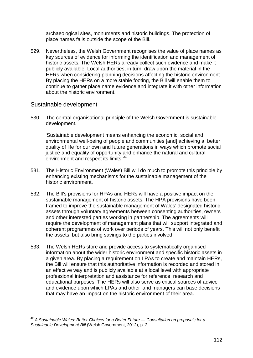archaeological sites, monuments and historic buildings. The protection of place names falls outside the scope of the Bill.

529. Nevertheless, the Welsh Government recognises the value of place names as key sources of evidence for informing the identification and management of historic assets. The Welsh HERs already collect such evidence and make it publicly available. Local authorities, in turn, draw upon the material in the HERs when considering planning decisions affecting the historic environment. By placing the HERs on a more stable footing, the Bill will enable them to continue to gather place name evidence and integrate it with other information about the historic environment.

# Sustainable development

530. The central organisational principle of the Welsh Government is sustainable development.

'Sustainable development means enhancing the economic, social and environmental well-being of people and communities [and] achieving a better quality of life for our own and future generations in ways which promote social justice and equality of opportunity and enhance the natural and cultural environment and respect its limits.<sup>[42](#page-111-0)</sup>

- 531. The Historic Environment (Wales) Bill will do much to promote this principle by enhancing existing mechanisms for the sustainable management of the historic environment.
- 532. The Bill's provisions for HPAs and HERs will have a positive impact on the sustainable management of historic assets. The HPA provisions have been framed to improve the sustainable management of Wales' designated historic assets through voluntary agreements between consenting authorities, owners and other interested parties working in partnership. The agreements will require the development of management plans that will support integrated and coherent programmes of work over periods of years. This will not only benefit the assets, but also bring savings to the parties involved.
- 533. The Welsh HERs store and provide access to systematically organised information about the wider historic environment and specific historic assets in a given area. By placing a requirement on LPAs to create and maintain HERs, the Bill will ensure that this authoritative information is recorded and stored in an effective way and is publicly available at a local level with appropriate professional interpretation and assistance for reference, research and educational purposes. The HERs will also serve as critical sources of advice and evidence upon which LPAs and other land managers can base decisions that may have an impact on the historic environment of their area.

<span id="page-111-0"></span><sup>42</sup> *A Sustainable Wales: Better Choices for a Better Future — Consultation on proposals for a Sustainable Development Bill* (Welsh Government, 2012), p. 2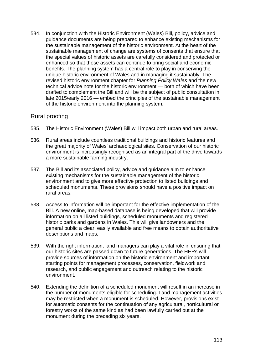534. In conjunction with the Historic Environment (Wales) Bill, policy, advice and guidance documents are being prepared to enhance existing mechanisms for the sustainable management of the historic environment. At the heart of the sustainable management of change are systems of consents that ensure that the special values of historic assets are carefully considered and protected or enhanced so that those assets can continue to bring social and economic benefits. The planning system has a central role to play in conserving the unique historic environment of Wales and in managing it sustainably. The revised historic environment chapter for *Planning Policy Wales* and the new technical advice note for the historic environment — both of which have been drafted to complement the Bill and will be the subject of public consultation in late 2015/early 2016 — embed the principles of the sustainable management of the historic environment into the planning system.

# Rural proofing

- 535. The Historic Environment (Wales) Bill will impact both urban and rural areas.
- 536. Rural areas include countless traditional buildings and historic features and the great majority of Wales' archaeological sites. Conservation of our historic environment is increasingly recognised as an integral part of the drive towards a more sustainable farming industry.
- 537. The Bill and its associated policy, advice and guidance aim to enhance existing mechanisms for the sustainable management of the historic environment and to give more effective protection to listed buildings and scheduled monuments. These provisions should have a positive impact on rural areas.
- 538. Access to information will be important for the effective implementation of the Bill. A new online, map-based database is being developed that will provide information on all listed buildings, scheduled monuments and registered historic parks and gardens in Wales. This will give landowners and the general public a clear, easily available and free means to obtain authoritative descriptions and maps.
- 539. With the right information, land managers can play a vital role in ensuring that our historic sites are passed down to future generations. The HERs will provide sources of information on the historic environment and important starting points for management processes, conservation, fieldwork and research, and public engagement and outreach relating to the historic environment.
- 540. Extending the definition of a scheduled monument will result in an increase in the number of monuments eligible for scheduling. Land management activities may be restricted when a monument is scheduled. However, provisions exist for automatic consents for the continuation of any agricultural, horticultural or forestry works of the same kind as had been lawfully carried out at the monument during the preceding six years.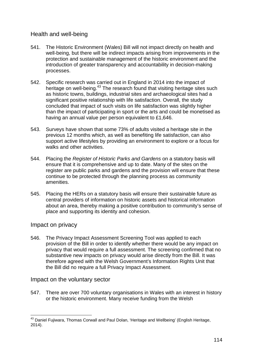# Health and well-being

- 541. The Historic Environment (Wales) Bill will not impact directly on health and well-being, but there will be indirect impacts arising from improvements in the protection and sustainable management of the historic environment and the introduction of greater transparency and accountability in decision-making processes.
- 542. Specific research was carried out in England in 2014 into the impact of heritage on well-being.<sup>[43](#page-113-0)</sup> The research found that visiting heritage sites such as historic towns, buildings, industrial sites and archaeological sites had a significant positive relationship with life satisfaction. Overall, the study concluded that impact of such visits on life satisfaction was slightly higher than the impact of participating in sport or the arts and could be monetised as having an annual value per person equivalent to £1,646.
- 543. Surveys have shown that some 73% of adults visited a heritage site in the previous 12 months which, as well as benefiting life satisfaction, can also support active lifestyles by providing an environment to explore or a focus for walks and other activities.
- 544. Placing the *Register of Historic Parks and Gardens* on a statutory basis will ensure that it is comprehensive and up to date. Many of the sites on the register are public parks and gardens and the provision will ensure that these continue to be protected through the planning process as community amenities.
- 545. Placing the HERs on a statutory basis will ensure their sustainable future as central providers of information on historic assets and historical information about an area, thereby making a positive contribution to community's sense of place and supporting its identity and cohesion.

Impact on privacy

546. The Privacy Impact Assessment Screening Tool was applied to each provision of the Bill in order to identify whether there would be any impact on privacy that would require a full assessment. The screening confirmed that no substantive new impacts on privacy would arise directly from the Bill. It was therefore agreed with the Welsh Government's Information Rights Unit that the Bill did no require a full Privacy Impact Assessment.

# Impact on the voluntary sector

547. There are over 700 voluntary organisations in Wales with an interest in history or the historic environment. Many receive funding from the Welsh

<span id="page-113-0"></span><sup>&</sup>lt;sup>43</sup> Daniel Fujiwara, Thomas Corwall and Paul Dolan, 'Heritage and Wellbeing' (English Heritage, 2014).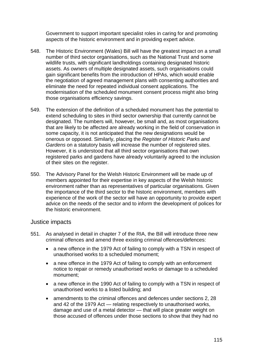Government to support important specialist roles in caring for and promoting aspects of the historic environment and in providing expert advice.

- 548. The Historic Environment (Wales) Bill will have the greatest impact on a small number of third sector organisations, such as the National Trust and some wildlife trusts, with significant landholdings containing designated historic assets. As owners of multiple designated assets, such organisations could gain significant benefits from the introduction of HPAs, which would enable the negotiation of agreed management plans with consenting authorities and eliminate the need for repeated individual consent applications. The modernisation of the scheduled monument consent process might also bring those organisations efficiency savings.
- 549. The extension of the definition of a scheduled monument has the potential to extend scheduling to sites in third sector ownership that currently cannot be designated. The numbers will, however, be small and, as most organisations that are likely to be affected are already working in the field of conservation in some capacity, it is not anticipated that the new designations would be onerous or opposed. Similarly, placing the *Register of Historic Parks and Gardens* on a statutory basis will increase the number of registered sites. However, it is understood that all third sector organisations that own registered parks and gardens have already voluntarily agreed to the inclusion of their sites on the register.
- 550. The Advisory Panel for the Welsh Historic Environment will be made up of members appointed for their expertise in key aspects of the Welsh historic environment rather than as representatives of particular organisations. Given the importance of the third sector to the historic environment, members with experience of the work of the sector will have an opportunity to provide expert advice on the needs of the sector and to inform the development of polices for the historic environment.

# Justice impacts

- 551. As analysed in detail in chapter 7 of the RIA, the Bill will introduce three new criminal offences and amend three existing criminal offences/defences:
	- a new offence in the 1979 Act of failing to comply with a TSN in respect of unauthorised works to a scheduled monument;
	- a new offence in the 1979 Act of failing to comply with an enforcement notice to repair or remedy unauthorised works or damage to a scheduled monument;
	- a new offence in the 1990 Act of failing to comply with a TSN in respect of unauthorised works to a listed building; and
	- amendments to the criminal offences and defences under sections 2, 28 and 42 of the 1979 Act — relating respectively to unauthorised works, damage and use of a metal detector — that will place greater weight on those accused of offences under those sections to show that they had no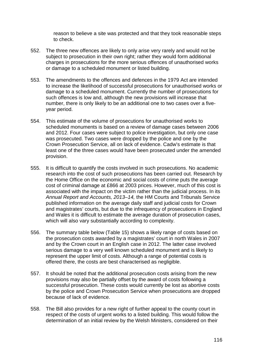reason to believe a site was protected and that they took reasonable steps to check.

- 552. The three new offences are likely to only arise very rarely and would not be subject to prosecution in their own right; rather they would form additional charges in prosecutions for the more serious offences of unauthorised works or damage to a scheduled monument or listed building.
- 553. The amendments to the offences and defences in the 1979 Act are intended to increase the likelihood of successful prosecutions for unauthorised works or damage to a scheduled monument. Currently the number of prosecutions for such offences is low and, although the new provisions will increase that number, there is only likely to be an additional one to two cases over a fiveyear period.
- 554. This estimate of the volume of prosecutions for unauthorised works to scheduled monuments is based on a review of damage cases between 2006 and 2012. Four cases were subject to police investigation, but only one case was prosecuted. Two cases were dropped by the police and one by the Crown Prosecution Service, all on lack of evidence. Cadw's estimate is that least one of the three cases would have been prosecuted under the amended provision.
- 555. It is difficult to quantify the costs involved in such prosecutions. No academic research into the cost of such prosecutions has been carried out. Research by the Home Office on the economic and social costs of crime puts the average cost of criminal damage at £866 at 2003 prices. However, much of this cost is associated with the impact on the victim rather than the judicial process. In its *Annual Report and Accounts, 2013–14,* the HM Courts and Tribunals Service published information on the average daily staff and judicial costs for Crown and magistrates' courts, but due to the infrequency of prosecutions in England and Wales it is difficult to estimate the average duration of prosecution cases, which will also vary substantially according to complexity.
- 556. The summary table below (Table 15) shows a likely range of costs based on the prosecution costs awarded by a magistrates' court in north Wales in 2007 and by the Crown court in an English case in 2012. The latter case involved serious damage to a very well known scheduled monument and is likely to represent the upper limit of costs. Although a range of potential costs is offered there, the costs are best characterised as negligible.
- 557. It should be noted that the additional prosecution costs arising from the new provisions may also be partially offset by the award of costs following a successful prosecution. These costs would currently be lost as abortive costs by the police and Crown Prosecution Service when prosecutions are dropped because of lack of evidence.
- 558. The Bill also provides for a new right of further appeal to the county court in respect of the costs of urgent works to a listed building. This would follow the determination of an initial review by the Welsh Ministers, considered on their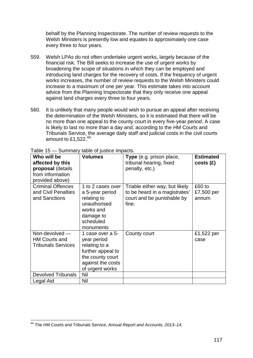behalf by the Planning Inspectorate. The number of review requests to the Welsh Ministers is presently low and equates to approximately one case every three to four years.

- 559. Welsh LPAs do not often undertake urgent works, largely because of the financial risk. The Bill seeks to increase the use of urgent works by broadening the scope of situations in which they can be employed and introducing land charges for the recovery of costs. If the frequency of urgent works increases, the number of review requests to the Welsh Ministers could increase to a maximum of one per year. This estimate takes into account advice from the Planning Inspectorate that they only receive one appeal against land charges every three to four years.
- 560. It is unlikely that many people would wish to pursue an appeal after receiving the determination of the Welsh Ministers, so it is estimated that there will be no more than one appeal to the county court in every five-year period. A case is likely to last no more than a day and, according to the HM Courts and Tribunals Service, the average daily staff and judicial costs in the civil courts amount to  $£1,522.<sup>44</sup>$  $£1,522.<sup>44</sup>$  $£1,522.<sup>44</sup>$

| Who will be<br>affected by this<br>proposal (details<br>from information<br>provided above) | <b>Volumes</b>                                                                                                                    | Type (e.g. prison place,<br>tribunal hearing, fixed<br>penalty, etc.)                                  | <b>Estimated</b><br>costs(f)    |
|---------------------------------------------------------------------------------------------|-----------------------------------------------------------------------------------------------------------------------------------|--------------------------------------------------------------------------------------------------------|---------------------------------|
| <b>Criminal Offences</b><br>and Civil Penalties<br>and Sanctions                            | 1 to 2 cases over<br>a 5-year period<br>relating to<br>unauthorised<br>works and<br>damage to<br>scheduled<br>monuments           | Triable either way, but likely<br>to be heard in a magistrates'<br>court and be punishable by<br>fine. | $£60$ to<br>£7,500 per<br>annum |
| Non-devolved -<br><b>HM Courts and</b><br><b>Tribunals Services</b>                         | 1 case over a 5-<br>year period<br>relating to a<br>further appeal to<br>the county court<br>against the costs<br>of urgent works | County court                                                                                           | £1,522 per<br>case              |
| <b>Devolved Tribunals</b>                                                                   | Nil                                                                                                                               |                                                                                                        |                                 |
| Legal Aid                                                                                   | Nil                                                                                                                               |                                                                                                        |                                 |

Table 15 — Summary table of justice impacts.

<span id="page-116-0"></span><sup>44</sup> The HM Courts and Tribunals Service, *Annual Report and Accounts, 2013–14.*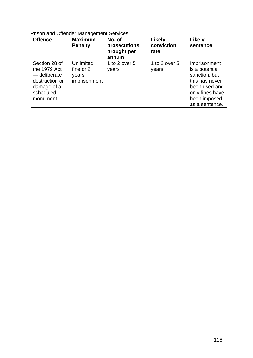# Prison and Offender Management Services

| <b>Offence</b>                                                                                          | <b>Maximum</b><br><b>Penalty</b>                | No. of<br>prosecutions<br>brought per<br>annum | <b>Likely</b><br>conviction<br>rate | <b>Likely</b><br>sentence                                                                                                               |
|---------------------------------------------------------------------------------------------------------|-------------------------------------------------|------------------------------------------------|-------------------------------------|-----------------------------------------------------------------------------------------------------------------------------------------|
| Section 28 of<br>the 1979 Act<br>— deliberate<br>destruction or<br>damage of a<br>scheduled<br>monument | Unlimited<br>fine or 2<br>years<br>imprisonment | 1 to 2 over 5<br>years                         | 1 to 2 over 5<br>years              | Imprisonment<br>is a potential<br>sanction, but<br>this has never<br>been used and<br>only fines have<br>been imposed<br>as a sentence. |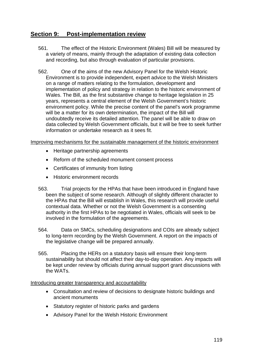# **Section 9: Post-implementation review**

- 561. The effect of the Historic Environment (Wales) Bill will be measured by a variety of means, mainly through the adaptation of existing data collection and recording, but also through evaluation of particular provisions.
- 562. One of the aims of the new Advisory Panel for the Welsh Historic Environment is to provide independent, expert advice to the Welsh Ministers on a range of matters relating to the formulation, development and implementation of policy and strategy in relation to the historic environment of Wales. The Bill, as the first substantive change to heritage legislation in 25 years, represents a central element of the Welsh Government's historic environment policy. While the precise content of the panel's work programme will be a matter for its own determination, the impact of the Bill will undoubtedly receive its detailed attention. The panel will be able to draw on data collected by Welsh Government officials, but it will be free to seek further information or undertake research as it sees fit.

Improving mechanisms for the sustainable management of the historic environment

- Heritage partnership agreements
- Reform of the scheduled monument consent process
- Certificates of immunity from listing
- Historic environment records
- 563. Trial projects for the HPAs that have been introduced in England have been the subject of some research. Although of slightly different character to the HPAs that the Bill will establish in Wales, this research will provide useful contextual data. Whether or not the Welsh Government is a consenting authority in the first HPAs to be negotiated in Wales, officials will seek to be involved in the formulation of the agreements.
- 564. Data on SMCs, scheduling designations and COIs are already subject to long-term recording by the Welsh Government. A report on the impacts of the legislative change will be prepared annually.
- 565. Placing the HERs on a statutory basis will ensure their long-term sustainability but should not affect their day-to-day operation. Any impacts will be kept under review by officials during annual support grant discussions with the WATs.

# Introducing greater transparency and accountability

- Consultation and review of decisions to designate historic buildings and ancient monuments
- Statutory register of historic parks and gardens
- Advisory Panel for the Welsh Historic Environment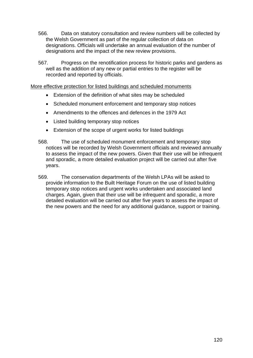- 566. Data on statutory consultation and review numbers will be collected by the Welsh Government as part of the regular collection of data on designations. Officials will undertake an annual evaluation of the number of designations and the impact of the new review provisions.
- 567. Progress on the renotification process for historic parks and gardens as well as the addition of any new or partial entries to the register will be recorded and reported by officials.

More effective protection for listed buildings and scheduled monuments

- Extension of the definition of what sites may be scheduled
- Scheduled monument enforcement and temporary stop notices
- Amendments to the offences and defences in the 1979 Act
- Listed building temporary stop notices
- Extension of the scope of urgent works for listed buildings
- 568. The use of scheduled monument enforcement and temporary stop notices will be recorded by Welsh Government officials and reviewed annually to assess the impact of the new powers. Given that their use will be infrequent and sporadic, a more detailed evaluation project will be carried out after five years.
- 569. The conservation departments of the Welsh LPAs will be asked to provide information to the Built Heritage Forum on the use of listed building temporary stop notices and urgent works undertaken and associated land charges. Again, given that their use will be infrequent and sporadic, a more detailed evaluation will be carried out after five years to assess the impact of the new powers and the need for any additional guidance, support or training.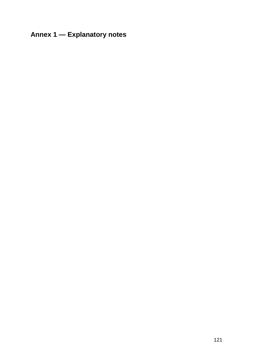# **Annex 1 — Explanatory notes**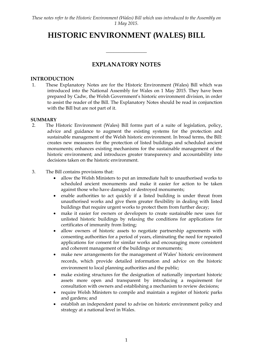# **HISTORIC ENVIRONMENT (WALES) BILL**

# **EXPLANATORY NOTES**

\_\_\_\_\_\_\_\_\_\_\_\_\_\_\_\_

#### **INTRODUCTION**

1. These Explanatory Notes are for the Historic Environment (Wales) Bill which was introduced into the National Assembly for Wales on 1 May 2015. They have been prepared by Cadw, the Welsh Government's historic environment division, in order to assist the reader of the Bill. The Explanatory Notes should be read in conjunction with the Bill but are not part of it.

#### **SUMMARY**

- 2. The Historic Environment (Wales) Bill forms part of a suite of legislation, policy, advice and guidance to augment the existing systems for the protection and sustainable management of the Welsh historic environment. In broad terms, the Bill: creates new measures for the protection of listed buildings and scheduled ancient monuments; enhances existing mechanisms for the sustainable management of the historic environment; and introduces greater transparency and accountability into decisions taken on the historic environment.
- 3. The Bill contains provisions that:
	- allow the Welsh Ministers to put an immediate halt to unauthorised works to scheduled ancient monuments and make it easier for action to be taken against those who have damaged or destroyed monuments;
	- enable authorities to act quickly if a listed building is under threat from unauthorised works and give them greater flexibility in dealing with listed buildings that require urgent works to protect them from further decay;
	- make it easier for owners or developers to create sustainable new uses for unlisted historic buildings by relaxing the conditions for applications for certificates of immunity from listing;
	- allow owners of historic assets to negotiate partnership agreements with consenting authorities for a period of years, eliminating the need for repeated applications for consent for similar works and encouraging more consistent and coherent management of the buildings or monuments;
	- make new arrangements for the management of Wales' historic environment records, which provide detailed information and advice on the historic environment to local planning authorities and the public;
	- make existing structures for the designation of nationally important historic assets more open and transparent by introducing a requirement for consultation with owners and establishing a mechanism to review decisions;
	- require Welsh Ministers to compile and maintain a register of historic parks and gardens; and
	- establish an independent panel to advise on historic environment policy and strategy at a national level in Wales.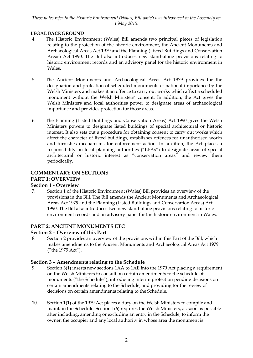# **LEGAL BACKGROUND**

- 4. The Historic Environment (Wales) Bill amends two principal pieces of legislation relating to the protection of the historic environment, the Ancient Monuments and Archaeological Areas Act 1979 and the Planning (Listed Buildings and Conservation Areas) Act 1990. The Bill also introduces new stand-alone provisions relating to historic environment records and an advisory panel for the historic environment in Wales.
- 5. The Ancient Monuments and Archaeological Areas Act 1979 provides for the designation and protection of scheduled monuments of national importance by the Welsh Ministers and makes it an offence to carry out works which affect a scheduled monument without the Welsh Ministers' consent. In addition, the Act gives the Welsh Ministers and local authorities power to designate areas of archaeological importance and provides protection for those areas.
- 6. The Planning (Listed Buildings and Conservation Areas) Act 1990 gives the Welsh Ministers powers to designate listed buildings of special architectural or historic interest. It also sets out a procedure for obtaining consent to carry out works which affect the character of listed buildings, establishes offences for unauthorised works and furnishes mechanisms for enforcement action. In addition, the Act places a responsibility on local planning authorities ("LPAs") to designate areas of special architectural or historic interest as "conservation areas" and review them periodically.

#### **COMMENTARY ON SECTIONS PART 1: OVERVIEW Section 1 - Overview**

7. Section 1 of the Historic Environment (Wales) Bill provides an overview of the provisions in the Bill. The Bill amends the Ancient Monuments and Archaeological Areas Act 1979 and the Planning (Listed Buildings and Conservation Areas) Act 1990. The Bill also introduces two new stand-alone provisions relating to historic environment records and an advisory panel for the historic environment in Wales.

# **PART 2: ANCIENT MONUMENTS ETC**

# **Section 2 – Overview of this Part**

8. Section 2 provides an overview of the provisions within this Part of the Bill, which makes amendments to the Ancient Monuments and Archaeological Areas Act 1979 ("the 1979 Act")**.**

# **Section 3 – Amendments relating to the Schedule**

- 9. Section 3(1) inserts new sections 1AA to 1AE into the 1979 Act placing a requirement on the Welsh Ministers to consult on certain amendments to the schedule of monuments ("the Schedule"); introducing interim protection pending decisions on certain amendments relating to the Schedule; and providing for the review of decisions on certain amendments relating to the Schedule.
- 10. Section 1(1) of the 1979 Act places a duty on the Welsh Ministers to compile and maintain the Schedule. Section 1(6) requires the Welsh Ministers, as soon as possible after including, amending or excluding an entry in the Schedule, to inform the owner, the occupier and any local authority in whose area the monument is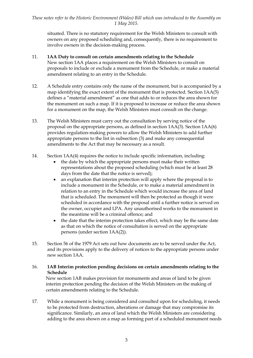situated. There is no statutory requirement for the Welsh Ministers to consult with owners on any proposed scheduling and, consequently, there is no requirement to involve owners in the decision-making process.

#### 11. **1AA Duty to consult on certain amendments relating to the Schedule** New section 1AA places a requirement on the Welsh Ministers to consult on proposals to include or exclude a monument from the Schedule, or make a material amendment relating to an entry in the Schedule.

- 12. A Schedule entry contains only the name of the monument, but is accompanied by a map identifying the exact extent of the monument that is protected. Section 1AA(5) defines a "material amendment" as one that adds to or reduces the area shown for the monument on such a map. If it is proposed to increase or reduce the area shown for a monument on the map, the Welsh Ministers must consult on the change.
- 13. The Welsh Ministers must carry out the consultation by serving notice of the proposal on the appropriate persons, as defined in section 1AA(3). Section 1AA(6) provides regulation-making powers to allow the Welsh Ministers to add further appropriate persons to the list in subsection (3) and make any consequential amendments to the Act that may be necessary as a result.
- 14. Section 1AA(4) requires the notice to include specific information, including:
	- the date by which the appropriate persons must make their written representations about the proposed scheduling (which must be at least 28 days from the date that the notice is served);
	- an explanation that interim protection will apply where the proposal is to include a monument in the Schedule, or to make a material amendment in relation to an entry in the Schedule which would increase the area of land that is scheduled. The monument will then be protected as though it were scheduled in accordance with the proposal until a further notice is served on the owner, occupier and LPA. Any unauthorised works to the monument in the meantime will be a criminal offence; and
	- the date that the interim protection takes effect, which may be the same date as that on which the notice of consultation is served on the appropriate persons (under section 1AA(2)).
- 15. Section 56 of the 1979 Act sets out how documents are to be served under the Act, and its provisions apply to the delivery of notices to the appropriate persons under new section 1AA.

#### 16. **1AB Interim protection pending decisions on certain amendments relating to the Schedule**

New section 1AB makes provision for monuments and areas of land to be given interim protection pending the decision of the Welsh Ministers on the making of certain amendments relating to the Schedule.

17. While a monument is being considered and consulted upon for scheduling, it needs to be protected from destruction, alterations or damage that may compromise its significance. Similarly, an area of land which the Welsh Ministers are considering adding to the area shown on a map as forming part of a scheduled monument needs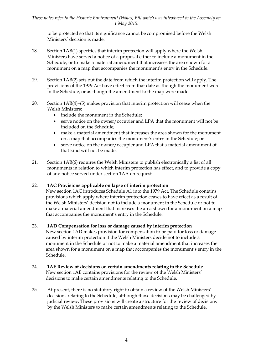to be protected so that its significance cannot be compromised before the Welsh Ministers' decision is made.

- 18. Section 1AB(1) specifies that interim protection will apply where the Welsh Ministers have served a notice of a proposal either to include a monument in the Schedule, or to make a material amendment that increases the area shown for a monument on a map that accompanies the monument's entry in the Schedule.
- 19. Section 1AB(2) sets out the date from which the interim protection will apply. The provisions of the 1979 Act have effect from that date as though the monument were in the Schedule, or as though the amendment to the map were made.
- 20. Section 1AB(4)–(5) makes provision that interim protection will cease when the Welsh Ministers:
	- include the monument in the Schedule;
	- serve notice on the owner/occupier and LPA that the monument will not be included on the Schedule;
	- make a material amendment that increases the area shown for the monument on a map that accompanies the monument's entry in the Schedule; or
	- serve notice on the owner/occupier and LPA that a material amendment of that kind will not be made.
- 21. Section 1AB(6) requires the Welsh Ministers to publish electronically a list of all monuments in relation to which interim protection has effect, and to provide a copy of any notice served under section 1AA on request.

# 22. **1AC Provisions applicable on lapse of interim protection**

New section 1AC introduces Schedule A1 into the 1979 Act. The Schedule contains provisions which apply where interim protection ceases to have effect as a result of the Welsh Ministers' decision not to include a monument in the Schedule or not to make a material amendment that increases the area shown for a monument on a map that accompanies the monument's entry in the Schedule.

# 23. **1AD Compensation for loss or damage caused by interim protection**

New section 1AD makes provision for compensation to be paid for loss or damage caused by interim protection if the Welsh Ministers decide not to include a monument in the Schedule or not to make a material amendment that increases the area shown for a monument on a map that accompanies the monument's entry in the Schedule.

#### 24. **1AE Review of decisions on certain amendments relating to the Schedule** New section 1AE contains provisions for the review of the Welsh Ministers' decisions to make certain amendments relating to the Schedule.

25. At present, there is no statutory right to obtain a review of the Welsh Ministers' decisions relating to the Schedule, although those decisions may be challenged by judicial review. These provisions will create a structure for the review of decisions by the Welsh Ministers to make certain amendments relating to the Schedule.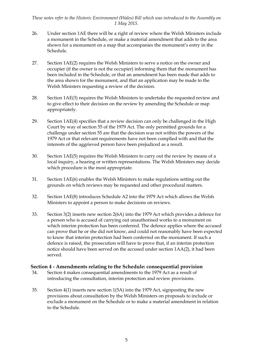- 26. Under section 1AE there will be a right of review where the Welsh Ministers include a monument in the Schedule, or make a material amendment that adds to the area shown for a monument on a map that accompanies the monument's entry in the Schedule.
- 27. Section 1AE(2) requires the Welsh Ministers to serve a notice on the owner and occupier (if the owner is not the occupier) informing them that the monument has been included in the Schedule, or that an amendment has been made that adds to the area shown for the monument, and that an application may be made to the Welsh Ministers requesting a review of the decision.
- 28. Section 1AE(3) requires the Welsh Ministers to undertake the requested review and to give effect to their decision on the review by amending the Schedule or map appropriately.
- 29. Section 1AE(4) specifies that a review decision can only be challenged in the High Court by way of section 55 of the 1979 Act. The only permitted grounds for a challenge under section 55 are that the decision was not within the powers of the 1979 Act or that relevant requirements have not been complied with and that the interests of the aggrieved person have been prejudiced as a result.
- 30. Section 1AE(5) requires the Welsh Ministers to carry out the review by means of a local inquiry, a hearing or written representations. The Welsh Ministers may decide which procedure is the most appropriate.
- 31. Section 1AE(6) enables the Welsh Ministers to make regulations setting out the grounds on which reviews may be requested and other procedural matters.
- 32. Section 1AE(8) introduces Schedule A2 into the 1979 Act which allows the Welsh Ministers to appoint a person to make decisions on reviews.
- 33. Section 3(2) inserts new section 2(6A) into the 1979 Act which provides a defence for a person who is accused of carrying out unauthorised works to a monument on which interim protection has been conferred. The defence applies where the accused can prove that he or she did not know, and could not reasonably have been expected to know that interim protection had been conferred on the monument. If such a defence is raised, the prosecution will have to prove that, if an interim protection notice should have been served on the accused under section 1AA(2), it had been served.

# **Section 4 - Amendments relating to the Schedule: consequential provision**

- 34. Section 4 makes consequential amendments to the 1979 Act as a result of introducing the consultation, interim protection and review provisions.
- 35. Section 4(1) inserts new section 1(5A) into the 1979 Act, signposting the new provisions about consultation by the Welsh Ministers on proposals to include or exclude a monument on the Schedule or to make a material amendment in relation to the Schedule.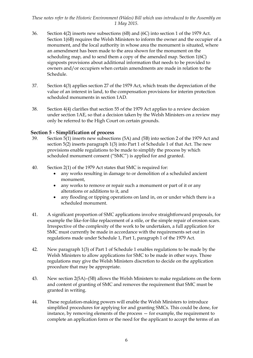- 36. Section 4(2) inserts new subsections (6B) and (6C) into section 1 of the 1979 Act. Section 1(6B) requires the Welsh Ministers to inform the owner and the occupier of a monument, and the local authority in whose area the monument is situated, where an amendment has been made to the area shown for the monument on the scheduling map, and to send them a copy of the amended map. Section 1(6C) signposts provisions about additional information that needs to be provided to owners and/or occupiers when certain amendments are made in relation to the Schedule.
- 37. Section 4(3) applies section 27 of the 1979 Act, which treats the depreciation of the value of an interest in land, to the compensation provisions for interim protection scheduled monuments in section 1AD.
- 38. Section 4(4) clarifies that section 55 of the 1979 Act applies to a review decision under section 1AE, so that a decision taken by the Welsh Ministers on a review may only be referred to the High Court on certain grounds.

# **Section 5 - Simplification of process**

- 39. Section 5(1) inserts new subsections (5A) and (5B) into section 2 of the 1979 Act and section 5(2) inserts paragraph 1(3) into Part 1 of Schedule 1 of that Act. The new provisions enable regulations to be made to simplify the process by which scheduled monument consent ("SMC") is applied for and granted.
- 40. Section 2(1) of the 1979 Act states that SMC is required for:
	- any works resulting in damage to or demolition of a scheduled ancient monument,
	- any works to remove or repair such a monument or part of it or any alterations or additions to it, and
	- any flooding or tipping operations on land in, on or under which there is a scheduled monument.
- 41. A significant proportion of SMC applications involve straightforward proposals, for example the like-for-like replacement of a stile, or the simple repair of erosion scars. Irrespective of the complexity of the work to be undertaken, a full application for SMC must currently be made in accordance with the requirements set out in regulations made under Schedule 1, Part 1, paragraph 1 of the 1979 Act.
- 42. New paragraph 1(3) of Part 1 of Schedule 1 enables regulations to be made by the Welsh Ministers to allow applications for SMC to be made in other ways. Those regulations may give the Welsh Ministers discretion to decide on the application procedure that may be appropriate.
- 43. New section 2(5A)–(5B) allows the Welsh Ministers to make regulations on the form and content of granting of SMC and removes the requirement that SMC must be granted in writing.
- 44. These regulation-making powers will enable the Welsh Ministers to introduce simplified procedures for applying for and granting SMCs. This could be done, for instance, by removing elements of the process — for example, the requirement to complete an application form or the need for the applicant to accept the terms of an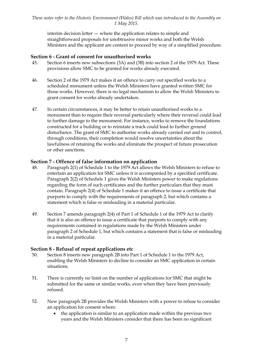interim decision letter — where the application relates to simple and straightforward proposals for unobtrusive minor works and both the Welsh Ministers and the applicant are content to proceed by way of a simplified procedure.

#### **Section 6 - Grant of consent for unauthorised works**

- 45. Section 6 inserts new subsections (3A) and (3B) into section 2 of the 1979 Act. These provisions allow SMC to be granted for works already executed.
- 46. Section 2 of the 1979 Act makes it an offence to carry out specified works to a scheduled monument unless the Welsh Ministers have granted written SMC for those works. However, there is no legal mechanism to allow the Welsh Ministers to grant consent for works already undertaken.
- 47. In certain circumstances, it may be better to retain unauthorised works to a monument than to require their reversal particularly where their reversal could lead to further damage to the monument. For instance, works to remove the foundations constructed for a building or to reinstate a track could lead to further ground disturbance. The grant of SMC to authorise works already carried out and to control, through conditions, their completion would resolve uncertainties about the lawfulness of retaining the works and eliminate the prospect of future prosecution or other sanctions.

#### **Section 7 - Offence of false information on application**

- 48. Paragraph 2(1) of Schedule 1 to the 1979 Act allows the Welsh Ministers to refuse to entertain an application for SMC unless it is accompanied by a specified certificate. Paragraph 2(2) of Schedule 1 gives the Welsh Ministers power to make regulations regarding the form of such certificates and the further particulars that they must contain. Paragraph 2(4) of Schedule 1 makes it an offence to issue a certificate that purports to comply with the requirements of paragraph 2, but which contains a statement which is false or misleading in a material particular.
- 49. Section 7 amends paragraph 2(4) of Part 1 of Schedule 1 of the 1979 Act to clarify that it is also an offence to issue a certificate that purports to comply with any requirements contained in regulations made by the Welsh Ministers under paragraph 2 of Schedule 1, but which contains a statement that is false or misleading in a material particular.

# **Section 8 - Refusal of repeat applications etc**

- 50. Section 8 inserts new paragraph 2B into Part 1 of Schedule 1 to the 1979 Act, enabling the Welsh Ministers to decline to consider an SMC application in certain situations.
- 51. There is currently no limit on the number of applications for SMC that might be submitted for the same or similar works, even when they have been previously refused.
- 52. New paragraph 2B provides the Welsh Ministers with a power to refuse to consider an application for consent where:
	- the application is similar to an application made within the previous two years and the Welsh Ministers consider that there has been no significant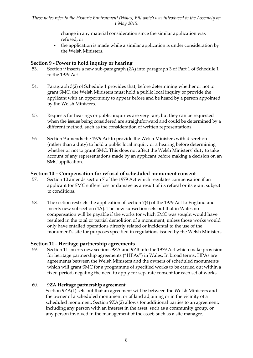change in any material consideration since the similar application was refused; or

• the application is made while a similar application is under consideration by the Welsh Ministers.

# **Section 9 - Power to hold inquiry or hearing**

- 53. Section 9 inserts a new sub-paragraph (2A) into paragraph 3 of Part 1 of Schedule 1 to the 1979 Act.
- 54. Paragraph 3(2) of Schedule 1 provides that, before determining whether or not to grant SMC, the Welsh Ministers must hold a public local inquiry or provide the applicant with an opportunity to appear before and be heard by a person appointed by the Welsh Ministers.
- 55. Requests for hearings or public inquiries are very rare, but they can be requested when the issues being considered are straightforward and could be determined by a different method, such as the consideration of written representations.
- 56. Section 9 amends the 1979 Act to provide the Welsh Ministers with discretion (rather than a duty) to hold a public local inquiry or a hearing before determining whether or not to grant SMC. This does not affect the Welsh Ministers' duty to take account of any representations made by an applicant before making a decision on an SMC application.

# **Section 10 – Compensation for refusal of scheduled monument consent**

- 57. Section 10 amends section 7 of the 1979 Act which regulates compensation if an applicant for SMC suffers loss or damage as a result of its refusal or its grant subject to conditions.
- 58. The section restricts the application of section 7(4) of the 1979 Act to England and inserts new subsection (4A). The new subsection sets out that in Wales no compensation will be payable if the works for which SMC was sought would have resulted in the total or partial demolition of a monument, unless those works would only have entailed operations directly related or incidental to the use of the monument's site for purposes specified in regulations issued by the Welsh Ministers.

# **Section 11 - Heritage partnership agreements**

59. Section 11 inserts new sections 9ZA and 9ZB into the 1979 Act which make provision for heritage partnership agreements ("HPAs") in Wales. In broad terms, HPAs are agreements between the Welsh Ministers and the owners of scheduled monuments which will grant SMC for a programme of specified works to be carried out within a fixed period, negating the need to apply for separate consent for each set of works.

# 60. **9ZA Heritage partnership agreement**

Section 9ZA(1) sets out that an agreement will be between the Welsh Ministers and the owner of a scheduled monument or of land adjoining or in the vicinity of a scheduled monument. Section 9ZA(2) allows for additional parties to an agreement, including any person with an interest in the asset, such as a community group, or any person involved in the management of the asset, such as a site manager.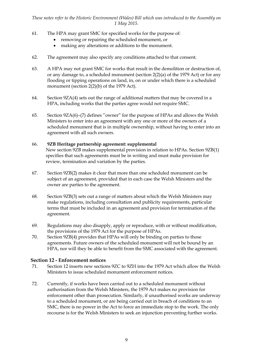- 61. The HPA may grant SMC for specified works for the purpose of:
	- removing or repairing the scheduled monument, or
	- making any alterations or additions to the monument.
- 62. The agreement may also specify any conditions attached to that consent.
- 63. A HPA may not grant SMC for works that result in the demolition or destruction of, or any damage to, a scheduled monument (section 2(2)(a) of the 1979 Act) or for any flooding or tipping operations on land, in, on or under which there is a scheduled monument (section 2(2)(b) of the 1979 Act).
- 64. Section 9ZA(4) sets out the range of additional matters that may be covered in a HPA, including works that the parties agree would not require SMC.
- 65. Section 9ZA(6)–(7) defines "owner" for the purpose of HPAs and allows the Welsh Ministers to enter into an agreement with any one or more of the owners of a scheduled monument that is in multiple ownership, without having to enter into an agreement with all such owners.

#### 66. **9ZB Heritage partnership agreement: supplemental**

New section 9ZB makes supplemental provision in relation to HPAs. Section 9ZB(1) specifies that such agreements must be in writing and must make provision for review, termination and variation by the parties.

- 67. Section 9ZB(2) makes it clear that more than one scheduled monument can be subject of an agreement, provided that in each case the Welsh Ministers and the owner are parties to the agreement.
- 68. Section 9ZB(3) sets out a range of matters about which the Welsh Ministers may make regulations, including consultation and publicity requirements, particular terms that must be included in an agreement and provision for termination of the agreement.
- 69. Regulations may also disapply, apply or reproduce, with or without modification, the provisions of the 1979 Act for the purpose of HPAs.
- 70. Section 9ZB(4) provides that HPAs will only be binding on parties to those agreements. Future owners of the scheduled monument will not be bound by an HPA, nor will they be able to benefit from the SMC associated with the agreement.

# **Section 12 - Enforcement notices**

- 71. Section 12 inserts new sections 9ZC to 9ZH into the 1979 Act which allow the Welsh Ministers to issue scheduled monument enforcement notices.
- 72. Currently, if works have been carried out to a scheduled monument without authorisation from the Welsh Ministers, the 1979 Act makes no provision for enforcement other than prosecution. Similarly, if unauthorised works are underway to a scheduled monument, or are being carried out in breach of conditions to an SMC, there is no power in the Act to force an immediate stop to the work. The only recourse is for the Welsh Ministers to seek an injunction preventing further works.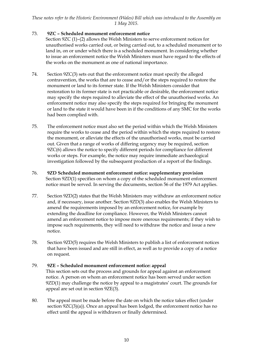#### 73. **9ZC – Scheduled monument enforcement notice**

Section 9ZC (1)–(2) allows the Welsh Ministers to serve enforcement notices for unauthorised works carried out, or being carried out, to a scheduled monument or to land in, on or under which there is a scheduled monument. In considering whether to issue an enforcement notice the Welsh Ministers must have regard to the effects of the works on the monument as one of national importance.

- 74. Section 9ZC(3) sets out that the enforcement notice must specify the alleged contravention, the works that are to cease and/or the steps required to restore the monument or land to its former state. If the Welsh Ministers consider that restoration to its former state is not practicable or desirable, the enforcement notice may specify the steps required to alleviate the effect of the unauthorised works. An enforcement notice may also specify the steps required for bringing the monument or land to the state it would have been in if the conditions of any SMC for the works had been complied with.
- 75. The enforcement notice must also set the period within which the Welsh Ministers require the works to cease and the period within which the steps required to restore the monument, or alleviate the effects of the unauthorised works, must be carried out. Given that a range of works of differing urgency may be required, section 9ZC(6) allows the notice to specify different periods for compliance for different works or steps. For example, the notice may require immediate archaeological investigation followed by the subsequent production of a report of the findings.
- 76. **9ZD Scheduled monument enforcement notice: supplementary provision** Section 9ZD(1) specifies on whom a copy of the scheduled monument enforcement notice must be served. In serving the documents, section 56 of the 1979 Act applies.
- 77. Section 9ZD(2) states that the Welsh Ministers may withdraw an enforcement notice and, if necessary, issue another. Section 9ZD(3) also enables the Welsh Ministers to amend the requirements imposed by an enforcement notice, for example by extending the deadline for compliance. However, the Welsh Ministers cannot amend an enforcement notice to impose more onerous requirements; if they wish to impose such requirements, they will need to withdraw the notice and issue a new notice.
- 78. Section 9ZD(5) requires the Welsh Ministers to publish a list of enforcement notices that have been issued and are still in effect, as well as to provide a copy of a notice on request.

#### 79. **9ZE – Scheduled monument enforcement notice: appeal**

This section sets out the process and grounds for appeal against an enforcement notice. A person on whom an enforcement notice has been served under section 9ZD(1) may challenge the notice by appeal to a magistrates' court. The grounds for appeal are set out in section 9ZE(3).

80. The appeal must be made before the date on which the notice takes effect (under section 9ZC(3)(a)). Once an appeal has been lodged, the enforcement notice has no effect until the appeal is withdrawn or finally determined.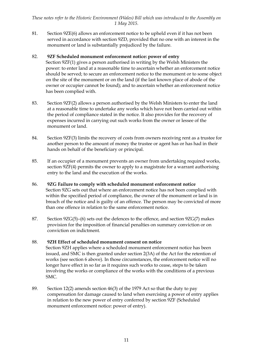81. Section 9ZE(6) allows an enforcement notice to be upheld even if it has not been served in accordance with section 9ZD, provided that no one with an interest in the monument or land is substantially prejudiced by the failure.

#### 82. **9ZF Scheduled monument enforcement notice: power of entry**

Section 9ZF(1) gives a person authorised in writing by the Welsh Ministers the power: to enter land at a reasonable time to ascertain whether an enforcement notice should be served; to secure an enforcement notice to the monument or to some object on the site of the monument or on the land (if the last known place of abode of the owner or occupier cannot be found); and to ascertain whether an enforcement notice has been complied with.

- 83. Section 9ZF(2) allows a person authorised by the Welsh Ministers to enter the land at a reasonable time to undertake any works which have not been carried out within the period of compliance stated in the notice. It also provides for the recovery of expenses incurred in carrying out such works from the owner or lessee of the monument or land.
- 84. Section 9ZF(3) limits the recovery of costs from owners receiving rent as a trustee for another person to the amount of money the trustee or agent has or has had in their hands on behalf of the beneficiary or principal.
- 85. If an occupier of a monument prevents an owner from undertaking required works, section 9ZF(4) permits the owner to apply to a magistrate for a warrant authorising entry to the land and the execution of the works.
- 86. **9ZG Failure to comply with scheduled monument enforcement notice** Section 9ZG sets out that where an enforcement notice has not been complied with within the specified period of compliance, the owner of the monument or land is in breach of the notice and is guilty of an offence. The person may be convicted of more than one offence in relation to the same enforcement notice.
- 87. Section 9ZG(5)–(6) sets out the defences to the offence, and section 9ZG(7) makes provision for the imposition of financial penalties on summary conviction or on conviction on indictment.

#### 88. **9ZH Effect of scheduled monument consent on notice**

Section 9ZH applies where a scheduled monument enforcement notice has been issued, and SMC is then granted under section 2(3A) of the Act for the retention of works (see section 6 above). In those circumstances, the enforcement notice will no longer have effect in so far as it requires such works to cease, steps to be taken involving the works or compliance of the works with the conditions of a previous SMC.

89. Section 12(2) amends section 46(3) of the 1979 Act so that the duty to pay compensation for damage caused to land when exercising a power of entry applies in relation to the new power of entry conferred by section 9ZF (Scheduled monument enforcement notice: power of entry).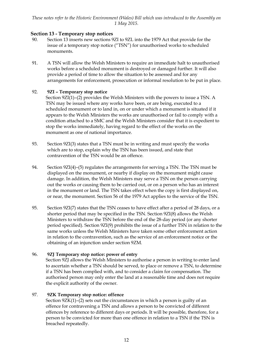# **Section 13 - Temporary stop notices**

- 90. Section 13 inserts new sections 9ZI to 9ZL into the 1979 Act that provide for the issue of a temporary stop notice ("TSN") for unauthorised works to scheduled monuments.
- 91. A TSN will allow the Welsh Ministers to require an immediate halt to unauthorised works before a scheduled monument is destroyed or damaged further. It will also provide a period of time to allow the situation to be assessed and for any arrangements for enforcement, prosecution or informal resolution to be put in place.

# 92. **9ZI – Temporary stop notice**

Section 9ZI(1)–(2) provides the Welsh Ministers with the powers to issue a TSN. A TSN may be issued where any works have been, or are being, executed to a scheduled monument or to land in, on or under which a monument is situated if it appears to the Welsh Ministers the works are unauthorised or fail to comply with a condition attached to a SMC and the Welsh Ministers consider that it is expedient to stop the works immediately, having regard to the effect of the works on the monument as one of national importance.

- 93. Section 9ZI(3) states that a TSN must be in writing and must specify the works which are to stop, explain why the TSN has been issued, and state that contravention of the TSN would be an offence.
- 94. Section 9ZI(4)–(5) regulates the arrangements for serving a TSN. The TSN must be displayed on the monument, or nearby if display on the monument might cause damage. In addition, the Welsh Ministers may serve a TSN on the person carrying out the works or causing them to be carried out, or on a person who has an interest in the monument or land. The TSN takes effect when the copy is first displayed on, or near, the monument. Section 56 of the 1979 Act applies to the service of the TSN.
- 95. Section 9ZI(7) states that the TSN ceases to have effect after a period of 28 days, or a shorter period that may be specified in the TSN. Section 9ZI(8) allows the Welsh Ministers to withdraw the TSN before the end of the 28-day period (or any shorter period specified). Section 9ZI(9) prohibits the issue of a further TSN in relation to the same works unless the Welsh Ministers have taken some other enforcement action in relation to the contravention, such as the service of an enforcement notice or the obtaining of an injunction under section 9ZM.

# 96. **9ZJ Temporary stop notice: power of entry**

Section 9ZJ allows the Welsh Ministers to authorise a person in writing to enter land to ascertain whether a TSN should be served, to place or remove a TSN, to determine if a TSN has been complied with, and to consider a claim for compensation. The authorised person may only enter the land at a reasonable time and does not require the explicit authority of the owner.

# 97. **9ZK Temporary stop notice: offence**

Section 9ZK(1)–(2) sets out the circumstances in which a person is guilty of an offence for contravening a TSN and allows a person to be convicted of different offences by reference to different days or periods. It will be possible, therefore, for a person to be convicted for more than one offence in relation to a TSN if the TSN is breached repeatedly.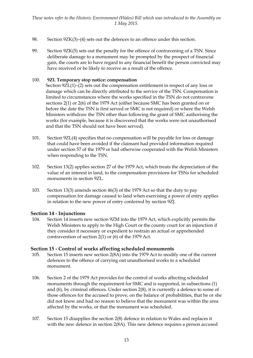- 98. Section 9ZK(3)–(4) sets out the defences to an offence under this section.
- 99. Section 9ZK(5) sets out the penalty for the offence of contravening of a TSN. Since deliberate damage to a monument may be prompted by the prospect of financial gain, the courts are to have regard to any financial benefit the person convicted may have received or be likely to receive as a result of the offence.

#### 100. **9ZL Temporary stop notice: compensation**

Section 9ZL(1)–(2) sets out the compensation entitlement in respect of any loss or damage which can be directly attributed to the service of the TSN. Compensation is limited to circumstances where the works specified in the TSN do not contravene sections 2(1) or 2(6) of the 1979 Act (either because SMC has been granted on or before the date the TSN is first served or SMC is not required) or where the Welsh Ministers withdraw the TSN other than following the grant of SMC authorising the works (for example, because it is discovered that the works were not unauthorised and that the TSN should not have been served).

- 101. Section 9ZL(4) specifies that no compensation will be payable for loss or damage that could have been avoided if the claimant had provided information required under section 57 of the 1979 or had otherwise cooperated with the Welsh Ministers when responding to the TSN.
- 102. Section 13(2) applies section 27 of the 1979 Act, which treats the depreciation of the value of an interest in land, to the compensation provisions for TSNs for scheduled monuments in section 9ZL.
- 103. Section 13(3) amends section 46(3) of the 1979 Act so that the duty to pay compensation for damage caused to land when exercising a power of entry applies in relation to the new power of entry conferred by section 9ZJ.

# **Section 14 - Injunctions**

104. Section 14 inserts new section 9ZM into the 1979 Act, which explicitly permits the Welsh Ministers to apply to the High Court or the county court for an injunction if they consider it necessary or expedient to restrain an actual or apprehended contravention of section 2(1) or (6) of the 1979 Act.

#### **Section 15 - Control of works affecting scheduled monuments**

- 105. Section 15 inserts new section 2(8A) into the 1979 Act to modify one of the current defences to the offence of carrying out unauthorised works to a scheduled monument.
- 106. Section 2 of the 1979 Act provides for the control of works affecting scheduled monuments through the requirement for SMC and is supported, in subsections (1) and (6), by criminal offences. Under section 2(8), it is currently a defence to some of those offences for the accused to prove, on the balance of probabilities, that he or she did not know and had no reason to believe that the monument was within the area affected by the works, or that the monument was scheduled.
- 107. Section 15 disapplies the section 2(8) defence in relation to Wales and replaces it with the new defence in section 2(8A). This new defence requires a person accused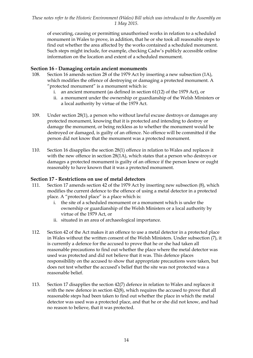of executing, causing or permitting unauthorised works in relation to a scheduled monument in Wales to prove, in addition, that he or she took all reasonable steps to find out whether the area affected by the works contained a scheduled monument. Such steps might include, for example, checking Cadw's publicly accessible online information on the location and extent of a scheduled monument.

# **Section 16 - Damaging certain ancient monuments**

- 108. Section 16 amends section 28 of the 1979 Act by inserting a new subsection (1A), which modifies the offence of destroying or damaging a protected monument. A "protected monument" is a monument which is:
	- i. an ancient monument (as defined in section 61(12) of the 1979 Act), or
	- ii. a monument under the ownership or guardianship of the Welsh Ministers or a local authority by virtue of the 1979 Act.
- 109. Under section 28(1), a person who without lawful excuse destroys or damages any protected monument, knowing that it is protected and intending to destroy or damage the monument, or being reckless as to whether the monument would be destroyed or damaged, is guilty of an offence. No offence will be committed if the person did not know that the monument was a protected monument.
- 110. Section 16 disapplies the section 28(1) offence in relation to Wales and replaces it with the new offence in section 28(1A), which states that a person who destroys or damages a protected monument is guilty of an offence if the person knew or ought reasonably to have known that it was a protected monument.

#### **Section 17 - Restrictions on use of metal detectors**

- 111. Section 17 amends section 42 of the 1979 Act by inserting new subsection (8), which modifies the current defence to the offence of using a metal detector in a protected place. A "protected place" is a place which is:
	- i. the site of a scheduled monument or a monument which is under the ownership or guardianship of the Welsh Ministers or a local authority by virtue of the 1979 Act, or
	- ii. situated in an area of archaeological importance.
- 112. Section 42 of the Act makes it an offence to use a metal detector in a protected place in Wales without the written consent of the Welsh Ministers. Under subsection (7), it is currently a defence for the accused to prove that he or she had taken all reasonable precautions to find out whether the place where the metal detector was used was protected and did not believe that it was. This defence places responsibility on the accused to show that appropriate precautions were taken, but does not test whether the accused's belief that the site was not protected was a reasonable belief.
- 113. Section 17 disapplies the section 42(7) defence in relation to Wales and replaces it with the new defence in section 42(8), which requires the accused to prove that all reasonable steps had been taken to find out whether the place in which the metal detector was used was a protected place, and that he or she did not know, and had no reason to believe, that it was protected.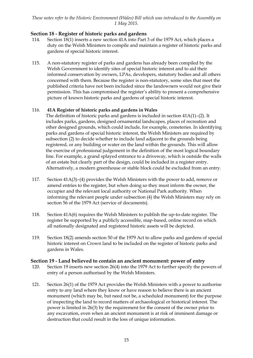# **Section 18 - Register of historic parks and gardens**

- 114. Section 18(1) inserts a new section 41A into Part 3 of the 1979 Act, which places a duty on the Welsh Ministers to compile and maintain a register of historic parks and gardens of special historic interest.
- 115. A non-statutory register of parks and gardens has already been compiled by the Welsh Government to identify sites of special historic interest and to aid their informed conservation by owners, LPAs, developers, statutory bodies and all others concerned with them. Because the register is non-statutory, some sites that meet the published criteria have not been included since the landowners would not give their permission. This has compromised the register's ability to present a comprehensive picture of known historic parks and gardens of special historic interest.

#### 116. **41A Register of historic parks and gardens in Wales**

- The definition of historic parks and gardens is included in section 41A(1)–(2). It includes parks, gardens, designed ornamental landscapes, places of recreation and other designed grounds, which could include, for example, cemeteries. In identifying parks and gardens of special historic interest, the Welsh Ministers are required by subsection (2) to decide whether to include land adjacent to the grounds being registered, or any building or water on the land within the grounds. This will allow the exercise of professional judgement in the definition of the most logical boundary line. For example, a grand splayed entrance to a driveway, which is outside the walls of an estate but clearly part of the design, could be included in a register entry. Alternatively, a modern greenhouse or stable block could be excluded from an entry.
- 117. Section 41A(3)–(4) provides the Welsh Ministers with the power to add, remove or amend entries to the register, but when doing so they must inform the owner, the occupier and the relevant local authority or National Park authority. When informing the relevant people under subsection (4) the Welsh Ministers may rely on section 56 of the 1979 Act (service of documents).
- 118. Section 41A(6) requires the Welsh Ministers to publish the up-to-date register. The register be supported by a publicly accessible, map-based, online record on which all nationally designated and registered historic assets will be depicted.
- 119. Section 18(2) amends section 50 of the 1979 Act to allow parks and gardens of special historic interest on Crown land to be included on the register of historic parks and gardens in Wales.

# **Section 19 - Land believed to contain an ancient monument: power of entry**

- 120. Section 19 inserts new section 26(4) into the 1979 Act to further specify the powers of entry of a person authorised by the Welsh Ministers.
- 121. Section 26(1) of the 1979 Act provides the Welsh Ministers with a power to authorise entry to any land where they know or have reason to believe there is an ancient monument (which may be, but need not be, a scheduled monument) for the purpose of inspecting the land to record matters of archaeological or historical interest. The power is limited in 26(3) by the requirement for the consent of the owner prior to any excavation, even when an ancient monument is at risk of imminent damage or destruction that could result in the loss of unique information.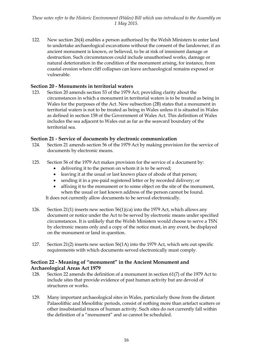122. New section 26(4) enables a person authorised by the Welsh Ministers to enter land to undertake archaeological excavations without the consent of the landowner, if an ancient monument is known, or believed, to be at risk of imminent damage or destruction. Such circumstances could include unauthorised works, damage or natural deterioration in the condition of the monument arising, for instance, from coastal erosion where cliff collapses can leave archaeological remains exposed or vulnerable.

# **Section 20 - Monuments in territorial waters**

123. Section 20 amends section 53 of the 1979 Act, providing clarity about the circumstances in which a monument in territorial waters is to be treated as being in Wales for the purposes of the Act. New subsection (2B) states that a monument in territorial waters is not to be treated as being in Wales unless it is situated in Wales as defined in section 158 of the Government of Wales Act. This definition of Wales includes the sea adjacent to Wales out as far as the seaward boundary of the territorial sea.

#### **Section 21 - Service of documents by electronic communication**

- 124. Section 21 amends section 56 of the 1979 Act by making provision for the service of documents by electronic means.
- 125. Section 56 of the 1979 Act makes provision for the service of a document by:
	- delivering it to the person on whom it is to be served;
	- leaving it at the usual or last known place of abode of that person;
	- sending it in a pre-paid registered letter or by recorded delivery; or
	- affixing it to the monument or to some object on the site of the monument, when the usual or last known address of the person cannot be found.

It does not currently allow documents to be served electronically.

- 126. Section 21(1) inserts new section 56(1)(ca) into the 1979 Act, which allows any document or notice under the Act to be served by electronic means under specified circumstances. It is unlikely that the Welsh Ministers would choose to serve a TSN by electronic means only and a copy of the notice must, in any event, be displayed on the monument or land in question.
- 127. Section 21(2) inserts new section 56(1A) into the 1979 Act, which sets out specific requirements with which documents served electronically must comply.

# **Section 22 - Meaning of "monument" in the Ancient Monument and Archaeological Areas Act 1979**

- 128. Section 22 amends the definition of a monument in section 61(7) of the 1979 Act to include sites that provide evidence of past human activity but are devoid of structures or works.
- 129. Many important archaeological sites in Wales, particularly those from the distant Palaeolithic and Mesolithic periods, consist of nothing more than artefact scatters or other insubstantial traces of human activity. Such sites do not currently fall within the definition of a "monument" and so cannot be scheduled.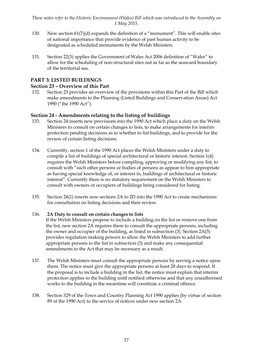- 130. New section 61(7)(d) expands the definition of a "monument". This will enable sites of national importance that provide evidence of past human activity to be designated as scheduled monuments by the Welsh Ministers.
- 131. Section 22(3) applies the Government of Wales Act 2006 definition of "Wales" to allow for the scheduling of non-structural sites out as far as the seaward boundary of the territorial sea.

# **PART 3: LISTED BUILDINGS**

# **Section 23 – Overview of this Part**

132. Section 23 provides an overview of the provisions within this Part of the Bill which make amendments to the Planning (Listed Buildings and Conservation Areas) Act 1990 ("the 1990 Act").

# **Section 24 - Amendments relating to the listing of buildings**

- 133. Section 24 inserts new provisions into the 1990 Act which place a duty on the Welsh Ministers to consult on certain changes to lists, to make arrangements for interim protection pending decisions as to whether to list buildings, and to provide for the review of certain listing decisions.
- 134. Currently, section 1 of the 1990 Act places the Welsh Ministers under a duty to compile a list of buildings of special architectural or historic interest. Section 1(4) requires the Welsh Ministers before compiling, approving or modifying any list, to consult with "such other persons or bodies of persons as appear to him appropriate as having special knowledge of, or interest in, buildings of architectural or historic interest". Currently there is no statutory requirement on the Welsh Ministers to consult with owners or occupiers of buildings being considered for listing.
- 135. Section 24(1) inserts new sections 2A to 2D into the 1990 Act to create mechanisms for consultation on listing decisions and their review.

# 136. **2A Duty to consult on certain changes to lists**

If the Welsh Ministers propose to include a building on the list or remove one from the list, new section 2A requires them to consult the appropriate persons, including the owner and occupier of the building, as listed in subsection (3). Section 2A(5) provides regulation-making powers to allow the Welsh Ministers to add further appropriate persons to the list in subsection (3) and make any consequential amendments to the Act that may be necessary as a result.

- 137. The Welsh Ministers must consult the appropriate persons by serving a notice upon them. The notice must give the appropriate persons at least 28 days to respond. If the proposal is to include a building in the list, the notice must explain that interim protection applies to the building until notified otherwise and that any unauthorised works to the building in the meantime will constitute a criminal offence.
- 138. Section 329 of the Town and Country Planning Act 1990 applies (by virtue of section 89 of the 1990 Act) to the service of notices under new section 2A.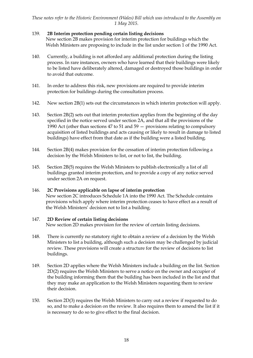#### 139. **2B Interim protection pending certain listing decisions**

New section 2B makes provision for interim protection for buildings which the Welsh Ministers are proposing to include in the list under section 1 of the 1990 Act.

- 140. Currently, a building is not afforded any additional protection during the listing process. In rare instances, owners who have learned that their buildings were likely to be listed have deliberately altered, damaged or destroyed those buildings in order to avoid that outcome.
- 141. In order to address this risk, new provisions are required to provide interim protection for buildings during the consultation process.
- 142. New section 2B(1) sets out the circumstances in which interim protection will apply.
- 143. Section 2B(2) sets out that interim protection applies from the beginning of the day specified in the notice served under section 2A, and that all the provisions of the 1990 Act (other than sections 47 to 51 and 59 — provisions relating to compulsory acquisition of listed buildings and acts causing or likely to result in damage to listed buildings) have effect from that date as if the building were a listed building.
- 144. Section 2B(4) makes provision for the cessation of interim protection following a decision by the Welsh Ministers to list, or not to list, the building.
- 145. Section 2B(5) requires the Welsh Ministers to publish electronically a list of all buildings granted interim protection, and to provide a copy of any notice served under section 2A on request.

# 146. **2C Provisions applicable on lapse of interim protection**

New section 2C introduces Schedule 1A into the 1990 Act. The Schedule contains provisions which apply where interim protection ceases to have effect as a result of the Welsh Ministers' decision not to list a building.

#### 147. **2D Review of certain listing decisions**

New section 2D makes provision for the review of certain listing decisions.

- 148. There is currently no statutory right to obtain a review of a decision by the Welsh Ministers to list a building, although such a decision may be challenged by judicial review. These provisions will create a structure for the review of decisions to list buildings.
- 149. Section 2D applies where the Welsh Ministers include a building on the list. Section 2D(2) requires the Welsh Ministers to serve a notice on the owner and occupier of the building informing them that the building has been included in the list and that they may make an application to the Welsh Ministers requesting them to review their decision.
- 150. Section 2D(3) requires the Welsh Ministers to carry out a review if requested to do so, and to make a decision on the review. It also requires them to amend the list if it is necessary to do so to give effect to the final decision.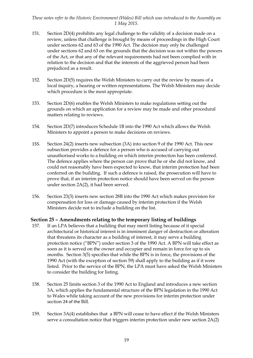- 151. Section 2D(4) prohibits any legal challenge to the validity of a decision made on a review, unless that challenge is brought by means of proceedings in the High Court under sections 62 and 63 of the 1990 Act. The decision may only be challenged under sections 62 and 63 on the grounds that the decision was not within the powers of the Act, or that any of the relevant requirements had not been complied with in relation to the decision and that the interests of the aggrieved person had been prejudiced as a result.
- 152. Section 2D(5) requires the Welsh Ministers to carry out the review by means of a local inquiry, a hearing or written representations. The Welsh Ministers may decide which procedure is the most appropriate.
- 153. Section 2D(6) enables the Welsh Ministers to make regulations setting out the grounds on which an application for a review may be made and other procedural matters relating to reviews.
- 154. Section 2D(7) introduces Schedule 1B into the 1990 Act which allows the Welsh Ministers to appoint a person to make decisions on reviews.
- 155. Section 24(2) inserts new subsection (3A) into section 9 of the 1990 Act. This new subsection provides a defence for a person who is accused of carrying out unauthorised works to a building on which interim protection has been conferred. The defence applies where the person can prove that he or she did not know, and could not reasonably have been expected to know, that interim protection had been conferred on the building. If such a defence is raised, the prosecution will have to prove that, if an interim protection notice should have been served on the person under section 2A(2), it had been served.
- 156. Section 23(3) inserts new section 28B into the 1990 Act which makes provision for compensation for loss or damage caused by interim protection if the Welsh Ministers decide not to include a building on the list.

# **Section 25 – Amendments relating to the temporary listing of buildings**

- 157. If an LPA believes that a building that may merit listing because of it special architectural or historical interest is in imminent danger of destruction or alteration that threatens its character as a building of interest, it may serve a building protection notice ("BPN") under section 3 of the 1990 Act. A BPN will take effect as soon as it is served on the owner and occupier and remain in force for up to six months. Section 3(5) specifies that while the BPN is in force, the provisions of the 1990 Act (with the exception of section 59) shall apply to the building as if it were listed. Prior to the service of the BPN, the LPA must have asked the Welsh Ministers to consider the building for listing.
- 158. Section 25 limits section 3 of the 1990 Act to England and introduces a new section 3A, which applies the fundamental structure of the BPN legislation in the 1990 Act to Wales while taking account of the new provisions for interim protection under section 24 of the Bill.
- 159. Section 3A(4) establishes that a BPN will cease to have effect if the Welsh Ministers serve a consultation notice that triggers interim protection under new section 2A(2)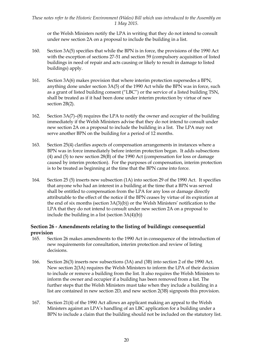or the Welsh Ministers notify the LPA in writing that they do not intend to consult under new section 2A on a proposal to include the building in a list.

- 160. Section 3A(5) specifies that while the BPN is in force, the provisions of the 1990 Act with the exception of sections 27-51 and section 59 (compulsory acquisition of listed buildings in need of repair and acts causing or likely to result in damage to listed buildings) apply.
- 161. Section 3A(6) makes provision that where interim protection supersedes a BPN, anything done under section 3A(5) of the 1990 Act while the BPN was in force, such as a grant of listed building consent ("LBC") or the service of a listed building TSN, shall be treated as if it had been done under interim protection by virtue of new section 2B(2).
- 162. Section 3A(7)–(8) requires the LPA to notify the owner and occupier of the building immediately if the Welsh Ministers advise that they do not intend to consult under new section 2A on a proposal to include the building in a list. The LPA may not serve another BPN on the building for a period of 12 months.
- 163. Section 25(4) clarifies aspects of compensation arrangements in instances where a BPN was in force immediately before interim protection began. It adds subsections (4) and (5) to new section 28(B) of the 1990 Act (compensation for loss or damage caused by interim protection). For the purposes of compensation, interim protection is to be treated as beginning at the time that the BPN came into force.
- 164. Section 25 (5) inserts new subsection (1A) into section 29 of the 1990 Act. It specifies that anyone who had an interest in a building at the time that a BPN was served shall be entitled to compensation from the LPA for any loss or damage directly attributable to the effect of the notice if the BPN ceases by virtue of its expiration at the end of six months (section 3A(3)(b)) or the Welsh Ministers' notification to the LPA that they do not intend to consult under new section 2A on a proposal to include the building in a list (section 3A(4)(b))

# **Section 26 - Amendments relating to the listing of buildings: consequential provision**

- 165. Section 26 makes amendments to the 1990 Act in consequence of the introduction of new requirements for consultation, interim protection and review of listing decisions.
- 166. Section 26(3) inserts new subsections (3A) and (3B) into section 2 of the 1990 Act. New section 2(3A) requires the Welsh Ministers to inform the LPA of their decision to include or remove a building from the list. It also requires the Welsh Ministers to inform the owner and occupier if a building has been removed from a list. The further steps that the Welsh Ministers must take when they include a building in a list are contained in new section 2D, and new section 2(3B) signposts this provision.
- 167. Section 21(4) of the 1990 Act allows an applicant making an appeal to the Welsh Ministers against an LPA's handling of an LBC application for a building under a BPN to include a claim that the building should not be included on the statutory list.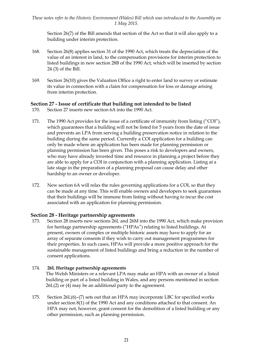Section 26(7) of the Bill amends that section of the Act so that it will also apply to a building under interim protection.

- 168. Section 26(8) applies section 31 of the 1990 Act, which treats the depreciation of the value of an interest in land, to the compensation provisions for interim protection to listed buildings in new section 28B of the 1990 Act, which will be inserted by section 24 (3) of the Bill.
- 169. Section 26(10) gives the Valuation Office a right to enter land to survey or estimate its value in connection with a claim for compensation for loss or damage arising from interim protection.

# **Section 27 - Issue of certificate that building not intended to be listed**

- 170. Section 27 inserts new section 6A into the 1990 Act.
- 171. The 1990 Act provides for the issue of a certificate of immunity from listing ("COI"), which guarantees that a building will not be listed for 5 years from the date of issue and prevents an LPA from serving a building preservation notice in relation to the building during the same period. Currently a COI application for a building can only be made where an application has been made for planning permission or planning permission has been given. This poses a risk to developers and owners, who may have already invested time and resource in planning a project before they are able to apply for a COI in conjunction with a planning application. Listing at a late stage in the preparation of a planning proposal can cause delay and other hardship to an owner or developer.
- 172. New section 6A will relax the rules governing applications for a COI, so that they can be made at any time. This will enable owners and developers to seek guarantees that their buildings will be immune from listing without having to incur the cost associated with an application for planning permission.

# **Section 28 - Heritage partnership agreements**

173. Section 28 inserts new sections 26L and 26M into the 1990 Act, which make provision for heritage partnership agreements ("HPAs") relating to listed buildings. At present, owners of complex or multiple historic assets may have to apply for an array of separate consents if they wish to carry out management programmes for their properties. In such cases, HPAs will provide a more positive approach for the sustainable management of listed buildings and bring a reduction in the number of consent applications.

# 174. **26L Heritage partnership agreements**

The Welsh Ministers or a relevant LPA may make an HPA with an owner of a listed building or part of a listed building in Wales, and any persons mentioned in section 26L(2) or (4) may be an additional party to the agreement.

175. Section 26L(6)–(7) sets out that an HPA may incorporate LBC for specified works under section 8(1) of the 1990 Act and any conditions attached to that consent. An HPA may not, however, grant consent for the demolition of a listed building or any other permission, such as planning permission.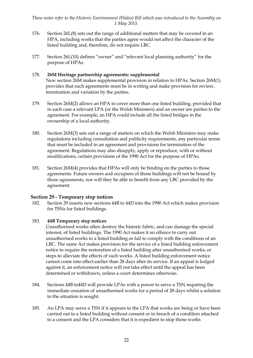- 176. Section 26L(8) sets out the range of additional matters that may be covered in an HPA, including works that the parties agree would not affect the character of the listed building and, therefore, do not require LBC.
- 177. Section 26L(10) defines "owner" and "relevant local planning authority" for the purpose of HPAs.
- 178. **26M Heritage partnership agreements: supplemental** New section 26M makes supplemental provision in relation to HPAs. Section 26M(1) provides that such agreements must be in writing and make provision for review, termination and variation by the parties.
- 179. Section 26M(2) allows an HPA to cover more than one listed building, provided that in each case a relevant LPA (or the Welsh Ministers) and an owner are parties to the agreement. For example, an HPA could include all the listed bridges in the ownership of a local authority.
- 180. Section 26M(3) sets out a range of matters on which the Welsh Ministers may make regulations including consultation and publicity requirements, any particular terms that must be included in an agreement and provisions for termination of the agreement. Regulations may also disapply, apply or reproduce, with or without modifications, certain provisions of the 1990 Act for the purpose of HPAs.
- 181. Section 26M(4) provides that HPAs will only be binding on the parties to those agreements. Future owners and occupiers of those buildings will not be bound by those agreements, nor will they be able to benefit from any LBC provided by the agreement.

#### **Section 29 - Temporary stop notices**

182. Section 29 inserts new sections 44B to 44D into the 1990 Act which makes provision for TSNs for listed buildings.

#### 183. **44B Temporary stop notices**

Unauthorised works often destroy the historic fabric, and can damage the special interest, of listed buildings. The 1990 Act makes it an offence to carry out unauthorised works to a listed building or fail to comply with the conditions of an LBC. The same Act makes provision for the service of a listed building enforcement notice to require the restoration of a listed building after unauthorised works, or steps to alleviate the effects of such works. A listed building enforcement notice cannot come into effect earlier than 28 days after its service. If an appeal is lodged against it, an enforcement notice will not take effect until the appeal has been determined or withdrawn, unless a court determines otherwise.

- 184. Sections 44B to44D will provide LPAs with a power to serve a TSN requiring the immediate cessation of unauthorised works for a period of 28 days whilst a solution to the situation is sought.
- 185. An LPA may serve a TSN if it appears to the LPA that works are being or have been carried out to a listed building without consent or in breach of a condition attached to a consent and the LPA considers that it is expedient to stop those works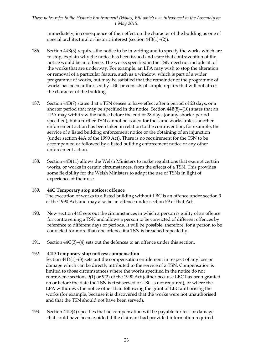immediately, in consequence of their effect on the character of the building as one of special architectural or historic interest (section 44B(1)–(2)).

- 186. Section 44B(3) requires the notice to be in writing and to specify the works which are to stop, explain why the notice has been issued and state that contravention of the notice would be an offence. The works specified in the TSN need not include all of the works that are underway. For example, an LPA may wish to stop the alteration or removal of a particular feature, such as a window, which is part of a wider programme of works, but may be satisfied that the remainder of the programme of works has been authorised by LBC or consists of simple repairs that will not affect the character of the building.
- 187. Section 44B(7) states that a TSN ceases to have effect after a period of 28 days, or a shorter period that may be specified in the notice. Section 44B(8)–(10) states that an LPA may withdraw the notice before the end of 28 days (or any shorter period specified), but a further TSN cannot be issued for the same works unless another enforcement action has been taken in relation to the contravention, for example, the service of a listed building enforcement notice or the obtaining of an injunction (under section 44A of the 1990 Act). There is no requirement for the TSN to be accompanied or followed by a listed building enforcement notice or any other enforcement action.
- 188. Section 44B(11) allows the Welsh Ministers to make regulations that exempt certain works, or works in certain circumstances, from the effects of a TSN. This provides some flexibility for the Welsh Ministers to adapt the use of TSNs in light of experience of their use.

#### 189. **44C Temporary stop notices: offence**

The execution of works to a listed building without LBC is an offence under section 9 of the 1990 Act, and may also be an offence under section 59 of that Act.

- 190. New section 44C sets out the circumstances in which a person is guilty of an offence for contravening a TSN and allows a person to be convicted of different offences by reference to different days or periods. It will be possible, therefore, for a person to be convicted for more than one offence if a TSN is breached repeatedly.
- 191. Section 44C(3)–(4) sets out the defences to an offence under this section.

#### 192. **44D Temporary stop notices: compensation**

Section 44D(1)–(3) sets out the compensation entitlement in respect of any loss or damage which can be directly attributed to the service of a TSN. Compensation is limited to those circumstances where the works specified in the notice do not contravene sections 9(1) or 9(2) of the 1990 Act (either because LBC has been granted on or before the date the TSN is first served or LBC is not required), or where the LPA withdraws the notice other than following the grant of LBC authorising the works (for example, because it is discovered that the works were not unauthorised and that the TSN should not have been served).

193. Section 44D(4) specifies that no compensation will be payable for loss or damage that could have been avoided if the claimant had provided information required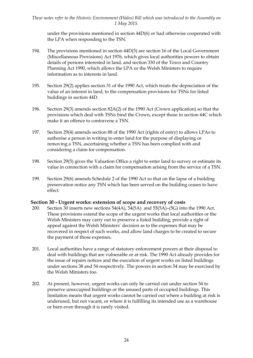under the provisions mentioned in section 44D(6) or had otherwise cooperated with the LPA when responding to the TSN.

- 194. The provisions mentioned in section 44D(5) are section 16 of the Local Government (Miscellaneous Provisions) Act 1976, which gives local authorities powers to obtain details of persons interested in land, and section 330 of the Town and Country Planning Act 1990, which allows the LPA or the Welsh Ministers to require information as to interests in land.
- 195. Section 29(2) applies section 31 of the 1990 Act, which treats the depreciation of the value of an interest in land, to the compensation provisions for TSNs for listed buildings in section 44D.
- 196. Section 29(3) amends section 82A(2) of the 1990 Act (Crown application) so that the provisions which deal with TSNs bind the Crown, except those in section 44C which make it an offence to contravene a TSN.
- 197. Section 29(4) amends section 88 of the 1990 Act (rights of entry) to allows LPAs to authorise a person in writing to enter land for the purpose of displaying or removing a TSN, ascertaining whether a TSN has been complied with and considering a claim for compensation.
- 198. Section 29(5) gives the Valuation Office a right to enter land to survey or estimate its value in connection with a claim for compensation arising from the service of a TSN.
- 199. Section 29(6) amends Schedule 2 of the 1990 Act so that on the lapse of a building preservation notice any TSN which has been served on the building ceases to have effect.

## **Section 30 - Urgent works: extension of scope and recovery of costs**

- 200. Section 30 inserts new sections 54(4A), 54(5A) and 55(5A)–(5G) into the 1990 Act. These provisions extend the scope of the urgent works that local authorities or the Welsh Ministers may carry out to preserve a listed building, provide a right of appeal against the Welsh Ministers' decision as to the expenses that may be recovered in respect of such works, and allow land charges to be created to secure the payment of those expenses.
- 201. Local authorities have a range of statutory enforcement powers at their disposal to deal with buildings that are vulnerable or at risk. The 1990 Act already provides for the issue of repairs notices and the execution of urgent works on listed buildings under sections 38 and 54 respectively. The powers in section 54 may be exercised by the Welsh Ministers too.
- 202. At present, however, urgent works can only be carried out under section 54 to preserve unoccupied buildings or the unused parts of occupied buildings. This limitation means that urgent works cannot be carried out where a building at risk is underused, but not vacant, or where it is fulfilling its intended use as a warehouse or barn even through it is rarely visited.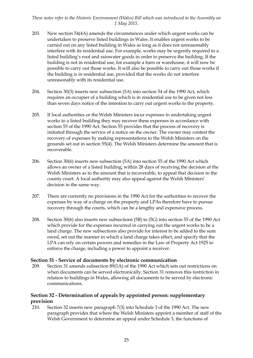- 203. New section 54(4A) amends the circumstances under which urgent works can be undertaken to preserve listed buildings in Wales. It enables urgent works to be carried out on any listed building in Wales as long as it does not unreasonably interfere with its residential use. For example, works may be urgently required to a listed building's roof and rainwater goods in order to preserve the building. If the building is not in residential use, for example a barn or warehouse, it will now be possible to carry out those works. It will also be possible to carry out those works if the building is in residential use, provided that the works do not interfere unreasonably with its residential use.
- 204. Section 30(3) inserts new subsection (5A) into section 54 of the 1990 Act, which requires an occupier of a building which is in residential use to be given not less than seven days notice of the intention to carry out urgent works to the property.
- 205. If local authorities or the Welsh Ministers incur expenses in undertaking urgent works to a listed building they may recover these expenses in accordance with section 55 of the 1990 Act. Section 55 provides that the process of recovery is initiated through the service of a notice on the owner. The owner may contest the recovery of expenses by making representations to the Welsh Ministers on the grounds set out in section 55(4). The Welsh Ministers determine the amount that is recoverable.
- 206. Section 30(6) inserts new subsection (5A) into section 55 of the 1990 Act which allows an owner of a listed building, within 28 days of receiving the decision of the Welsh Ministers as to the amount that is recoverable, to appeal that decision to the county court. A local authority may also appeal against the Welsh Ministers' decision in the same way.
- 207. There are currently no provisions in the 1990 Act for the authorities to recover the expenses by way of a charge on the property and LPAs therefore have to pursue recovery through the courts, which can be a lengthy and expensive process.
- 208. Section 30(6) also inserts new subsections (5B) to (5G) into section 55 of the 1990 Act which provide for the expenses incurred in carrying out the urgent works to be a land charge. The new subsections also provide for interest to be added to the sum owed, set out the manner in which a land charge takes effect, and specify that the LPA can rely on certain powers and remedies in the Law of Property Act 1925 to enforce the charge, including a power to appoint a receiver.

## **Section 31 - Service of documents by electronic communication**

209. Section 31 amends subsection 89(1A) of the 1990 Act which sets out restrictions on when documents can be served electronically. Section 31 removes this restriction in relation to buildings in Wales, allowing all documents to be served by electronic communications.

# **Section 32 - Determination of appeals by appointed person: supplementary provision**

210. Section 32 inserts new paragraph 7(3) into Schedule 3 of the 1990 Act. The new paragraph provides that where the Welsh Ministers appoint a member of staff of the Welsh Government to determine an appeal under Schedule 3, the functions of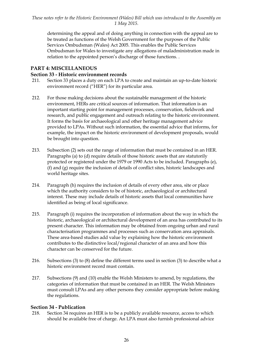determining the appeal and of doing anything in connection with the appeal are to be treated as functions of the Welsh Government for the purposes of the Public Services Ombudsman (Wales) Act 2005. This enables the Public Services Ombudsman for Wales to investigate any allegations of maladministration made in relation to the appointed person's discharge of those functions. .

## **PART 4: MISCELLANEOUS**

#### **Section 33 - Historic environment records**

- 211. Section 33 places a duty on each LPA to create and maintain an up-to-date historic environment record ("HER") for its particular area.
- 212. For those making decisions about the sustainable management of the historic environment, HERs are critical sources of information. That information is an important starting point for management processes, conservation, fieldwork and research, and public engagement and outreach relating to the historic environment. It forms the basis for archaeological and other heritage management advice provided to LPAs. Without such information, the essential advice that informs, for example, the impact on the historic environment of development proposals, would be brought into question.
- 213. Subsection (2) sets out the range of information that must be contained in an HER. Paragraphs (a) to (d) require details of those historic assets that are statutorily protected or registered under the 1979 or 1990 Acts to be included. Paragraphs (e), (f) and (g) require the inclusion of details of conflict sites, historic landscapes and world heritage sites.
- 214. Paragraph (h) requires the inclusion of details of every other area, site or place which the authority considers to be of historic, archaeological or architectural interest. These may include details of historic assets that local communities have identified as being of local significance.
- 215. Paragraph (i) requires the incorporation of information about the way in which the historic, archaeological or architectural development of an area has contributed to its present character. This information may be obtained from ongoing urban and rural characterisation programmes and processes such as conservation area appraisals. These area-based studies add value by explaining how the historic environment contributes to the distinctive local/regional character of an area and how this character can be conserved for the future.
- 216. Subsections (3) to (8) define the different terms used in section (3) to describe what a historic environment record must contain.
- 217. Subsections (9) and (10) enable the Welsh Ministers to amend, by regulations, the categories of information that must be contained in an HER. The Welsh Ministers must consult LPAs and any other persons they consider appropriate before making the regulations.

#### **Section 34 - Publication**

218. Section 34 requires an HER is to be a publicly available resource, access to which should be available free of charge. An LPA must also furnish professional advice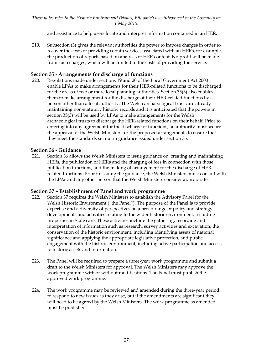and assistance to help users locate and interpret information contained in an HER.

219. Subsection (3) gives the relevant authorities the power to impose charges in order to recover the costs of providing certain services associated with an HERs, for example, the production of reports based on analysis of HER content. No profit will be made from such charges, which will be limited to the costs of providing the service.

#### **Section 35 - Arrangements for discharge of functions**

220. Regulations made under sections 19 and 20 of the Local Government Act 2000 enable LPAs to make arrangements for their HER-related functions to be discharged for the areas of two or more local planning authorities. Section 35(3) also enables them to make arrangement for the discharge of their HER-related functions by a person other than a local authority. The Welsh archaeological trusts are already maintaining non-statutory historic records and it is anticipated that the powers in section 35(3) will be used by LPAs to make arrangements for the Welsh archaeological trusts to discharge the HER-related functions on their behalf. Prior to entering into any agreement for the discharge of functions, an authority must secure the approval of the Welsh Ministers for the proposed arrangements to ensure that they meet the standards set out in guidance issued under section 36.

#### **Section 36 - Guidance**

221. Section 36 allows the Welsh Ministers to issue guidance on: creating and maintaining HERs, the publication of HERs and the charging of fees in connection with those publication functions, and the making of arrangement for the discharge of HERrelated functions. Prior to issuing the guidance, the Welsh Ministers must consult with the LPAs and any other person that the Welsh Ministers consider appropriate.

## **Section 37 – Establishment of Panel and work programme**

- 222. Section 37 requires the Welsh Ministers to establish the Advisory Panel for the Welsh Historic Environment ("the Panel"). The purpose of the Panel is to provide expertise and a diversity of perspectives on a broad range of policy and strategy developments and activities relating to the wider historic environment, including properties in State care. These activities include the gathering, recording and interpretation of information such as research, survey activities and excavation; the conservation of the historic environment, including identifying assets of national significance and applying the appropriate legislative protection; and public engagement with the historic environment, including active participation and access to historic assets and information.
- 223. The Panel will be required to prepare a three-year work programme and submit a draft to the Welsh Ministers for approval. The Welsh Ministers may approve the work programme with or without modifications. The Panel must publish the approved work programme.
- 224. The work programme may be reviewed and amended during the three-year period to respond to new issues as they arise, but if the amendments are significant they will need to be agreed by the Welsh Ministers. The work programme as amended must be published.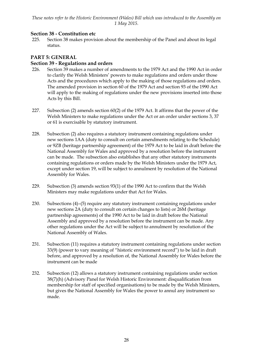## **Section 38 - Constitution etc**

225. Section 38 makes provision about the membership of the Panel and about its legal status.

# **PART 5: GENERAL**

#### **Section 39 - Regulations and orders**

- 226. Section 39 makes a number of amendments to the 1979 Act and the 1990 Act in order to clarify the Welsh Ministers' powers to make regulations and orders under those Acts and the procedures which apply to the making of those regulations and orders. The amended provision in section 60 of the 1979 Act and section 93 of the 1990 Act will apply to the making of regulations under the new provisions inserted into those Acts by this Bill.
- 227. Subsection (2) amends section 60(2) of the 1979 Act. It affirms that the power of the Welsh Ministers to make regulations under the Act or an order under sections 3, 37 or 61 is exercisable by statutory instrument.
- 228. Subsection (2) also requires a statutory instrument containing regulations under new sections 1AA (duty to consult on certain amendments relating to the Schedule) or 9ZB (heritage partnership agreement) of the 1979 Act to be laid in draft before the National Assembly for Wales and approved by a resolution before the instrument can be made. The subsection also establishes that any other statutory instruments containing regulations or orders made by the Welsh Ministers under the 1979 Act, except under section 19, will be subject to annulment by resolution of the National Assembly for Wales.
- 229. Subsection (3) amends section 93(1) of the 1990 Act to confirm that the Welsh Ministers may make regulations under that Act for Wales.
- 230. Subsections (4)–(5) require any statutory instrument containing regulations under new sections 2A (duty to consult on certain changes to lists) or 26M (heritage partnership agreements) of the 1990 Act to be laid in draft before the National Assembly and approved by a resolution before the instrument can be made. Any other regulations under the Act will be subject to annulment by resolution of the National Assembly of Wales.
- 231. Subsection (11) requires a statutory instrument containing regulations under section 33(9) (power to vary meaning of "historic environment record") to be laid in draft before, and approved by a resolution of, the National Assembly for Wales before the instrument can be made
- 232. Subsection (12) allows a statutory instrument containing regulations under section 38(7)(h) (Advisory Panel for Welsh Historic Environment: disqualification from membership for staff of specified organisations) to be made by the Welsh Ministers, but gives the National Assembly for Wales the power to annul any instrument so made.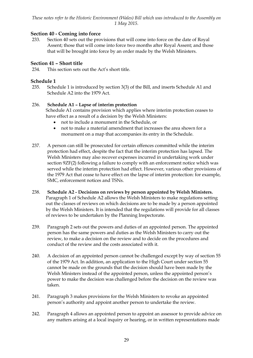## **Section 40 - Coming into force**

233. Section 40 sets out the provisions that will come into force on the date of Royal Assent; those that will come into force two months after Royal Assent; and those that will be brought into force by an order made by the Welsh Ministers.

## **Section 41 – Short title**

234. This section sets out the Act's short title.

# **Schedule 1**

235. Schedule 1 is introduced by section 3(3) of the Bill, and inserts Schedule A1 and Schedule A2 into the 1979 Act.

# 236. **Schedule A1 – Lapse of interim protection**

Schedule A1 contains provision which applies where interim protection ceases to have effect as a result of a decision by the Welsh Ministers:

- not to include a monument in the Schedule, or
- not to make a material amendment that increases the area shown for a monument on a map that accompanies its entry in the Schedule.
- 237. A person can still be prosecuted for certain offences committed while the interim protection had effect, despite the fact that the interim protection has lapsed. The Welsh Ministers may also recover expenses incurred in undertaking work under section 9ZF(2) following a failure to comply with an enforcement notice which was served while the interim protection had effect. However, various other provisions of the 1979 Act that cease to have effect on the lapse of interim protection: for example, SMC, enforcement notices and TSNs.
- 238. **Schedule A2 - Decisions on reviews by person appointed by Welsh Ministers.** Paragraph 1 of Schedule A2 allows the Welsh Ministers to make regulations setting out the classes of reviews on which decisions are to be made by a person appointed by the Welsh Ministers. It is intended that the regulations will provide for all classes of reviews to be undertaken by the Planning Inspectorate.
- 239. Paragraph 2 sets out the powers and duties of an appointed person. The appointed person has the same powers and duties as the Welsh Ministers to carry out the review, to make a decision on the review and to decide on the procedures and conduct of the review and the costs associated with it.
- 240. A decision of an appointed person cannot be challenged except by way of section 55 of the 1979 Act. In addition, an application to the High Court under section 55 cannot be made on the grounds that the decision should have been made by the Welsh Ministers instead of the appointed person, unless the appointed person's power to make the decision was challenged before the decision on the review was taken.
- 241. Paragraph 3 makes provisions for the Welsh Ministers to revoke an appointed person's authority and appoint another person to undertake the review.
- 242. Paragraph 4 allows an appointed person to appoint an assessor to provide advice on any matters arising at a local inquiry or hearing, or in written representations made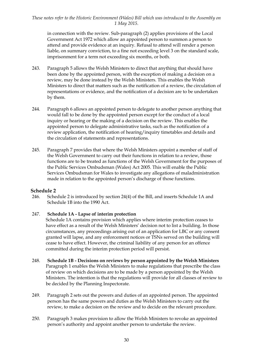in connection with the review. Sub-paragraph (2) applies provisions of the Local Government Act 1972 which allow an appointed person to summon a person to attend and provide evidence at an inquiry. Refusal to attend will render a person liable, on summary conviction, to a fine not exceeding level 3 on the standard scale, imprisonment for a term not exceeding six months, or both.

- 243. Paragraph 5 allows the Welsh Ministers to direct that anything that should have been done by the appointed person, with the exception of making a decision on a review, may be done instead by the Welsh Ministers. This enables the Welsh Ministers to direct that matters such as the notification of a review, the circulation of representations or evidence, and the notification of a decision are to be undertaken by them.
- 244. Paragraph 6 allows an appointed person to delegate to another person anything that would fall to be done by the appointed person except for the conduct of a local inquiry or hearing or the making of a decision on the review. This enables the appointed person to delegate administrative tasks, such as the notification of a review application, the notification of hearing/inquiry timetables and details and the circulation of statements and representations.
- 245. Paragraph 7 provides that where the Welsh Ministers appoint a member of staff of the Welsh Government to carry out their functions in relation to a review, those functions are to be treated as functions of the Welsh Government for the purposes of the Public Services Ombudsman (Wales) Act 2005. This will enable the Public Services Ombudsman for Wales to investigate any allegations of maladministration made in relation to the appointed person's discharge of those functions.

## **Schedule 2**

246. Schedule 2 is introduced by section 24(4) of the Bill, and inserts Schedule 1A and Schedule 1B into the 1990 Act.

## 247. **Schedule 1A - Lapse of interim protection**

Schedule 1A contains provision which applies where interim protection ceases to have effect as a result of the Welsh Ministers' decision not to list a building. In those circumstances, any proceedings arising out of an application for LBC or any consent granted will lapse, and any enforcement notices or TSNs served on the building will cease to have effect. However, the criminal liability of any person for an offence committed during the interim protection period will persist.

- 248. **Schedule 1B - Decisions on reviews by person appointed by the Welsh Ministers** Paragraph 1 enables the Welsh Ministers to make regulations that prescribe the class of review on which decisions are to be made by a person appointed by the Welsh Ministers. The intention is that the regulations will provide for all classes of review to be decided by the Planning Inspectorate.
- 249. Paragraph 2 sets out the powers and duties of an appointed person. The appointed person has the same powers and duties as the Welsh Ministers to carry out the review, to make a decision on the review and to decide on the relevant procedure.
- 250. Paragraph 3 makes provision to allow the Welsh Ministers to revoke an appointed person's authority and appoint another person to undertake the review.